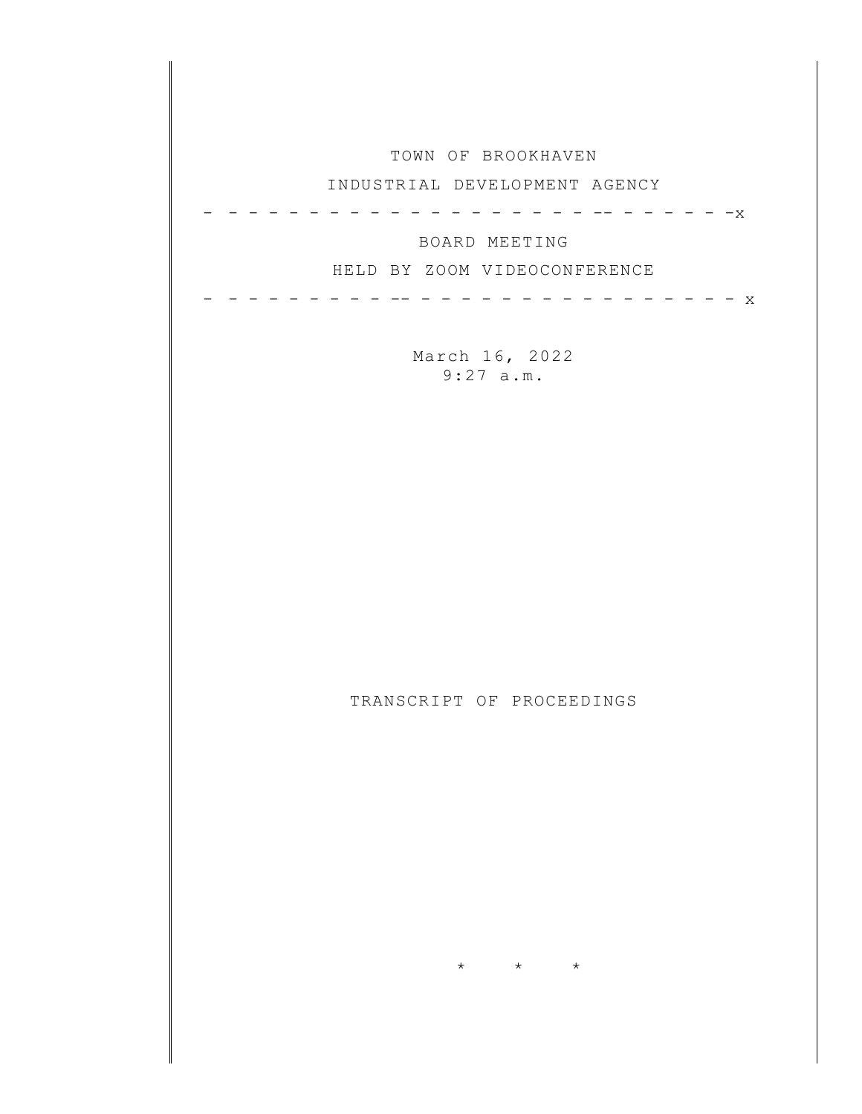| TOWN OF BROOKHAVEN                                         |
|------------------------------------------------------------|
| INDUSTRIAL DEVELOPMENT AGENCY                              |
| $-x$<br>BOARD MEETING<br>HELD BY ZOOM VIDEOCONFERENCE<br>X |
| March 16, 2022<br>9:27 a.m.                                |
|                                                            |
|                                                            |
|                                                            |
|                                                            |
| TRANSCRIPT OF PROCEEDINGS                                  |
|                                                            |
|                                                            |
|                                                            |
| $\star$<br>$\star$<br>$\star$                              |
|                                                            |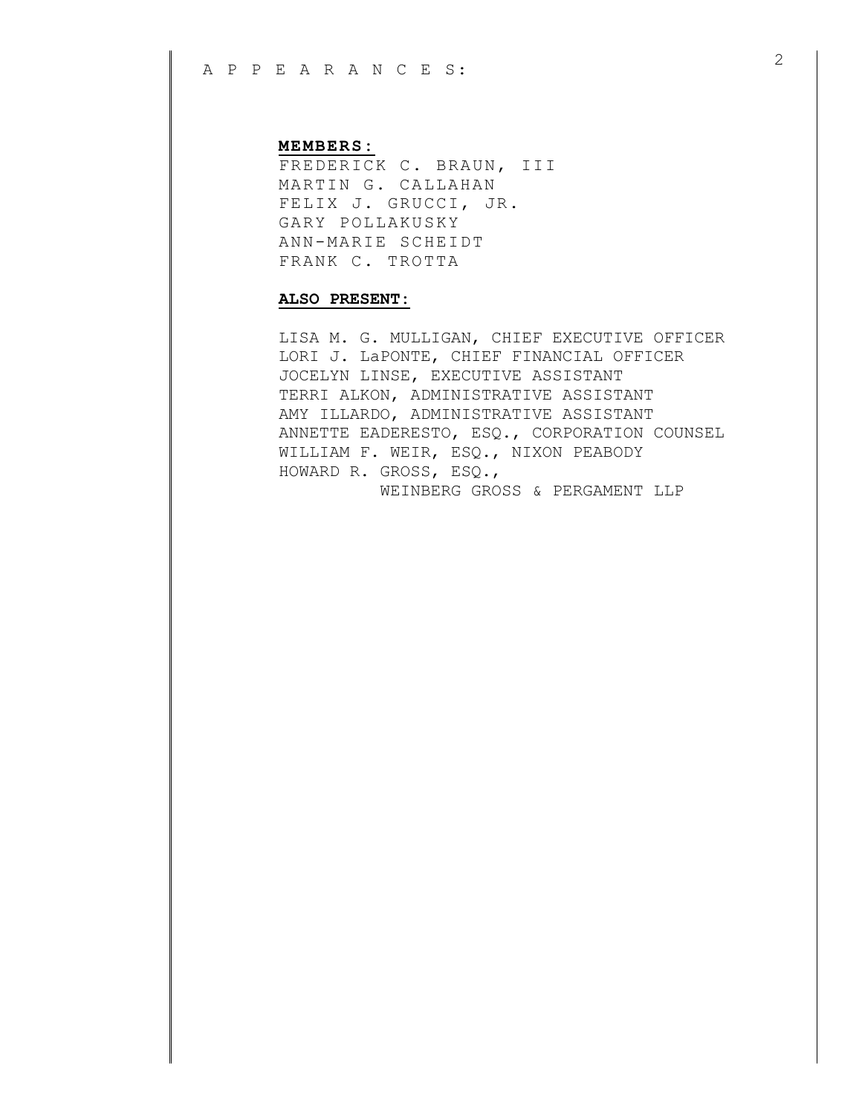## **MEMBERS:**

FREDERICK C. BRAUN, III MARTIN G. CALLAHAN FELIX J. GRUCCI, JR. GARY POLLAKUSKY ANN-MARIE SCHEIDT FRANK C. TROTTA

## **ALSO PRESENT:**

LISA M. G. MULLIGAN, CHIEF EXECUTIVE OFFICER LORI J. LaPONTE, CHIEF FINANCIAL OFFICER JOCELYN LINSE, EXECUTIVE ASSISTANT TERRI ALKON, ADMINISTRATIVE ASSISTANT AMY ILLARDO, ADMINISTRATIVE ASSISTANT ANNETTE EADERESTO, ESQ., CORPORATION COUNSEL WILLIAM F. WEIR, ESQ., NIXON PEABODY HOWARD R. GROSS, ESQ., WEINBERG GROSS & PERGAMENT LLP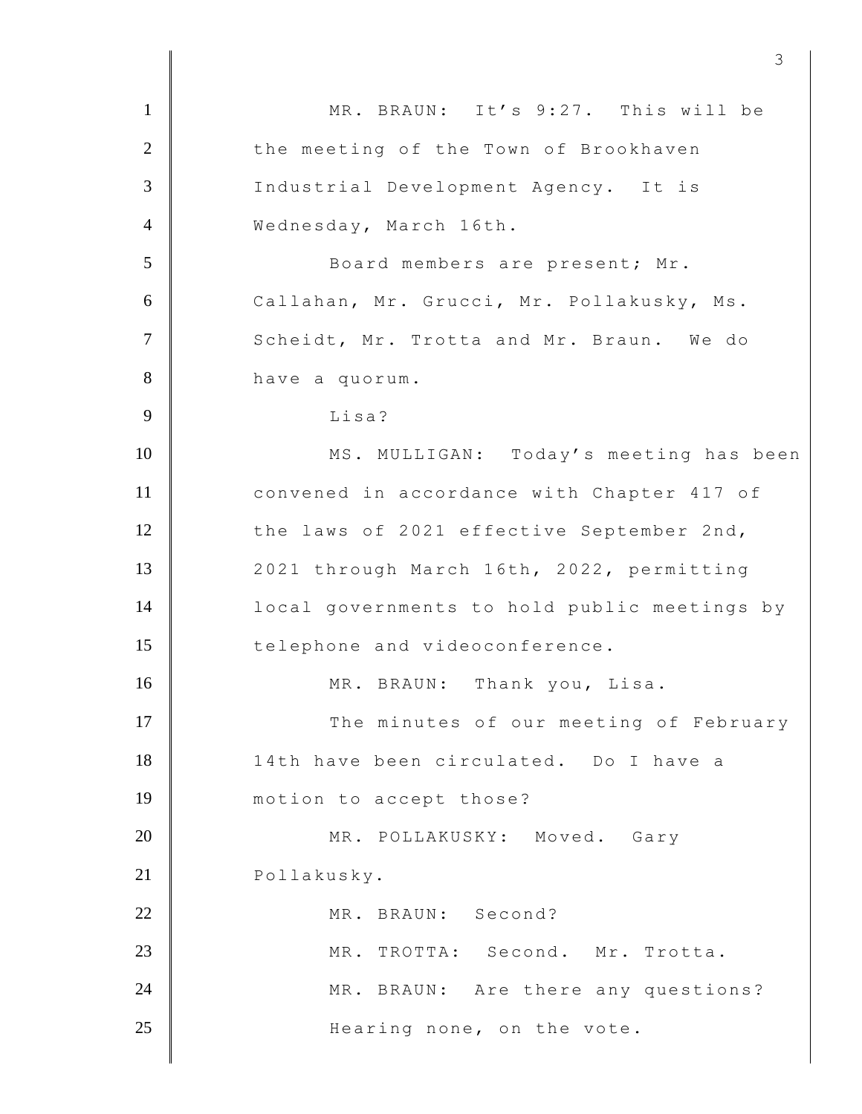| $\mathbf{1}$   | MR. BRAUN: It's 9:27. This will be           |
|----------------|----------------------------------------------|
| $\overline{2}$ | the meeting of the Town of Brookhaven        |
| $\overline{3}$ | Industrial Development Agency. It is         |
| $\overline{4}$ | Wednesday, March 16th.                       |
| 5              | Board members are present; Mr.               |
| 6              | Callahan, Mr. Grucci, Mr. Pollakusky, Ms.    |
| $\overline{7}$ | Scheidt, Mr. Trotta and Mr. Braun. We do     |
| 8              | have a quorum.                               |
| 9              | Lisa?                                        |
| 10             | MS. MULLIGAN: Today's meeting has been       |
| 11             | convened in accordance with Chapter 417 of   |
| 12             | the laws of 2021 effective September 2nd,    |
| 13             | 2021 through March 16th, 2022, permitting    |
| 14             | local governments to hold public meetings by |
| 15             | telephone and videoconference.               |
| 16             | MR. BRAUN:<br>Thank you, Lisa.               |
| 17             | The minutes of our meeting of February       |
| 18             | 14th have been circulated. Do I have a       |
| 19             | motion to accept those?                      |
| 20             | MR. POLLAKUSKY: Moved. Gary                  |
| 21             | Pollakusky.                                  |
| 22             | MR. BRAUN: Second?                           |
| 23             | MR. TROTTA: Second. Mr. Trotta.              |
| 24             | MR. BRAUN: Are there any questions?          |
| 25             | Hearing none, on the vote.                   |
|                |                                              |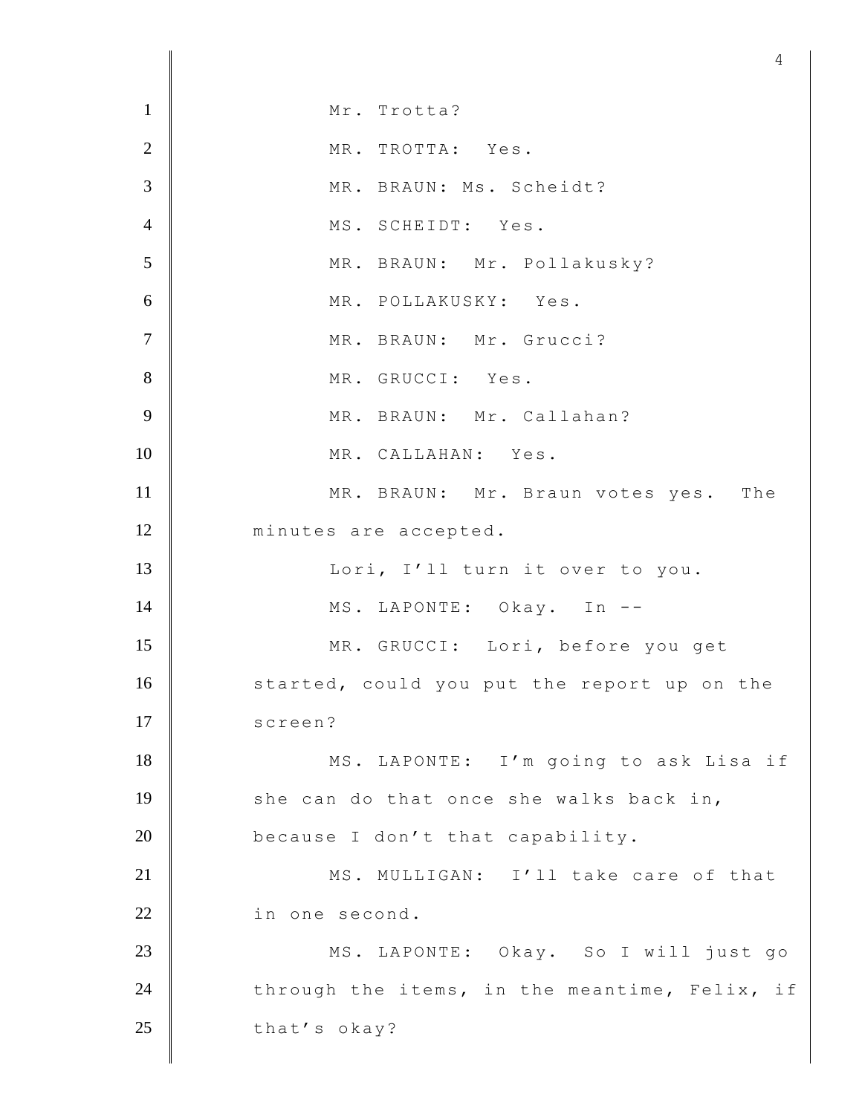1 Mr. Trotta? 2 MR. TROTTA: Yes. 3 MR. BRAUN: Ms. Scheidt? 4 MS. SCHEIDT: Yes. 5 MR. BRAUN: Mr. Pollakusky? 6 MR. POLLAKUSKY: Yes. 7 MR. BRAUN: Mr. Grucci? 8 MR. GRUCCI: Yes. 9 | MR. BRAUN: Mr. Callahan? 10 MR. CALLAHAN: Yes. 11 MR. BRAUN: Mr. Braun votes yes. The 12 | minutes are accepted. 13 | Lori, I'll turn it over to you. 14 MS. LAPONTE: Okay. In --15 MR. GRUCCI: Lori, before you get 16 started, could you put the report up on the 17 | screen? 18 MS. LAPONTE: I'm going to ask Lisa if 19 she can do that once she walks back in, 20 because I don't that capability. 21 MS. MULLIGAN: I'll take care of that 22 in one second. 23 MS. LAPONTE: Okay. So I will just go 24 through the items, in the meantime, Felix, if 25 that's okay?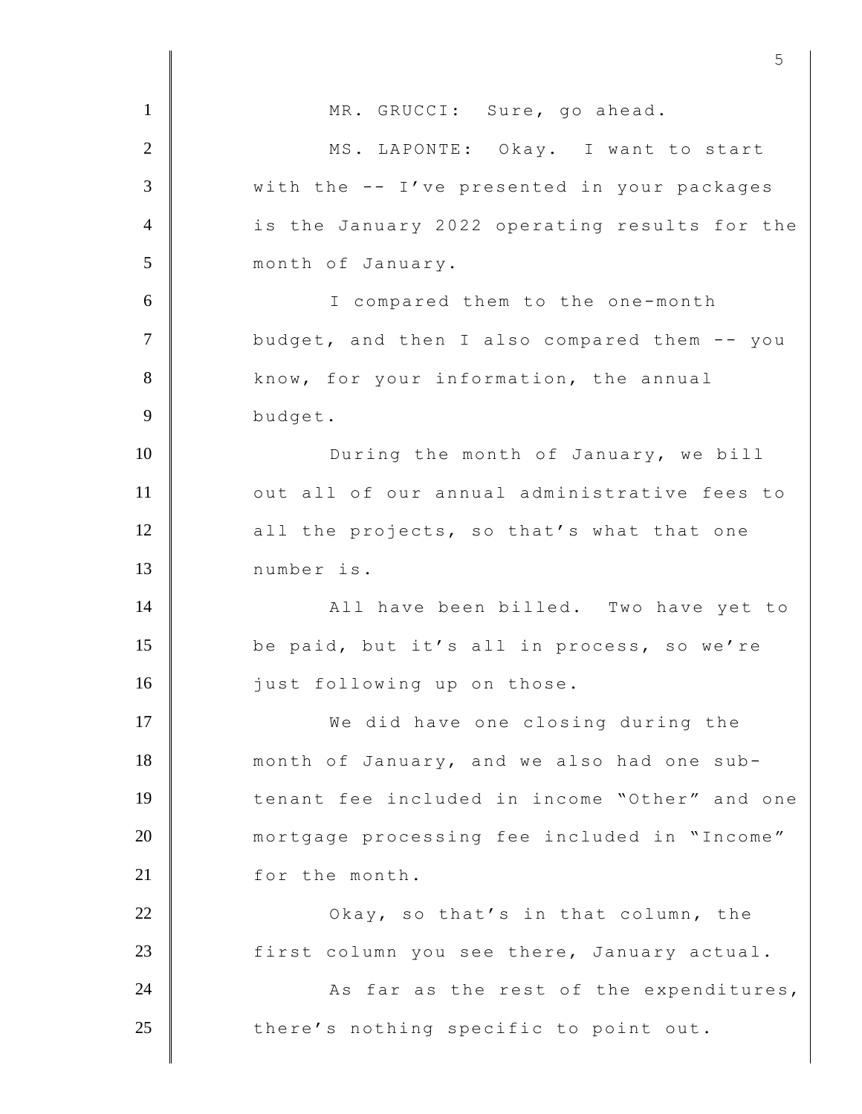1 MR. GRUCCI: Sure, go ahead. 2 MS. LAPONTE: Okay. I want to start 3 With the -- I've presented in your packages 4 is the January 2022 operating results for the 5 month of January. 6 I compared them to the one-month 7 **J** budget, and then I also compared them -- you 8 **know, for your information, the annual** 9 budget. 10 **During the month of January, we bill** 11 | out all of our annual administrative fees to 12 all the projects, so that's what that one 13 number is. 14 **All have been billed.** Two have yet to 15 be paid, but it's all in process, so we're 16 just following up on those. 17 We did have one closing during the 18 month of January, and we also had one sub-19 tenant fee included in income "Other" and one 20 mortgage processing fee included in "Income" 21 for the month. 22 **Okay,** so that's in that column, the 23 | first column you see there, January actual. 24  $\parallel$  As far as the rest of the expenditures, 25 there's nothing specific to point out.

 $5<sup>th</sup>$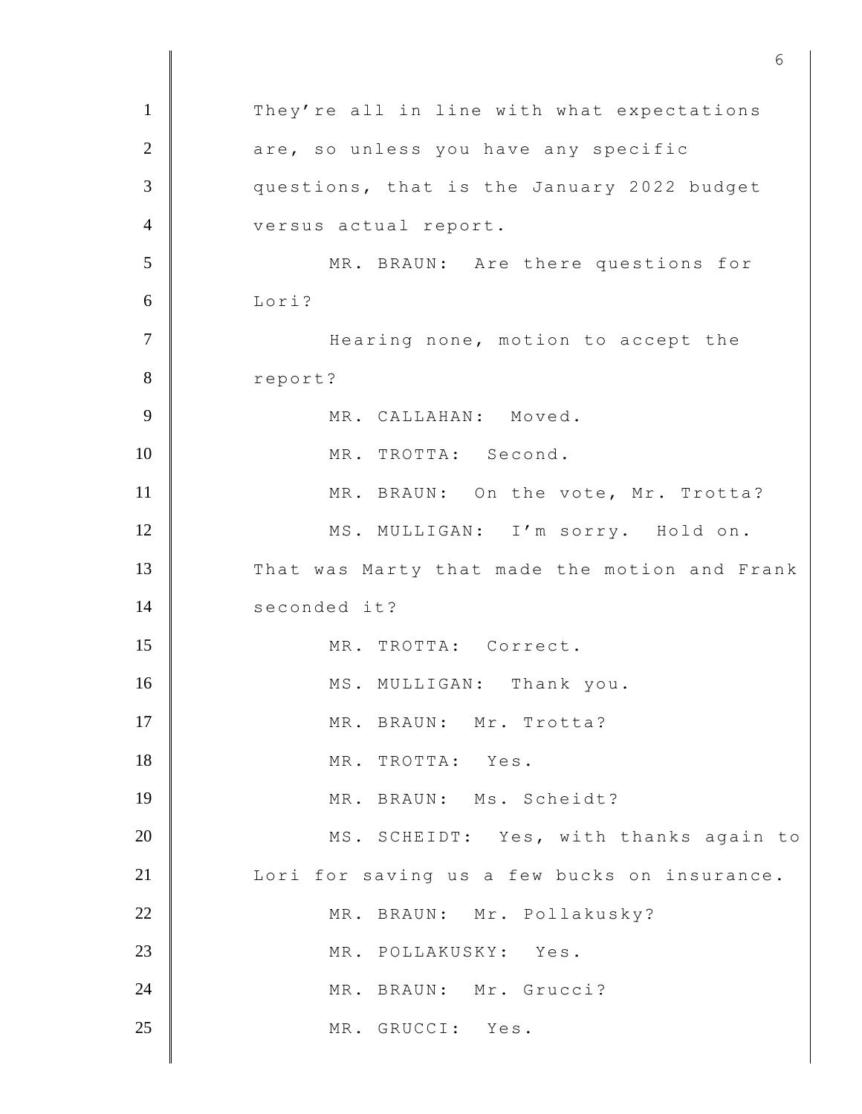1 They're all in line with what expectations 2 are, so unless you have any specific 3 questions, that is the January 2022 budget 4 versus actual report. 5 MR. BRAUN: Are there questions for 6 Lori? 7 | Hearing none, motion to accept the 8 report? 9 MR. CALLAHAN: Moved. 10 MR. TROTTA: Second. 11 MR. BRAUN: On the vote, Mr. Trotta? 12 MS. MULLIGAN: I'm sorry. Hold on. 13 That was Marty that made the motion and Frank 14 seconded it? 15 MR. TROTTA: Correct. 16 MS. MULLIGAN: Thank you. 17 MR. BRAUN: Mr. Trotta? 18 MR. TROTTA: Yes. 19 MR. BRAUN: Ms. Scheidt? 20 MS. SCHEIDT: Yes, with thanks again to 21 | Lori for saving us a few bucks on insurance. 22 MR. BRAUN: Mr. Pollakusky? 23 MR. POLLAKUSKY: Yes. 24 MR. BRAUN: Mr. Grucci? 25 MR. GRUCCI: Yes.

 $\sim$  6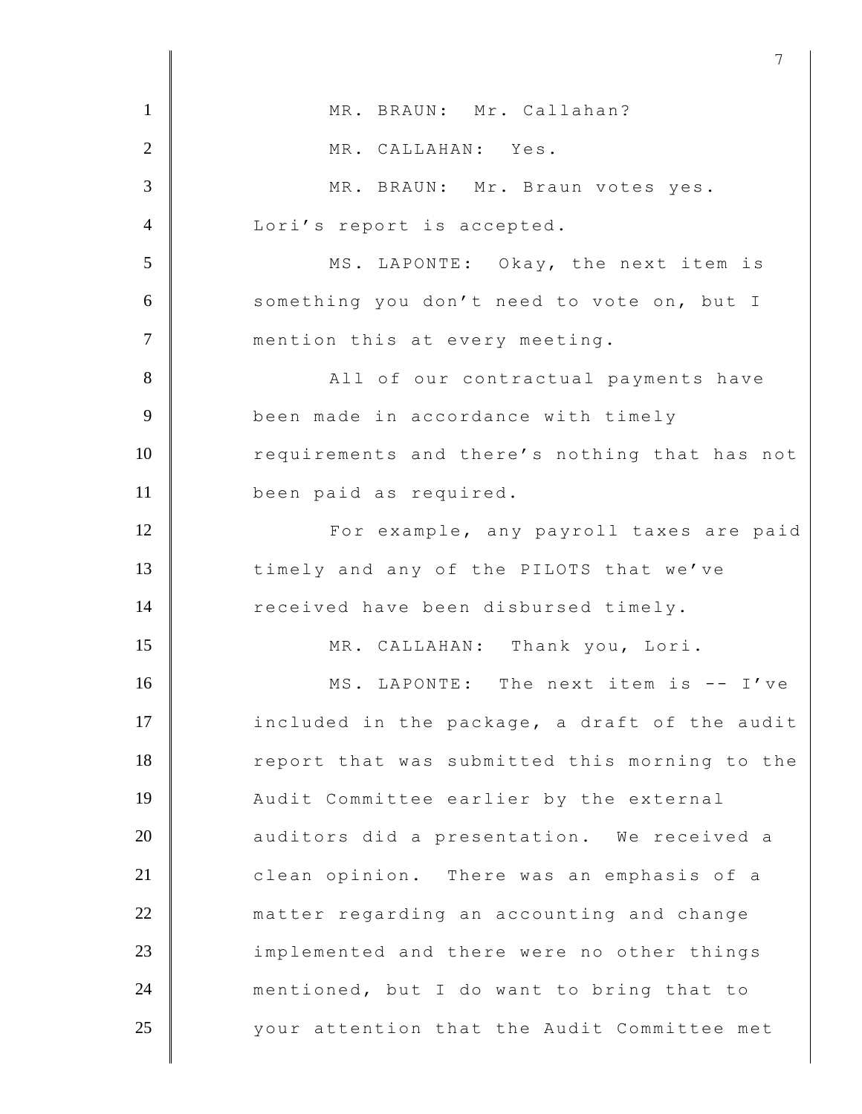| $\mathbf{1}$   | MR. BRAUN: Mr. Callahan?                      |
|----------------|-----------------------------------------------|
| $\overline{2}$ | MR. CALLAHAN: Yes.                            |
| 3              | MR. BRAUN: Mr. Braun votes yes.               |
| $\overline{4}$ | Lori's report is accepted.                    |
| 5              | MS. LAPONTE: Okay, the next item is           |
| 6              | something you don't need to vote on, but I    |
| $\tau$         | mention this at every meeting.                |
| 8              | All of our contractual payments have          |
| 9              | been made in accordance with timely           |
| 10             | requirements and there's nothing that has not |
| 11             | been paid as required.                        |
| 12             | For example, any payroll taxes are paid       |
| 13             | timely and any of the PILOTS that we've       |
| 14             | received have been disbursed timely.          |
| 15             | MR. CALLAHAN: Thank you, Lori.                |
| 16             | MS. LAPONTE: The next item is -- I've         |
| 17             | included in the package, a draft of the audit |
| 18             | report that was submitted this morning to the |
| 19             | Audit Committee earlier by the external       |
| 20             | auditors did a presentation. We received a    |
| 21             | clean opinion. There was an emphasis of a     |
| 22             | matter regarding an accounting and change     |
| 23             | implemented and there were no other things    |
| 24             | mentioned, but I do want to bring that to     |
| 25             | your attention that the Audit Committee met   |
|                |                                               |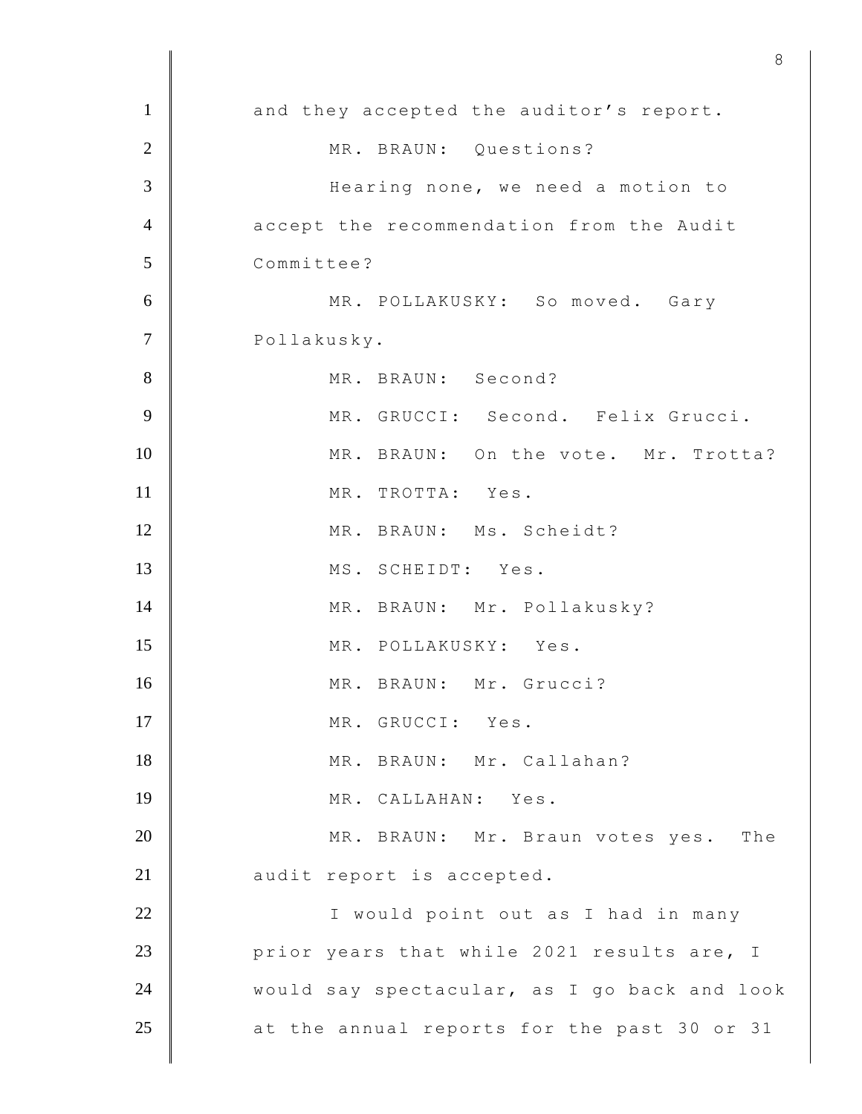|                | $\circ$                                      |
|----------------|----------------------------------------------|
| $\mathbf{1}$   | and they accepted the auditor's report.      |
| $\overline{2}$ | MR. BRAUN: Questions?                        |
| 3              | Hearing none, we need a motion to            |
| $\overline{4}$ | accept the recommendation from the Audit     |
| 5              | Committee?                                   |
| 6              | MR. POLLAKUSKY: So moved. Gary               |
| $\tau$         | Pollakusky.                                  |
| 8              | MR. BRAUN: Second?                           |
| 9              | MR. GRUCCI: Second. Felix Grucci.            |
| 10             | MR. BRAUN: On the vote. Mr. Trotta?          |
| 11             | MR. TROTTA: Yes.                             |
| 12             | MR. BRAUN: Ms. Scheidt?                      |
| 13             | MS. SCHEIDT: Yes.                            |
| 14             | MR. BRAUN: Mr. Pollakusky?                   |
| 15             | MR. POLLAKUSKY: Yes.                         |
| 16             | MR. BRAUN: Mr. Grucci?                       |
| 17             | MR. GRUCCI: Yes.                             |
| 18             | MR. BRAUN: Mr. Callahan?                     |
| 19             | MR. CALLAHAN: Yes.                           |
| 20             | MR. BRAUN: Mr. Braun votes yes. The          |
| 21             | audit report is accepted.                    |
| 22             | I would point out as I had in many           |
| 23             | prior years that while 2021 results are, I   |
| 24             | would say spectacular, as I go back and look |
| 25             | at the annual reports for the past 30 or 31  |
|                |                                              |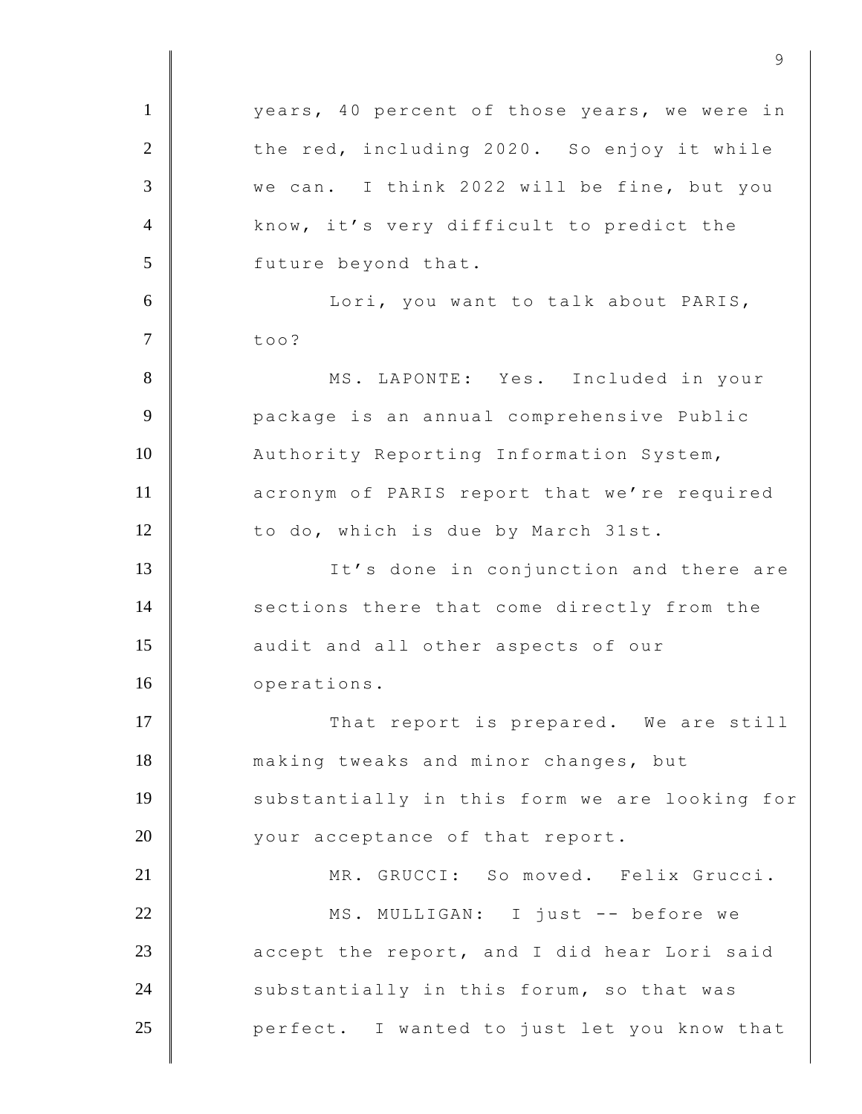1 | vears, 40 percent of those years, we were in 2 the red, including 2020. So enjoy it while 3 we can. I think 2022 will be fine, but you 4 know, it's very difficult to predict the 5 future beyond that. 6 | Kori, you want to talk about PARIS,  $7 \parallel$  too? 8 MS. LAPONTE: Yes. Included in your 9 **Quart Phannual School** Public Public 10 | Authority Reporting Information System, 11 **acronym of PARIS report that we're required** 12 to do, which is due by March 31st. 13 | It's done in conjunction and there are 14 sections there that come directly from the 15 **audit** and all other aspects of our 16 | operations. 17 | That report is prepared. We are still 18 making tweaks and minor changes, but 19 | substantially in this form we are looking for 20 vour acceptance of that report. 21 | MR. GRUCCI: So moved. Felix Grucci. 22 MS. MULLIGAN: I just -- before we  $23$   $\parallel$  accept the report, and I did hear Lori said 24 Substantially in this forum, so that was 25 **perfect.** I wanted to just let you know that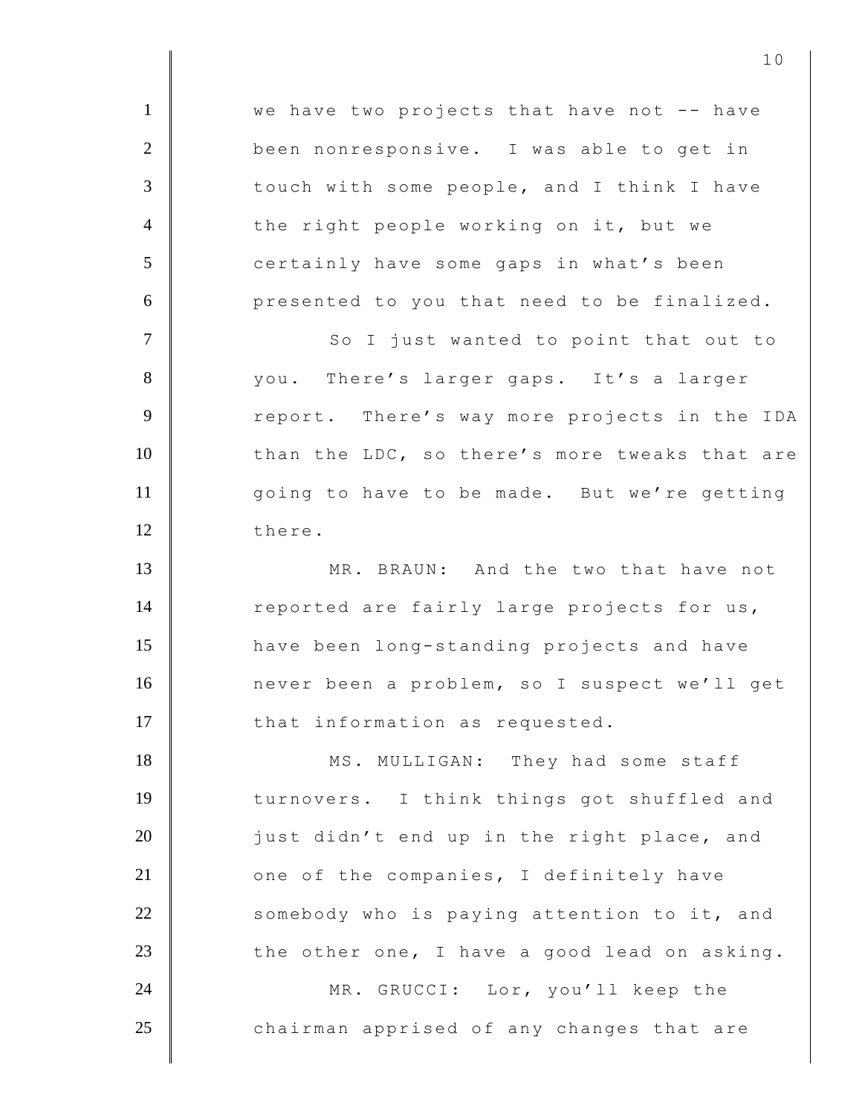1 | we have two projects that have not -- have 2 been nonresponsive. I was able to get in 3 touch with some people, and I think I have 4 the right people working on it, but we 5 certainly have some gaps in what's been 6 **presented to you that need to be finalized.** 7 | So I just wanted to point that out to 8 you. There's larger gaps. It's a larger 9 Teport. There's way more projects in the IDA 10 than the LDC, so there's more tweaks that are 11 |  $qoinq to have to be made. But we're getting$ 12 there. 13 MR. BRAUN: And the two that have not 14 reported are fairly large projects for us, 15 **have been long-standing projects and have** 16 never been a problem, so I suspect we'll get 17 | that information as requested. 18 MS. MULLIGAN: They had some staff 19 turnovers. I think things got shuffled and  $20$  | just didn't end up in the right place, and  $21$   $\parallel$  one of the companies, I definitely have  $22$  somebody who is paying attention to it, and 23 the other one, I have a good lead on asking. 24 MR. GRUCCI: Lor, you'll keep the 25 chairman apprised of any changes that are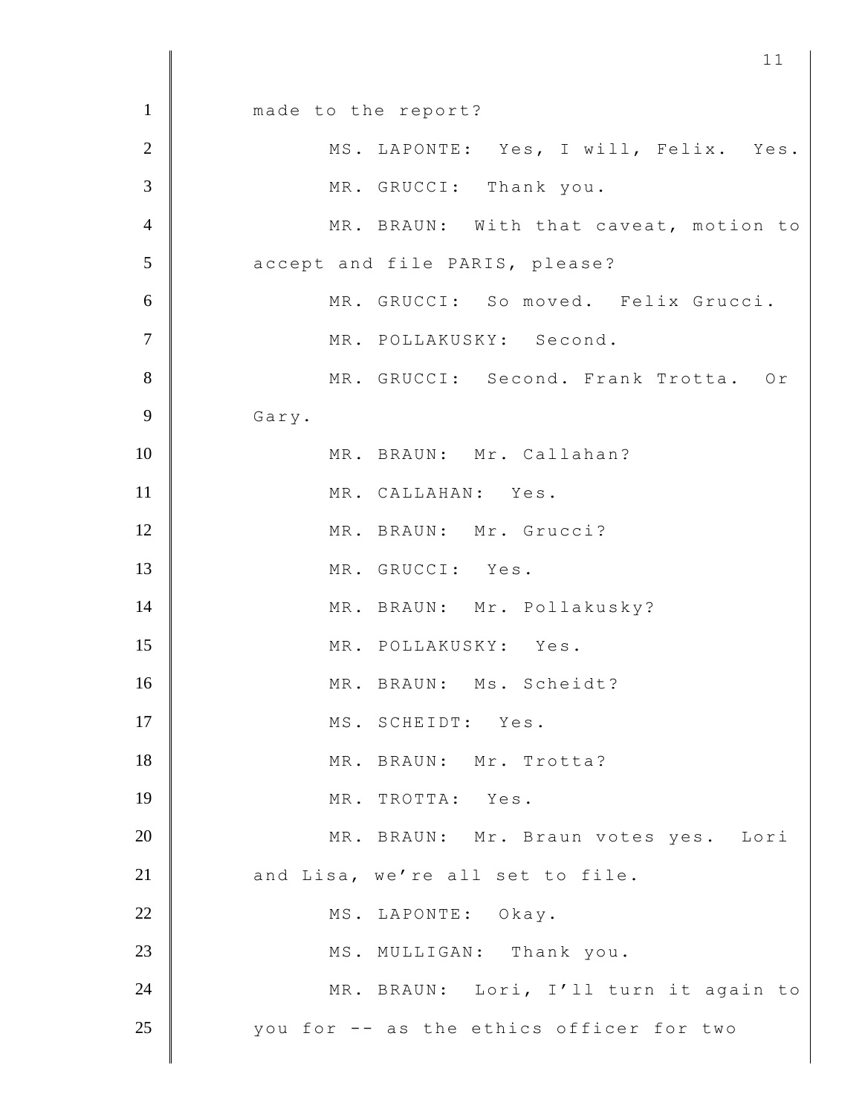1 made to the report? 2 | MS. LAPONTE: Yes, I will, Felix. Yes. 3 MR. GRUCCI: Thank you. 4 MR. BRAUN: With that caveat, motion to 5 **accept and file PARIS, please?** 6 MR. GRUCCI: So moved. Felix Grucci. 7 MR. POLLAKUSKY: Second. 8 MR. GRUCCI: Second. Frank Trotta. Or 9 Gary. 10 MR. BRAUN: Mr. Callahan? 11 MR. CALLAHAN: Yes. 12 MR. BRAUN: Mr. Grucci? 13 MR. GRUCCI: Yes. 14 MR. BRAUN: Mr. Pollakusky? 15 MR. POLLAKUSKY: Yes. 16 MR. BRAUN: Ms. Scheidt? 17 MS. SCHEIDT: Yes. 18 MR. BRAUN: Mr. Trotta? 19 MR. TROTTA: Yes. 20 MR. BRAUN: Mr. Braun votes yes. Lori 21 and Lisa, we're all set to file. 22 MS. LAPONTE: Okay. 23 MS. MULLIGAN: Thank you. 24 MR. BRAUN: Lori, I'll turn it again to 25 you for -- as the ethics officer for two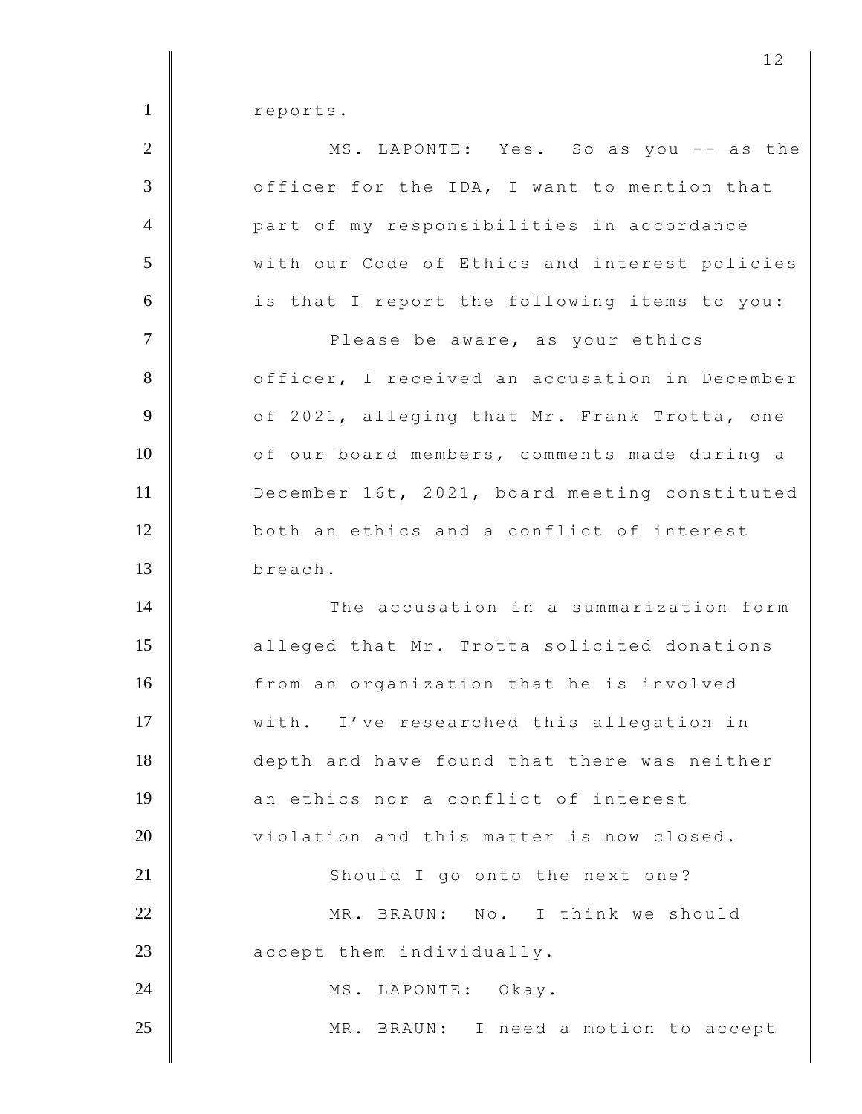1 reports.

| $\overline{2}$  | MS. LAPONTE: Yes. So as you -- as the         |
|-----------------|-----------------------------------------------|
| 3               | officer for the IDA, I want to mention that   |
| $\overline{4}$  | part of my responsibilities in accordance     |
| 5               | with our Code of Ethics and interest policies |
| 6               | is that I report the following items to you:  |
| $7\phantom{.0}$ | Please be aware, as your ethics               |
| 8               | officer, I received an accusation in December |
| 9               | of 2021, alleging that Mr. Frank Trotta, one  |
| 10              | of our board members, comments made during a  |
| 11              | December 16t, 2021, board meeting constituted |
| 12              | both an ethics and a conflict of interest     |
| 13              | breach.                                       |
| 14              | The accusation in a summarization form        |
| 15              | alleged that Mr. Trotta solicited donations   |
| 16              | from an organization that he is involved      |
| 17              | with. I've researched this allegation in      |
| 18              | depth and have found that there was neither   |
| 19              | an ethics nor a conflict of interest          |
| 20              | violation and this matter is now closed.      |
| 21              | Should I go onto the next one?                |
| 22              | MR. BRAUN: No. I think we should              |
| 23              | accept them individually.                     |
| 24              | MS. LAPONTE: Okay.                            |
| 25              | MR. BRAUN: I need a motion to accept          |
|                 |                                               |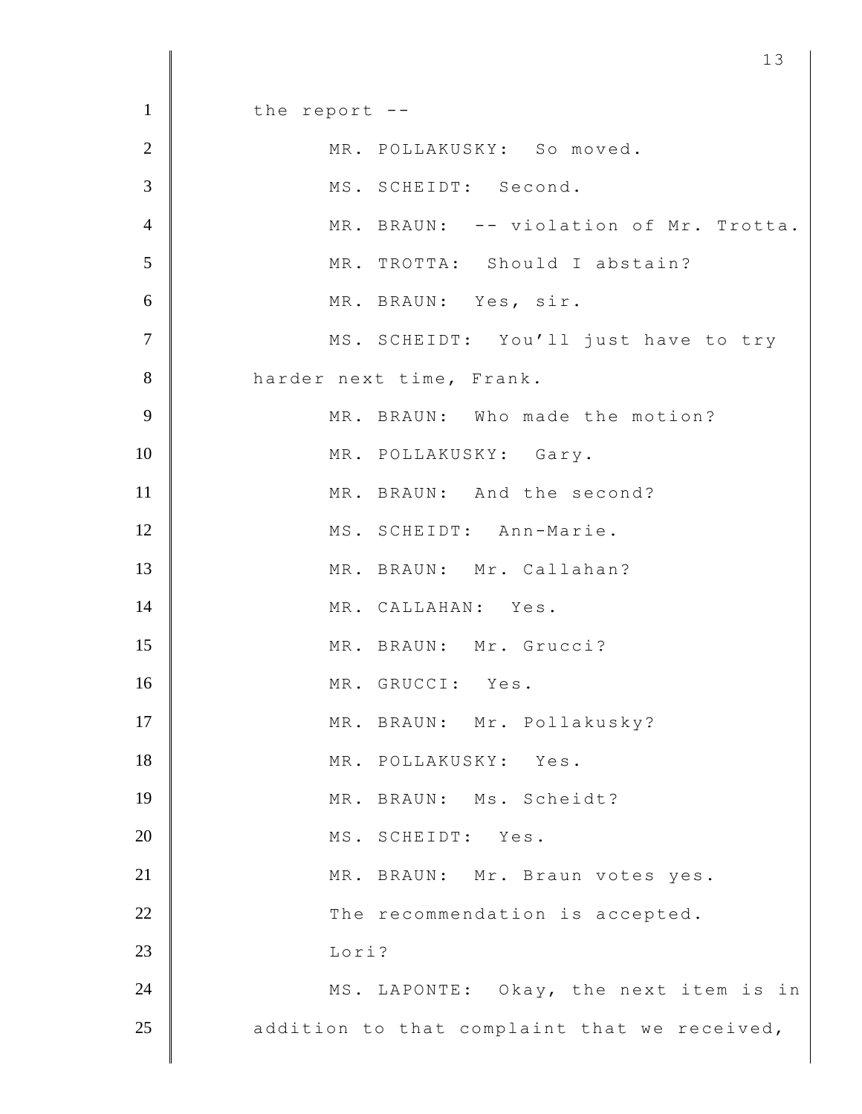$1 \parallel$  the report --2 MR. POLLAKUSKY: So moved. 3 MS. SCHEIDT: Second. 4 MR. BRAUN: -- violation of Mr. Trotta. 5 MR. TROTTA: Should I abstain? 6 MR. BRAUN: Yes, sir. 7 | MS. SCHEIDT: You'll just have to try 8 harder next time, Frank. 9 MR. BRAUN: Who made the motion? 10 MR. POLLAKUSKY: Gary. 11 MR. BRAUN: And the second? 12 MS. SCHEIDT: Ann-Marie. 13 | MR. BRAUN: Mr. Callahan? 14 MR. CALLAHAN: Yes. 15 MR. BRAUN: Mr. Grucci? 16 MR. GRUCCI: Yes. 17 MR. BRAUN: Mr. Pollakusky? 18 MR. POLLAKUSKY: Yes. 19 MR. BRAUN: Ms. Scheidt? 20 MS. SCHEIDT: Yes. 21 | MR. BRAUN: Mr. Braun votes yes. 22 The recommendation is accepted. 23 Lori? 24 MS. LAPONTE: Okay, the next item is in  $25$   $\parallel$  addition to that complaint that we received,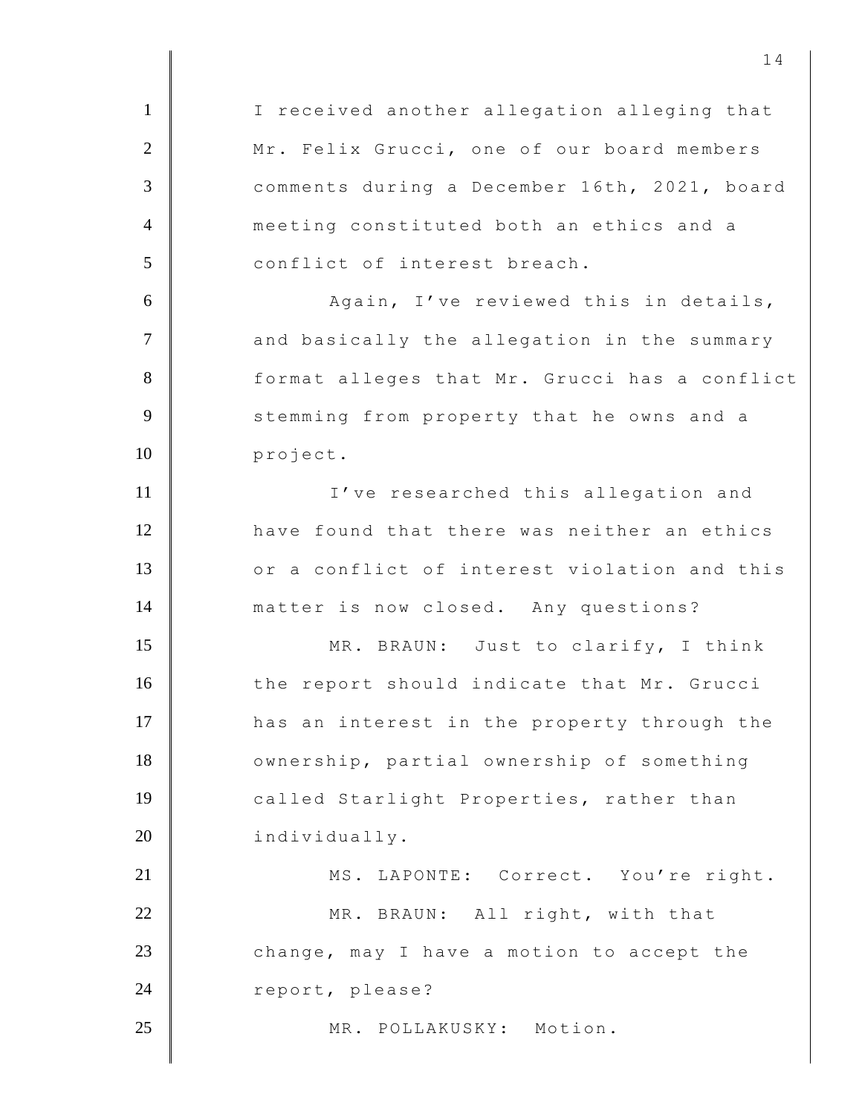1 | I received another allegation alleging that 2 Mr. Felix Grucci, one of our board members 3 comments during a December 16th, 2021, board 4 meeting constituted both an ethics and a 5 conflict of interest breach. 6 Again, I've reviewed this in details, 7 and basically the allegation in the summary 8 format alleges that Mr. Grucci has a conflict 9 Stemming from property that he owns and a 10 project. 11 I've researched this allegation and 12 have found that there was neither an ethics 13 or a conflict of interest violation and this 14 matter is now closed. Any questions? 15 MR. BRAUN: Just to clarify, I think 16 the report should indicate that Mr. Grucci 17 **has an interest in the property through the** 18 | ownership, partial ownership of something 19 called Starlight Properties, rather than 20 individually. 21 | MS. LAPONTE: Correct. You're right. 22 MR. BRAUN: All right, with that 23 change, may I have a motion to accept the 24 report, please? 25 MR. POLLAKUSKY: Motion.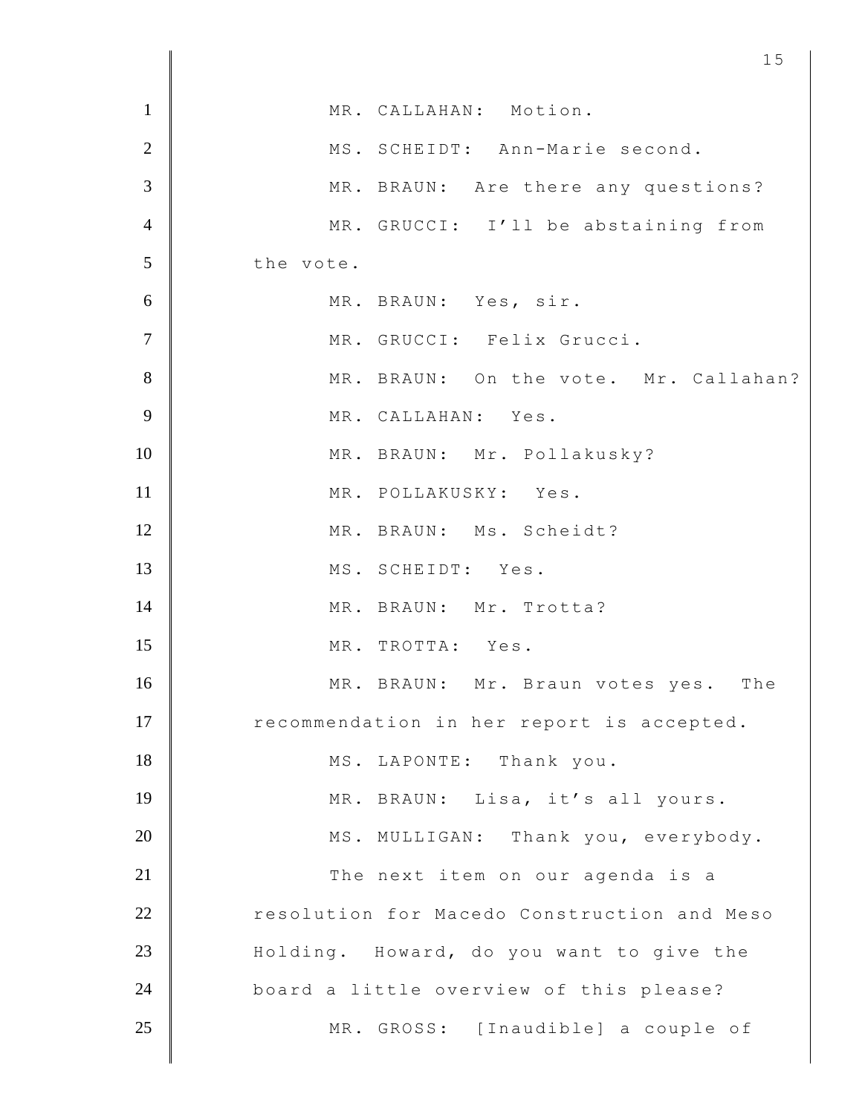| $\mathbf{1}$   | MR. CALLAHAN: Motion.                       |
|----------------|---------------------------------------------|
| $\overline{2}$ | MS. SCHEIDT: Ann-Marie second.              |
| 3              | MR. BRAUN: Are there any questions?         |
| $\overline{4}$ | MR. GRUCCI: I'll be abstaining from         |
| 5              | the vote.                                   |
| 6              | MR. BRAUN: Yes, sir.                        |
| $\overline{7}$ | MR. GRUCCI: Felix Grucci.                   |
| 8              | MR. BRAUN: On the vote. Mr. Callahan?       |
| 9              | MR. CALLAHAN: Yes.                          |
| 10             | MR. BRAUN: Mr. Pollakusky?                  |
| 11             | MR. POLLAKUSKY: Yes.                        |
| 12             | MR. BRAUN: Ms. Scheidt?                     |
| 13             | MS. SCHEIDT: Yes.                           |
| 14             | MR. BRAUN: Mr. Trotta?                      |
| 15             | MR. TROTTA: Yes.                            |
| 16             | MR. BRAUN: Mr. Braun votes yes.<br>The      |
| 17             | recommendation in her report is accepted.   |
| 18             | MS. LAPONTE: Thank you.                     |
| 19             | MR. BRAUN: Lisa, it's all yours.            |
| 20             | MS. MULLIGAN: Thank you, everybody.         |
| 21             | The next item on our agenda is a            |
| 22             | resolution for Macedo Construction and Meso |
| 23             | Holding. Howard, do you want to give the    |
| 24             | board a little overview of this please?     |
| 25             | MR. GROSS: [Inaudible] a couple of          |
|                |                                             |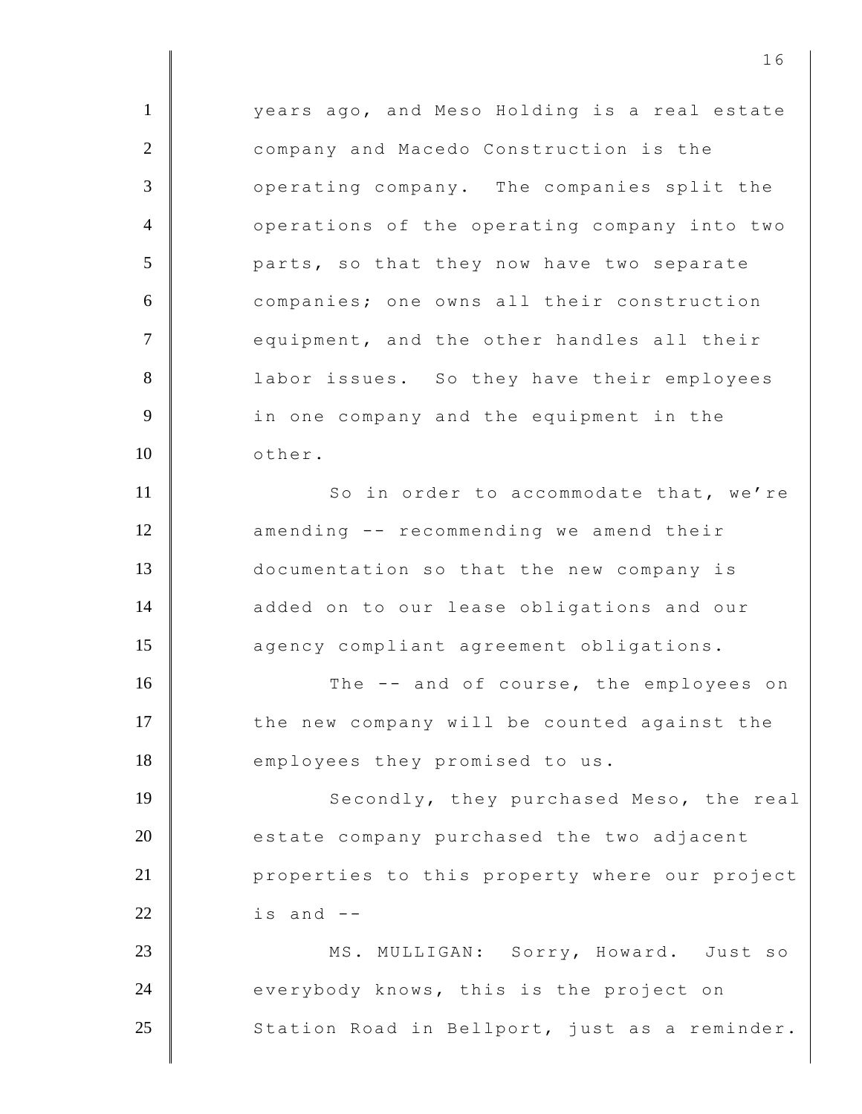1 **Vears ago, and Meso Holding is a real estate** 2 company and Macedo Construction is the 3 operating company. The companies split the 4 operations of the operating company into two 5 **parts, so that they now have two separate** 6 companies; one owns all their construction 7 equipment, and the other handles all their 8 **| Source 1** labor issues. So they have their employees 9 **Juber** in one company and the equipment in the 10 | other. 11 So in order to accommodate that, we're 12 **amending -- recommending we amend their** 13 documentation so that the new company is 14 added on to our lease obligations and our 15 agency compliant agreement obligations. 16 The -- and of course, the employees on 17 | the new company will be counted against the 18 employees they promised to us. 19 Secondly, they purchased Meso, the real  $20$   $\parallel$  estate company purchased the two adjacent 21 **properties to this property where our project**  $22$   $\parallel$  is and  $-$ 23 | MS. MULLIGAN: Sorry, Howard. Just so 24 everybody knows, this is the project on  $25$  Station Road in Bellport, just as a reminder.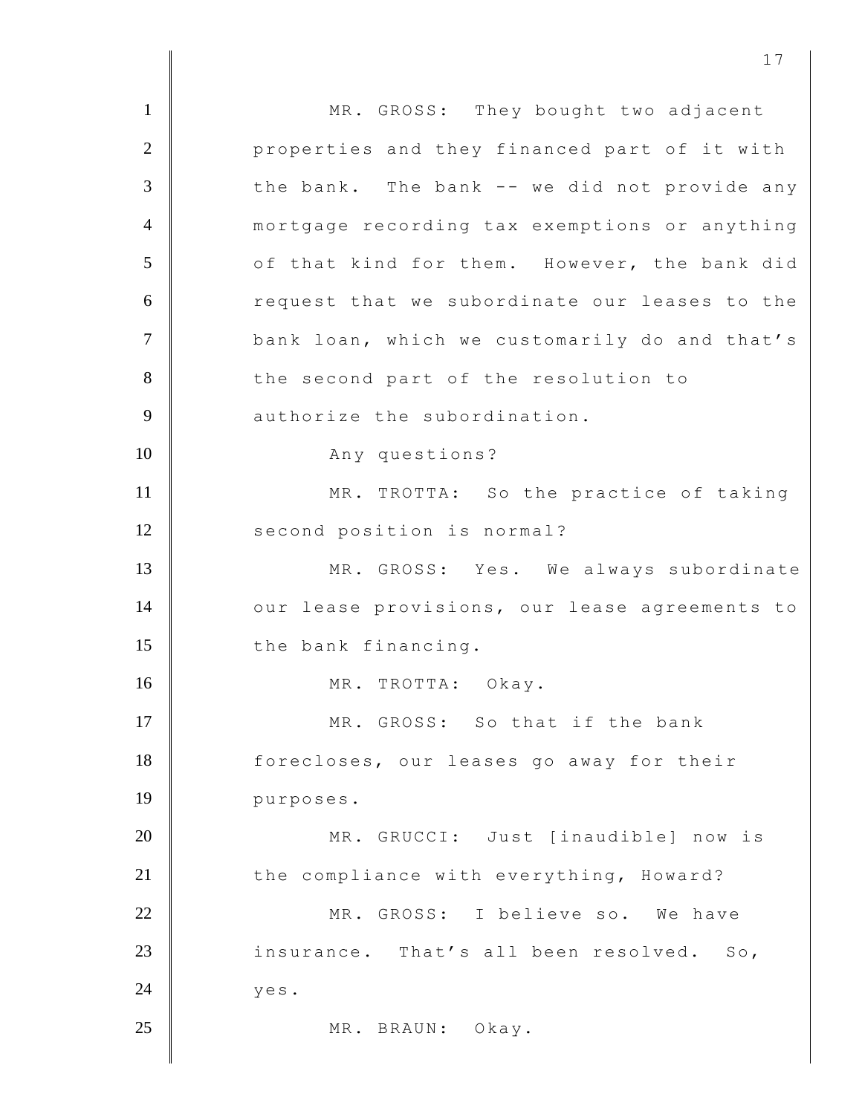1 MR. GROSS: They bought two adjacent 2 **Quare:** 2 properties and they financed part of it with  $3$   $\parallel$  the bank. The bank -- we did not provide any 4 mortgage recording tax exemptions or anything 5 of that kind for them. However, the bank did 6 Tequest that we subordinate our leases to the 7 **bank loan, which we customarily do and that's** 8 the second part of the resolution to 9 authorize the subordination. 10 Any questions? 11 MR. TROTTA: So the practice of taking 12 second position is normal? 13 MR. GROSS: Yes. We always subordinate 14 | our lease provisions, our lease agreements to 15 the bank financing. 16 MR. TROTTA: Okay. 17 MR. GROSS: So that if the bank 18 forecloses, our leases go away for their 19 purposes. 20 MR. GRUCCI: Just [inaudible] now is 21 the compliance with everything, Howard? 22 MR. GROSS: I believe so. We have 23 insurance. That's all been resolved. So,  $24$  yes. 25 MR. BRAUN: Okay.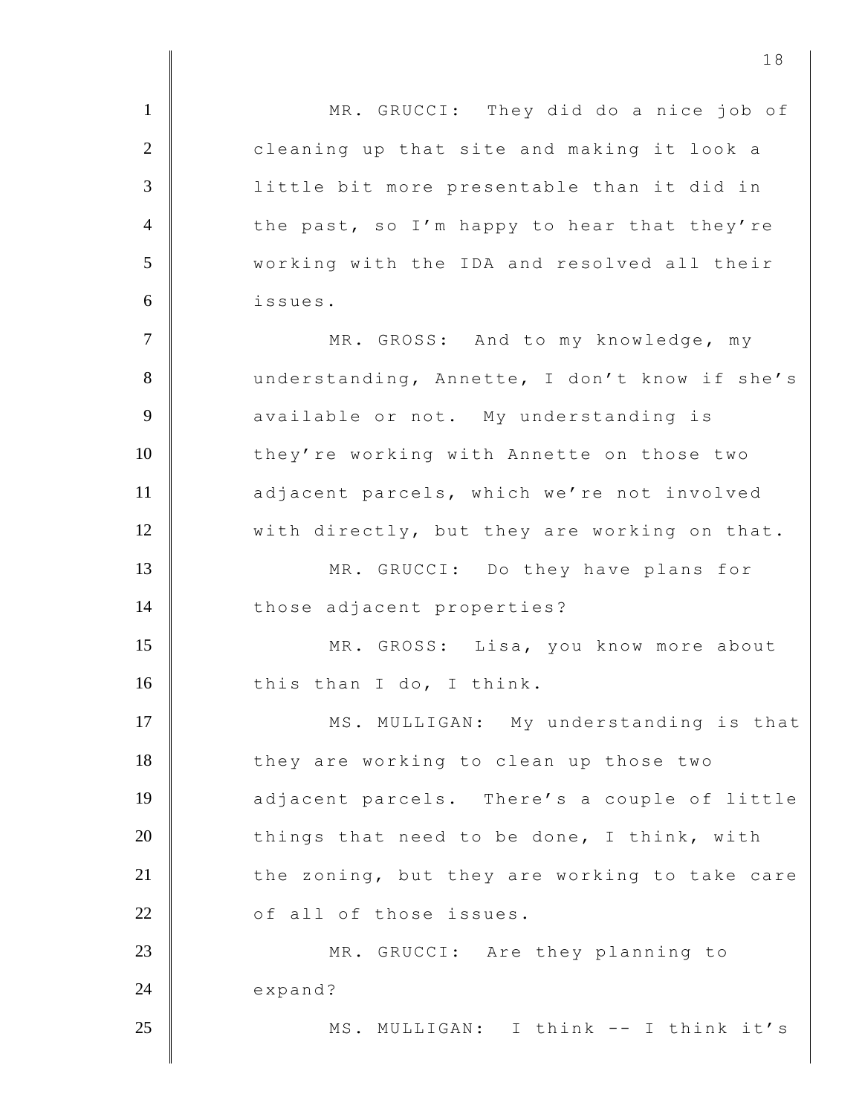1 MR. GRUCCI: They did do a nice job of 2 **cleaning up that site and making it look a** 3 little bit more presentable than it did in  $4 \parallel$  the past, so I'm happy to hear that they're 5 working with the IDA and resolved all their 6 issues. 7 | MR. GROSS: And to my knowledge, my 8 understanding, Annette, I don't know if she's 9 **A** available or not. My understanding is 10 they're working with Annette on those two 11 adjacent parcels, which we're not involved 12 with directly, but they are working on that. 13 MR. GRUCCI: Do they have plans for 14 those adjacent properties? 15 MR. GROSS: Lisa, you know more about 16 this than I do, I think. 17 MS. MULLIGAN: My understanding is that 18 they are working to clean up those two 19 adjacent parcels. There's a couple of little 20 things that need to be done, I think, with  $21$   $\parallel$  the zoning, but they are working to take care 22 **of all of those issues.** 23 MR. GRUCCI: Are they planning to 24 expand? 25 | MS. MULLIGAN: I think -- I think it's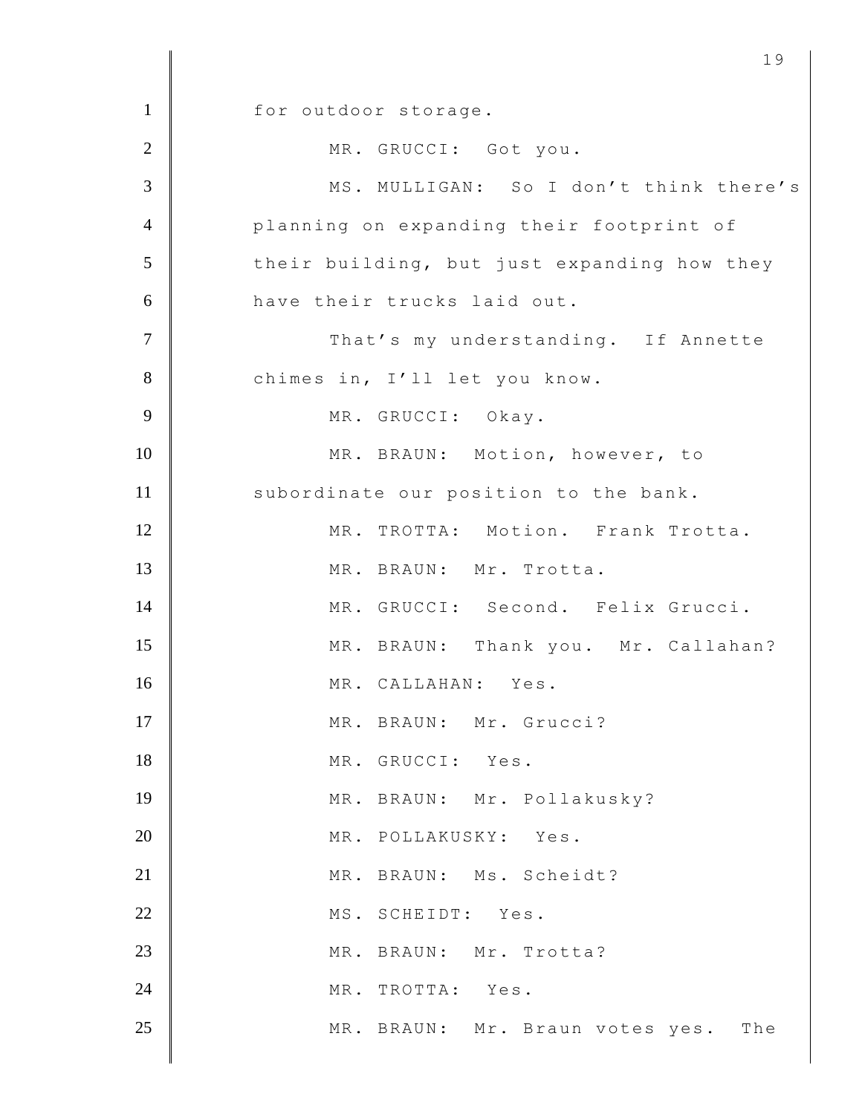1 for outdoor storage. 2 MR. GRUCCI: Got you. 3 | MS. MULLIGAN: So I don't think there's 4 planning on expanding their footprint of  $5$  their building, but just expanding how they 6 have their trucks laid out. 7 | That's my understanding. If Annette 8 chimes in, I'll let you know. 9 MR. GRUCCI: Okay. 10 | MR. BRAUN: Motion, however, to 11 | subordinate our position to the bank. 12 MR. TROTTA: Motion. Frank Trotta. 13 MR. BRAUN: Mr. Trotta. 14 MR. GRUCCI: Second. Felix Grucci. 15 MR. BRAUN: Thank you. Mr. Callahan? 16 MR. CALLAHAN: Yes. 17 MR. BRAUN: Mr. Grucci? 18 MR. GRUCCI: Yes. 19 MR. BRAUN: Mr. Pollakusky? 20 MR. POLLAKUSKY: Yes. 21 MR. BRAUN: Ms. Scheidt? 22 | MS. SCHEIDT: Yes. 23 MR. BRAUN: Mr. Trotta? 24 MR. TROTTA: Yes. 25 MR. BRAUN: Mr. Braun votes yes. The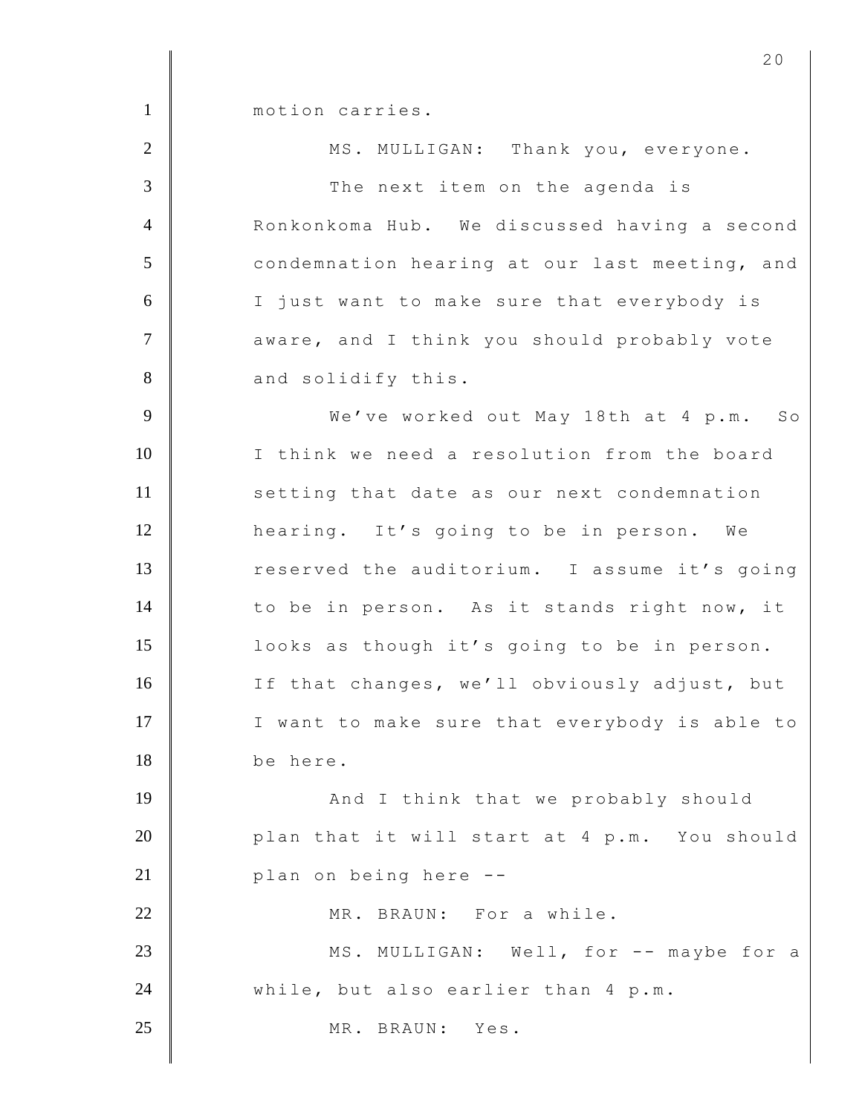1 motion carries. 2 MS. MULLIGAN: Thank you, everyone. 3 The next item on the agenda is 4 Ronkonkoma Hub. We discussed having a second 5 condemnation hearing at our last meeting, and 6 I just want to make sure that everybody is 7 | aware, and I think you should probably vote 8 and solidify this. 9 We've worked out May 18th at 4 p.m. So 10 I think we need a resolution from the board 11 setting that date as our next condemnation 12 hearing. It's going to be in person. We 13 Teserved the auditorium. I assume it's going 14 to be in person. As it stands right now, it 15 looks as though it's going to be in person. 16 If that changes, we'll obviously adjust, but 17 I want to make sure that everybody is able to 18 be here. 19 | And I think that we probably should 20 plan that it will start at 4 p.m. You should 21 **| plan on being here --**22 MR. BRAUN: For a while. 23 MS. MULLIGAN: Well, for -- maybe for a 24 While, but also earlier than 4 p.m. 25 MR. BRAUN: Yes.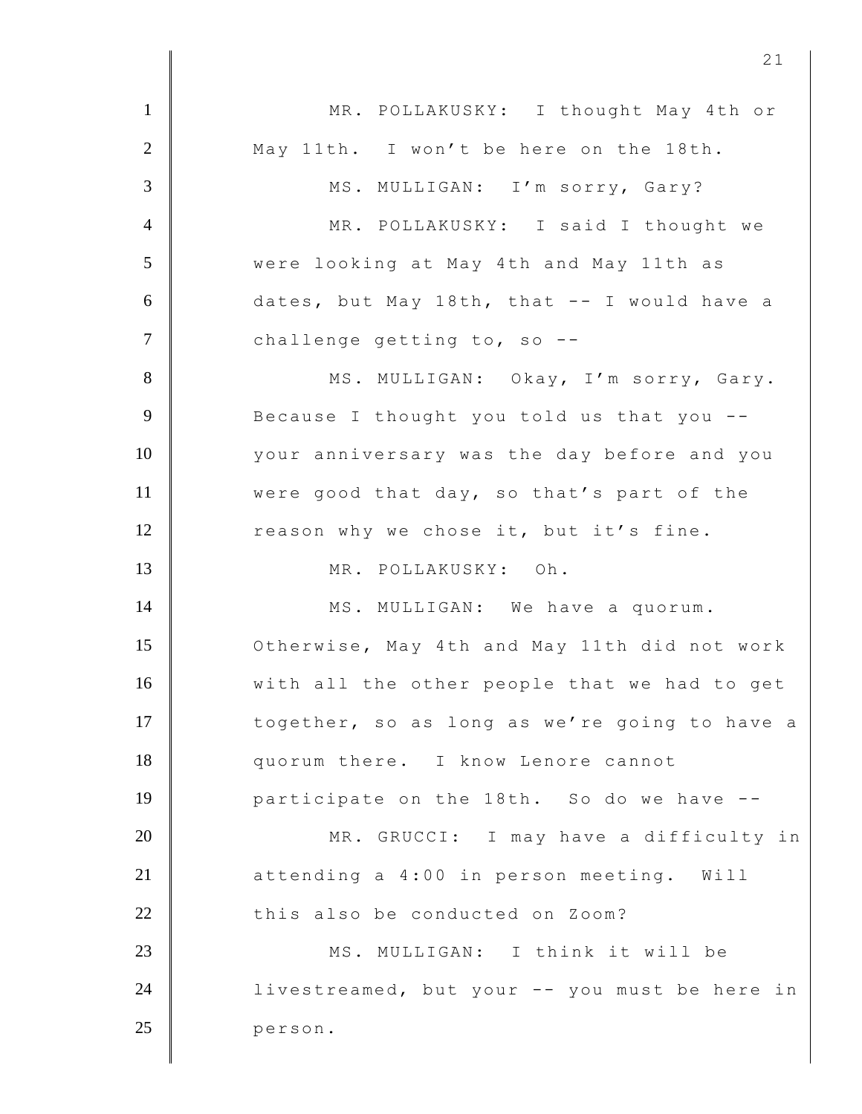| $\mathbf{1}$   | MR. POLLAKUSKY: I thought May 4th or          |
|----------------|-----------------------------------------------|
| 2              | May 11th. I won't be here on the 18th.        |
| 3              | MS. MULLIGAN: I'm sorry, Gary?                |
| $\overline{4}$ | MR. POLLAKUSKY: I said I thought we           |
| 5              | were looking at May 4th and May 11th as       |
| 6              | dates, but May 18th, that -- I would have a   |
| $\overline{7}$ | challenge getting to, so --                   |
| 8              | MS. MULLIGAN: Okay, I'm sorry, Gary.          |
| 9              | Because I thought you told us that you --     |
| 10             | your anniversary was the day before and you   |
| 11             | were good that day, so that's part of the     |
| 12             | reason why we chose it, but it's fine.        |
| 13             | MR. POLLAKUSKY: Oh.                           |
| 14             | MS. MULLIGAN: We have a quorum.               |
| 15             | Otherwise, May 4th and May 11th did not work  |
| 16             | with all the other people that we had to get  |
| 17             | together, so as long as we're going to have a |
| 18             | quorum there. I know Lenore cannot            |
| 19             | participate on the 18th. So do we have --     |
| 20             | MR. GRUCCI: I may have a difficulty in        |
| 21             | attending a 4:00 in person meeting. Will      |
| 22             | this also be conducted on Zoom?               |
| 23             | MS. MULLIGAN: I think it will be              |
| 24             | livestreamed, but your -- you must be here in |
| 25             | person.                                       |
|                |                                               |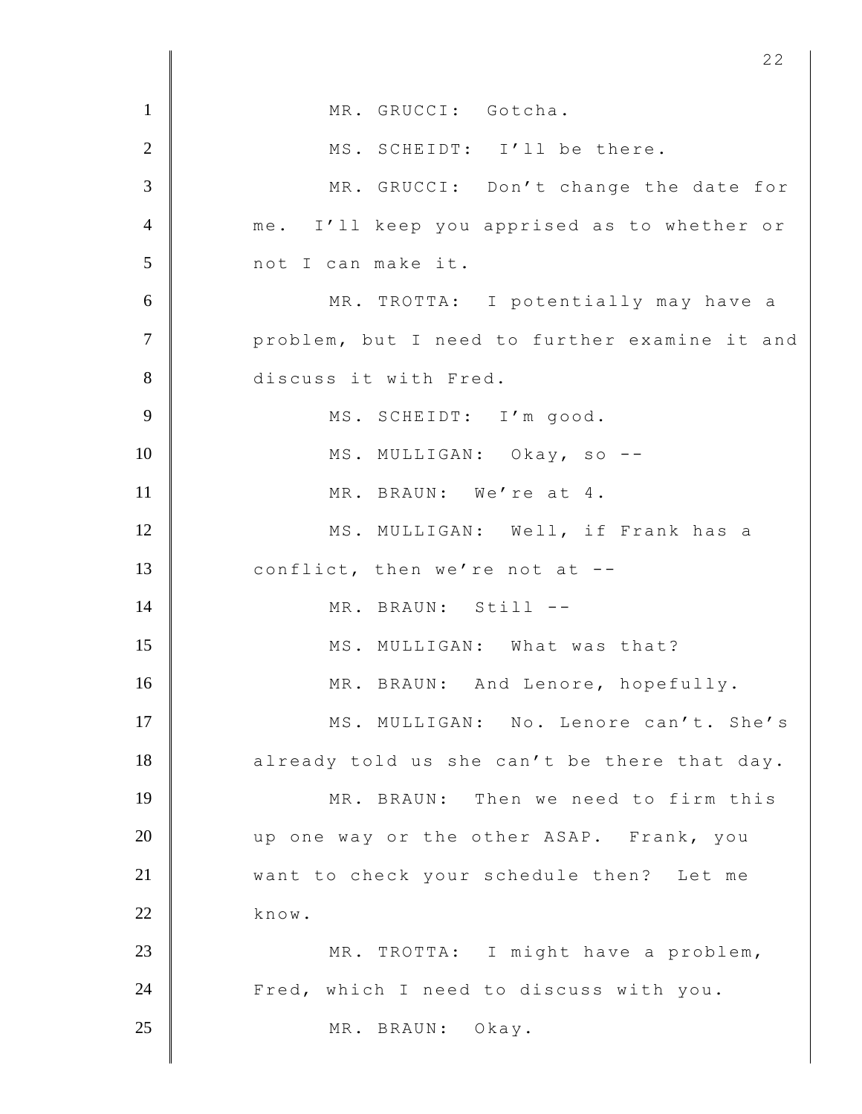| $\mathbf{1}$   | MR. GRUCCI: Gotcha.                           |
|----------------|-----------------------------------------------|
| $\overline{2}$ | MS. SCHEIDT: I'll be there.                   |
| 3              | MR. GRUCCI: Don't change the date for         |
| $\overline{4}$ | me. I'll keep you apprised as to whether or   |
| 5              | not I can make it.                            |
| 6              | MR. TROTTA: I potentially may have a          |
| $\overline{7}$ | problem, but I need to further examine it and |
| $8\,$          | discuss it with Fred.                         |
| 9              | MS. SCHEIDT: I'm good.                        |
| 10             | MS. MULLIGAN: Okay, so --                     |
| 11             | MR. BRAUN: We're at 4.                        |
| 12             | MS. MULLIGAN: Well, if Frank has a            |
| 13             | conflict, then we're not at --                |
| 14             | MR. BRAUN: Still --                           |
| 15             | MS. MULLIGAN: What was that?                  |
| 16             | MR. BRAUN: And Lenore, hopefully.             |
| 17             | MS. MULLIGAN: No. Lenore can't. She's         |
| 18             | already told us she can't be there that day.  |
| 19             | MR. BRAUN: Then we need to firm this          |
| 20             | up one way or the other ASAP. Frank, you      |
| 21             | want to check your schedule then? Let me      |
| 22             | know.                                         |
| 23             | MR. TROTTA: I might have a problem,           |
| 24             | Fred, which I need to discuss with you.       |
| 25             | MR. BRAUN: Okay.                              |
|                |                                               |

I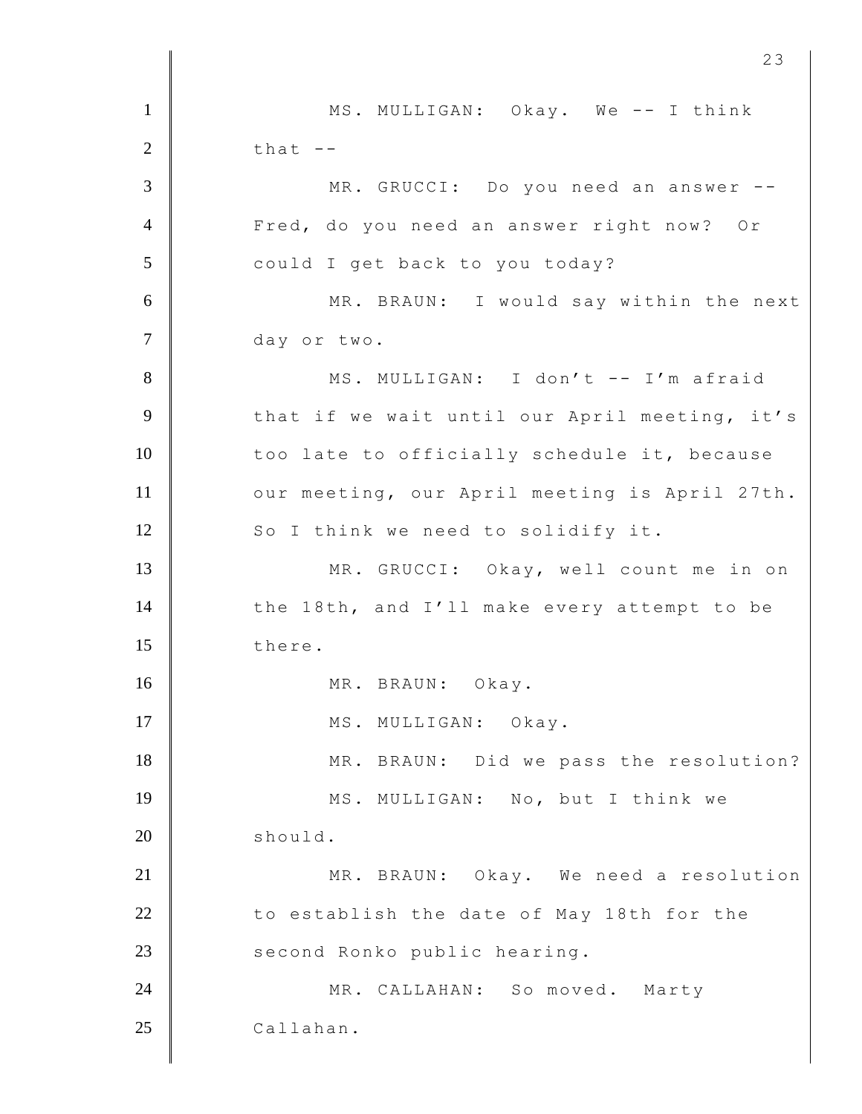1 | MS. MULLIGAN: Okay. We -- I think  $2 \parallel$  that  $-$ 3 MR. GRUCCI: Do you need an answer -- 4 Fred, do you need an answer right now? Or 5 could I get back to you today? 6 MR. BRAUN: I would say within the next 7 day or two. 8 | MS. MULLIGAN: I don't -- I'm afraid 9 that if we wait until our April meeting, it's 10 | too late to officially schedule it, because 11 | our meeting, our April meeting is April 27th. 12 So I think we need to solidify it. 13 MR. GRUCCI: Okay, well count me in on 14 the 18th, and I'll make every attempt to be 15 there. 16 MR. BRAUN: Okay. 17 | MS. MULLIGAN: Okay. 18 MR. BRAUN: Did we pass the resolution? 19 MS. MULLIGAN: No, but I think we 20 should. 21 MR. BRAUN: Okay. We need a resolution 22 to establish the date of May 18th for the 23 second Ronko public hearing. 24 MR. CALLAHAN: So moved. Marty 25 Callahan.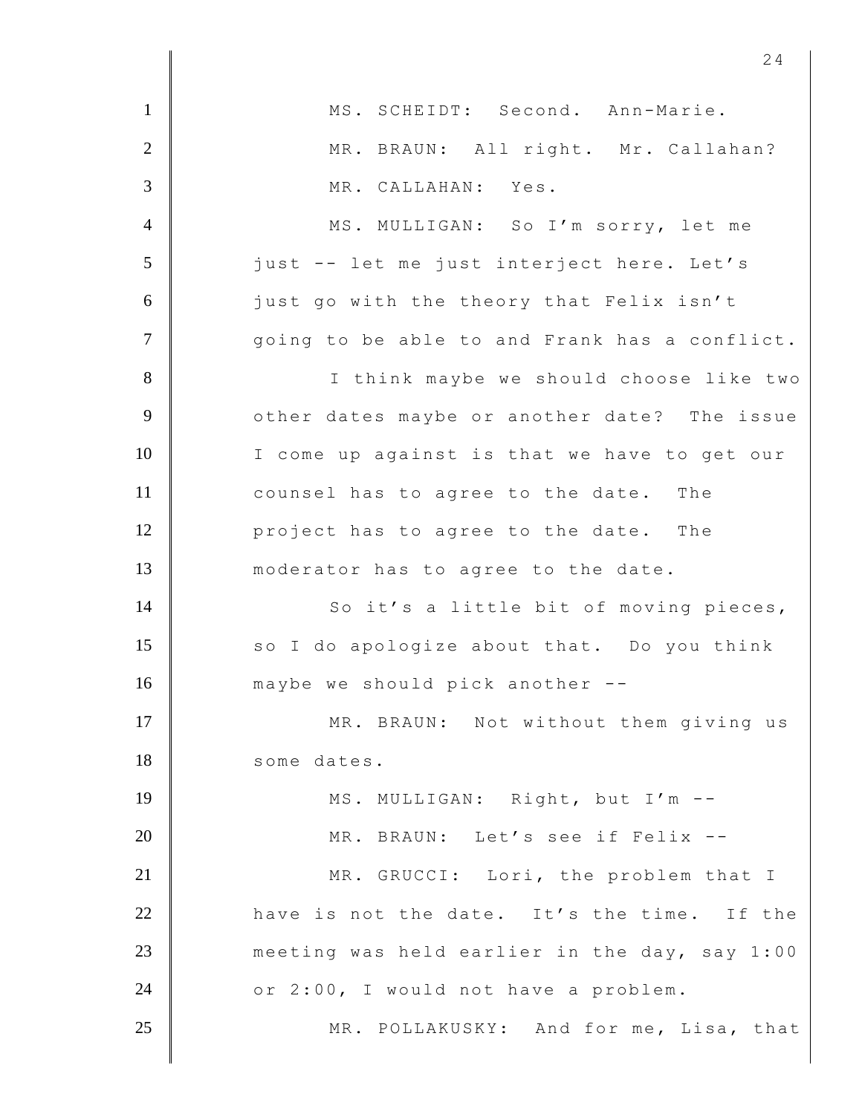|                | 24                                            |
|----------------|-----------------------------------------------|
| $\mathbf{1}$   | MS. SCHEIDT: Second. Ann-Marie.               |
| $\overline{2}$ | MR. BRAUN: All right. Mr. Callahan?           |
| 3              | MR. CALLAHAN: Yes.                            |
| $\overline{4}$ | MS. MULLIGAN: So I'm sorry, let me            |
| 5              | just -- let me just interject here. Let's     |
| 6              | just go with the theory that Felix isn't      |
| $\tau$         | going to be able to and Frank has a conflict. |
| $8\phantom{.}$ | I think maybe we should choose like two       |
| 9              | other dates maybe or another date? The issue  |
| 10             | I come up against is that we have to get our  |
| 11             | counsel has to agree to the date. The         |
| 12             | project has to agree to the date. The         |
| 13             | moderator has to agree to the date.           |
| 14             | So it's a little bit of moving pieces,        |
| 15             | so I do apologize about that. Do you think    |
| 16             | maybe we should pick another --               |
| 17             | MR. BRAUN: Not without them giving us         |
| 18             | some dates.                                   |
| 19             | MS. MULLIGAN: Right, but I'm --               |
| 20             | MR. BRAUN: Let's see if Felix --              |
| 21             | MR. GRUCCI: Lori, the problem that I          |
| 22             | have is not the date. It's the time. If the   |
| 23             | meeting was held earlier in the day, say 1:00 |
| 24             | or 2:00, I would not have a problem.          |
| 25             | MR. POLLAKUSKY: And for me, Lisa, that        |
|                |                                               |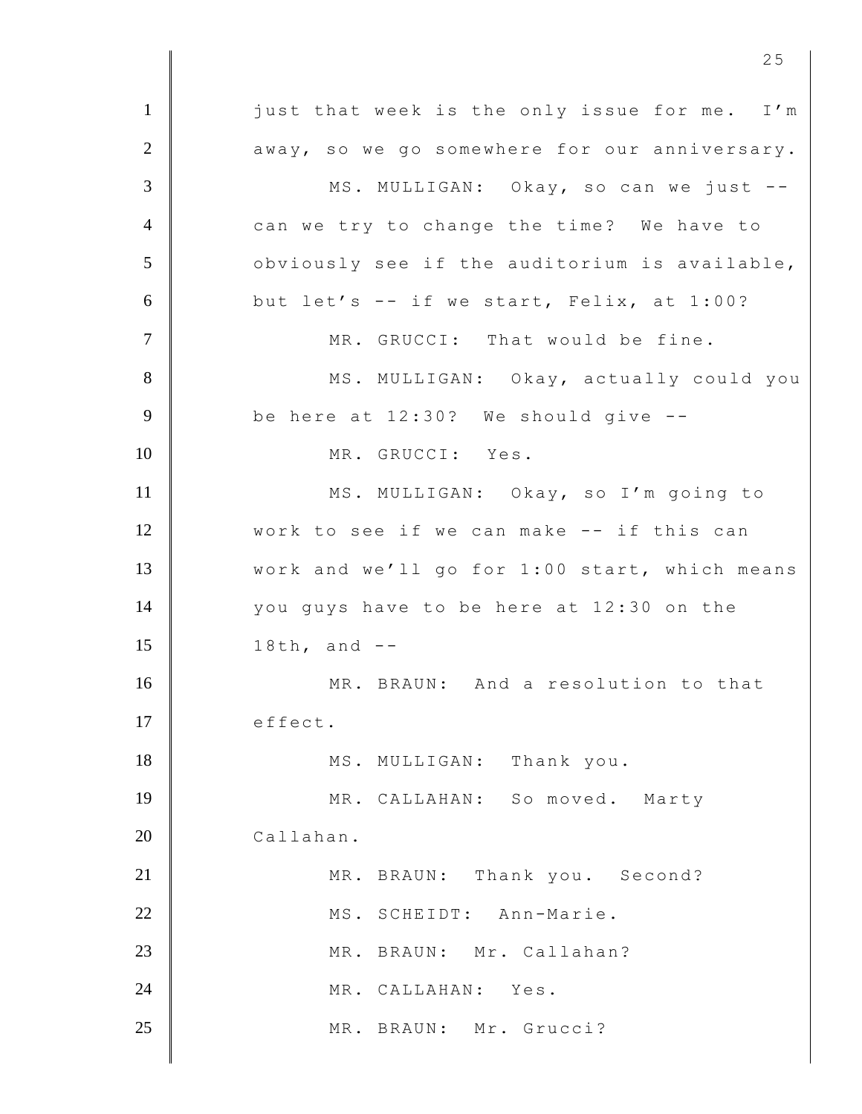1 just that week is the only issue for me. I'm  $2$   $\parallel$  away, so we go somewhere for our anniversary. 3 | MS. MULLIGAN: Okay, so can we just --4 can we try to change the time? We have to  $5$   $\parallel$  obviously see if the auditorium is available,  $6$  but let's -- if we start, Felix, at 1:00? 7 MR. GRUCCI: That would be fine. 8 | MS. MULLIGAN: Okay, actually could you  $9 \parallel$  be here at 12:30? We should give  $-$ 10 MR. GRUCCI: Yes. 11 | MS. MULLIGAN: Okay, so I'm going to 12 Work to see if we can make -- if this can 13 Work and we'll go for 1:00 start, which means 14 you guys have to be here at 12:30 on the 15 **18th, and --**16 MR. BRAUN: And a resolution to that 17 effect. 18 MS. MULLIGAN: Thank you. 19 MR. CALLAHAN: So moved. Marty 20 Callahan. 21 MR. BRAUN: Thank you. Second? 22 MS. SCHEIDT: Ann-Marie. 23 MR. BRAUN: Mr. Callahan? 24 MR. CALLAHAN: Yes. 25 MR. BRAUN: Mr. Grucci?

<u>25</u>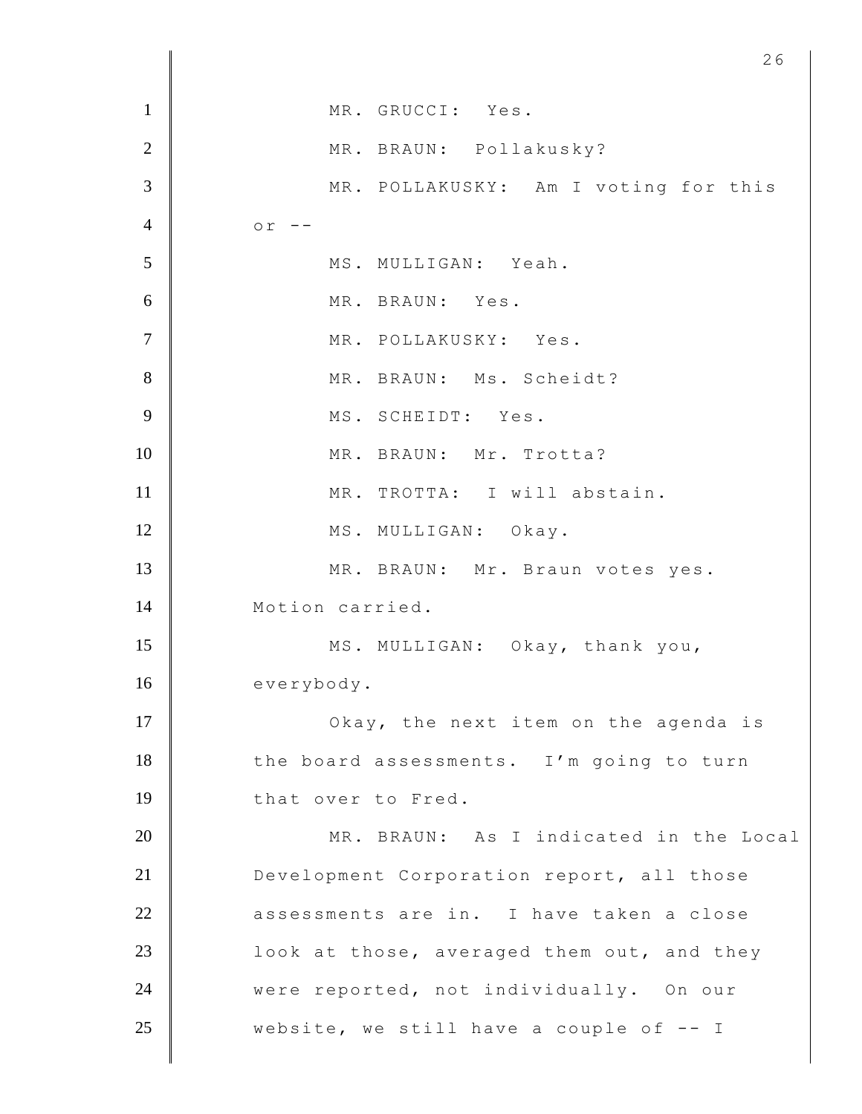| $\mathbf{1}$   | MR. GRUCCI: Yes.                           |
|----------------|--------------------------------------------|
| $\overline{2}$ | MR. BRAUN: Pollakusky?                     |
| 3              | MR. POLLAKUSKY: Am I voting for this       |
| $\overline{4}$ | $or$ --                                    |
| 5              | MS. MULLIGAN: Yeah.                        |
| 6              | MR. BRAUN: Yes.                            |
| $\overline{7}$ | MR. POLLAKUSKY: Yes.                       |
| $8\,$          | MR. BRAUN: Ms. Scheidt?                    |
| 9              | MS. SCHEIDT: Yes.                          |
| 10             | MR. BRAUN: Mr. Trotta?                     |
| 11             | MR. TROTTA: I will abstain.                |
| 12             | MS. MULLIGAN: Okay.                        |
| 13             | MR. BRAUN: Mr. Braun votes yes.            |
| 14             | Motion carried.                            |
| 15             | MS. MULLIGAN: Okay, thank you,             |
| 16             | everybody.                                 |
| 17             | Okay, the next item on the agenda is       |
| 18             | the board assessments. I'm going to turn   |
| 19             | that over to Fred.                         |
| 20             | MR. BRAUN: As I indicated in the Local     |
| 21             | Development Corporation report, all those  |
| 22             | assessments are in. I have taken a close   |
| 23             | look at those, averaged them out, and they |
| 24             | were reported, not individually. On our    |
| 25             | website, we still have a couple of $-$ I   |
|                |                                            |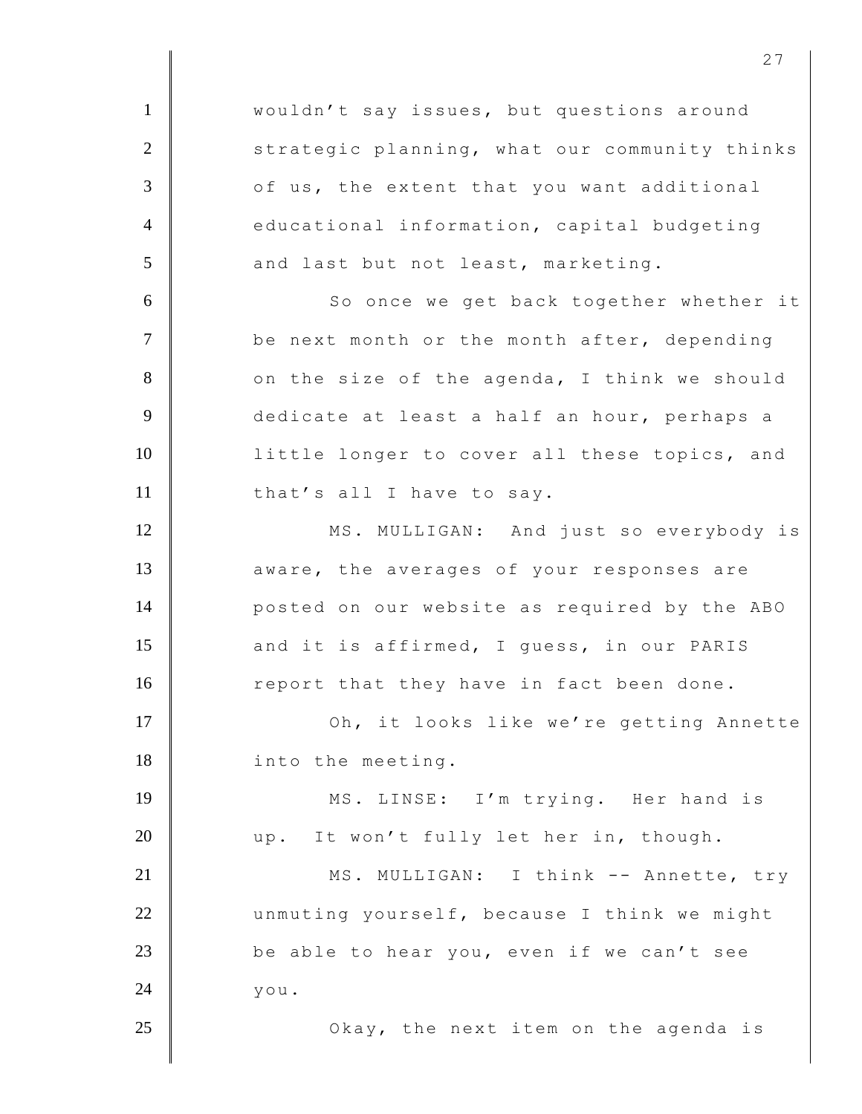1 | wouldn't say issues, but questions around 2 Strategic planning, what our community thinks 3 of us, the extent that you want additional 4 educational information, capital budgeting  $5$  and last but not least, marketing. 6 | So once we get back together whether it 7 be next month or the month after, depending 8 on the size of the agenda, I think we should 9 dedicate at least a half an hour, perhaps a 10 | little longer to cover all these topics, and 11 that's all I have to say. 12 MS. MULLIGAN: And just so everybody is 13 **A** aware, the averages of your responses are 14 **posted on our website as required by the ABO** 15 and it is affirmed, I guess, in our PARIS 16 report that they have in fact been done. 17 | Oh, it looks like we're getting Annette 18 into the meeting. 19 || MS. LINSE: I'm trying. Her hand is 20 up. It won't fully let her in, though. 21 MS. MULLIGAN: I think -- Annette, try 22 unmuting yourself, because I think we might 23  $\parallel$  be able to hear you, even if we can't see  $24$  you. 25 **Okay, the next item on the agenda is** 

<u>27</u>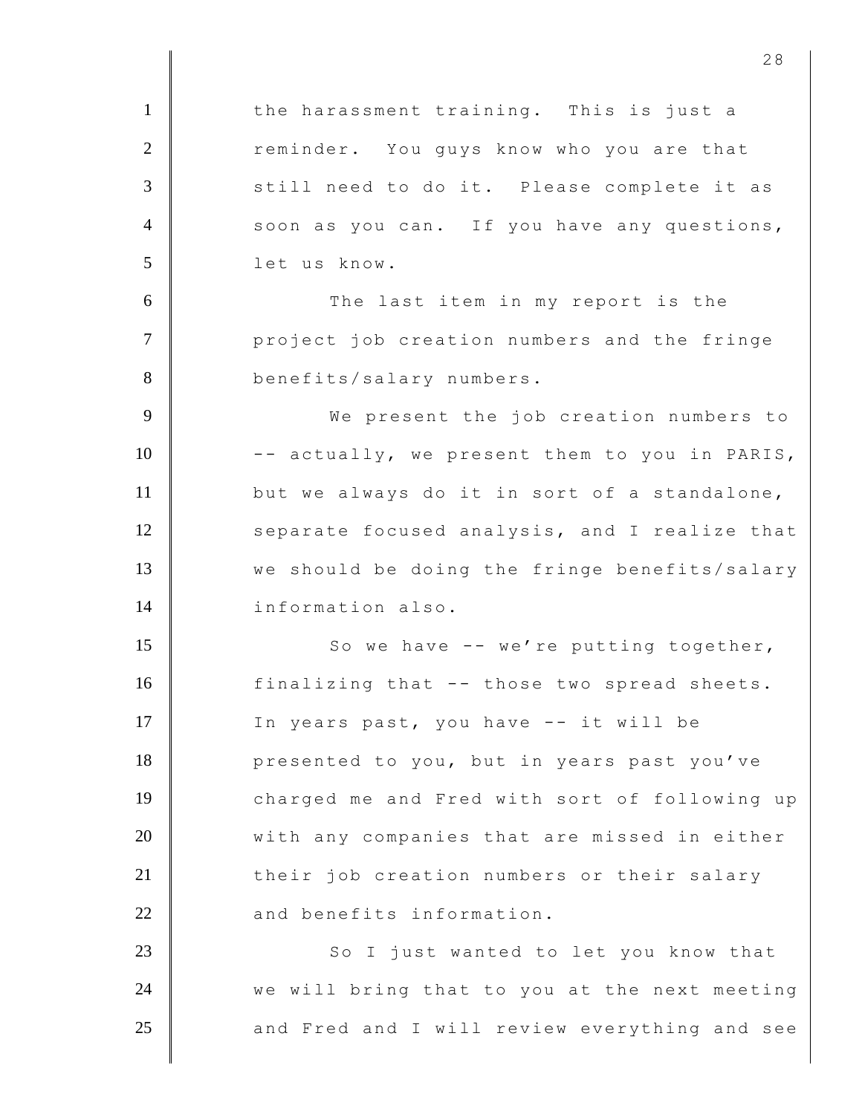1 | the harassment training. This is just a 2 reminder. You guys know who you are that 3 still need to do it. Please complete it as 4 soon as you can. If you have any questions, 5 let us know. 6 The last item in my report is the 7 **Parameter** job creation numbers and the fringe 8 benefits/salary numbers. 9 We present the job creation numbers to 10 -- actually, we present them to you in PARIS, 11 but we always do it in sort of a standalone, 12 separate focused analysis, and I realize that 13 we should be doing the fringe benefits/salary 14 information also. 15 | So we have -- we're putting together, 16 finalizing that -- those two spread sheets. 17 | In years past, you have -- it will be 18 **presented to you, but in years past you've** 19 charged me and Fred with sort of following up 20 With any companies that are missed in either 21 their job creation numbers or their salary  $22$   $\parallel$  and benefits information. 23 | So I just wanted to let you know that 24  $\parallel$  we will bring that to you at the next meeting 25 and Fred and I will review everything and see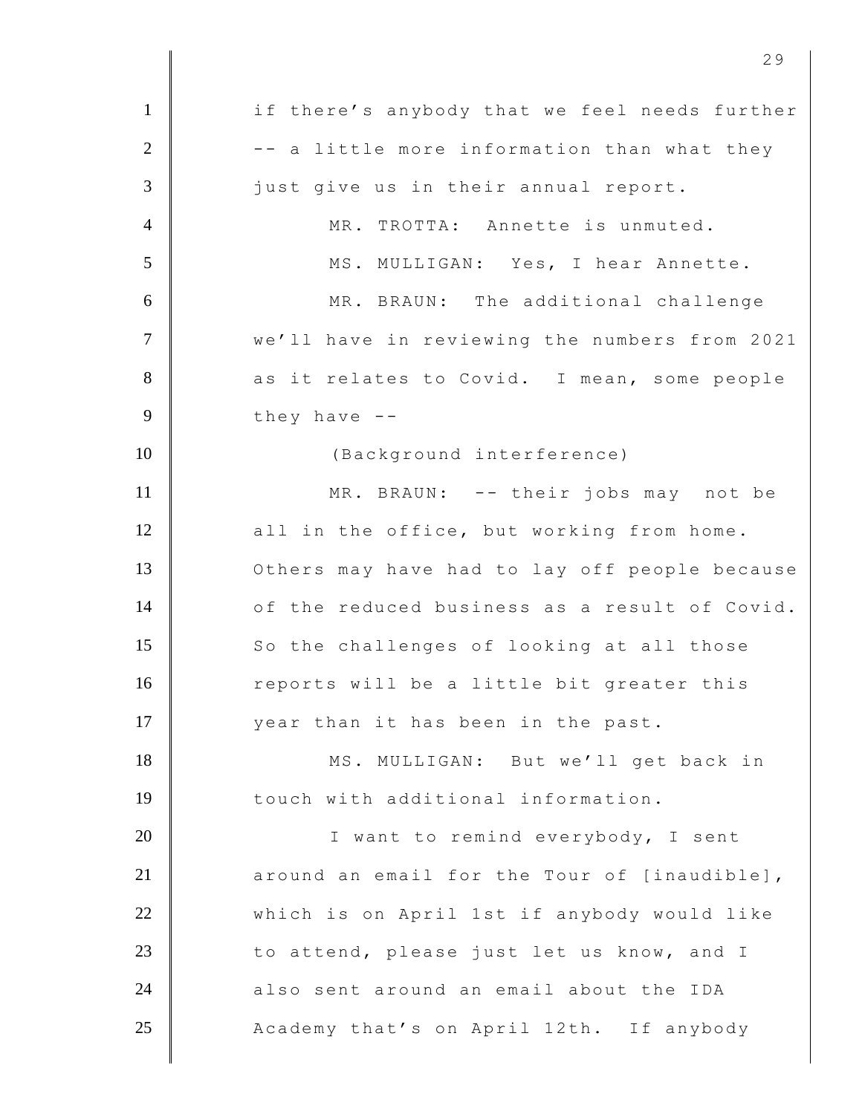1 if there's anybody that we feel needs further  $2$   $\parallel$  -- a little more information than what they 3 just give us in their annual report. 4 MR. TROTTA: Annette is unmuted. 5 MS. MULLIGAN: Yes, I hear Annette. 6 MR. BRAUN: The additional challenge 7 We'll have in reviewing the numbers from 2021 8 as it relates to Covid. I mean, some people  $9 \parallel$  they have  $-$ 10 | (Background interference) 11 | MR. BRAUN: -- their jobs may not be 12 | all in the office, but working from home. 13 **Others may have had to lay off people because** 14 of the reduced business as a result of Covid. 15 So the challenges of looking at all those 16 reports will be a little bit greater this 17 year than it has been in the past. 18 MS. MULLIGAN: But we'll get back in 19 touch with additional information. 20 I want to remind everybody, I sent 21  $\parallel$  around an email for the Tour of [inaudible], 22 which is on April 1st if anybody would like 23 to attend, please just let us know, and I  $24$   $\parallel$  also sent around an email about the IDA 25 Academy that's on April 12th. If anybody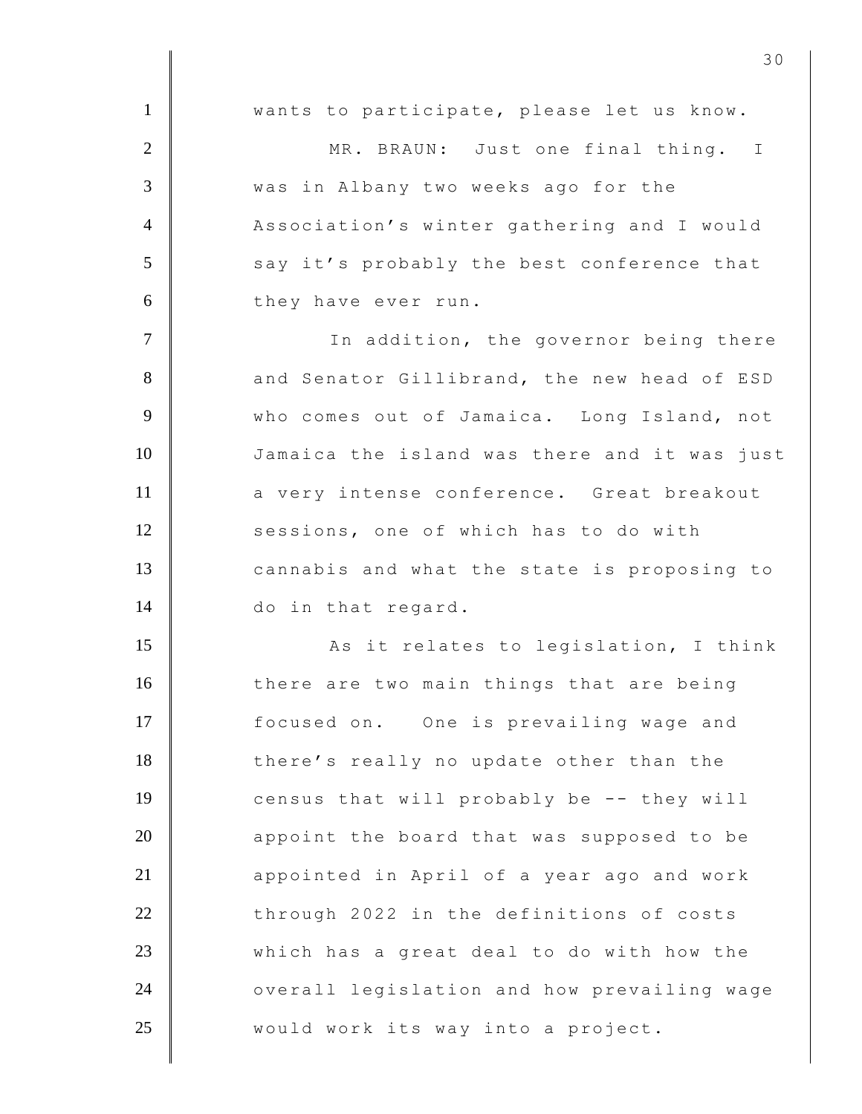1 wants to participate, please let us know. 2 MR. BRAUN: Just one final thing. I 3 was in Albany two weeks ago for the 4 Association's winter gathering and I would 5 say it's probably the best conference that 6 they have ever run. 7 | The addition, the governor being there 8 and Senator Gillibrand, the new head of ESD 9 Who comes out of Jamaica. Long Island, not 10 Jamaica the island was there and it was just 11 a very intense conference. Great breakout 12 sessions, one of which has to do with 13 cannabis and what the state is proposing to 14 do in that regard. 15 | Resit relates to legislation, I think 16 there are two main things that are being 17 **focused on.** One is prevailing wage and 18 there's really no update other than the 19 census that will probably be -- they will  $20$   $\parallel$  appoint the board that was supposed to be 21 **appointed in April of a year ago and work** 22 through 2022 in the definitions of costs 23 which has a great deal to do with how the 24 | overall legislation and how prevailing wage 25 | would work its way into a project.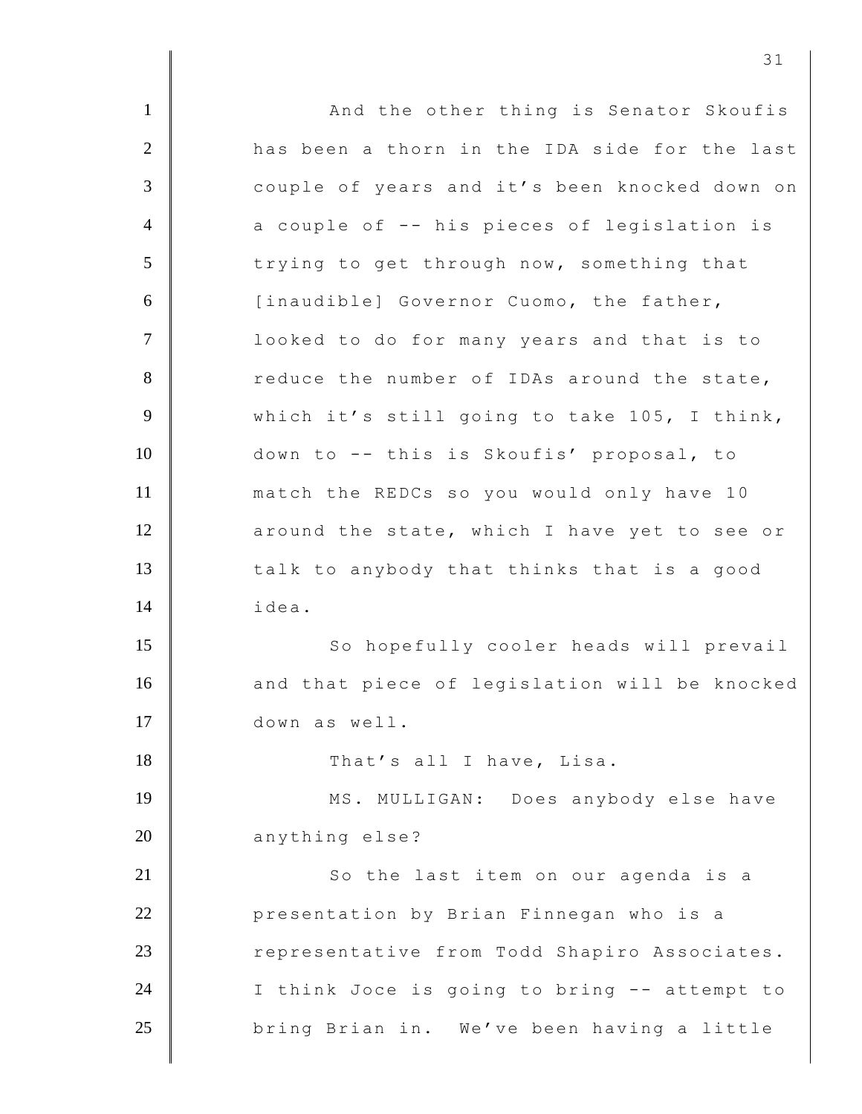1 **And the other thing is Senator Skoufis** 2 has been a thorn in the IDA side for the last 3 couple of years and it's been knocked down on 4 a couple of -- his pieces of legislation is 5 trying to get through now, something that 6 [inaudible] Governor Cuomo, the father, 7 | looked to do for many years and that is to 8 reduce the number of IDAs around the state, 9 Which it's still going to take 105, I think, 10 down to -- this is Skoufis' proposal, to 11 match the REDCs so you would only have 10 12 **axound the state, which I have yet to see or** 13 talk to anybody that thinks that is a good 14 idea. 15 | So hopefully cooler heads will prevail 16 and that piece of legislation will be knocked 17 down as well. 18 That's all I have, Lisa. 19 | MS. MULLIGAN: Does anybody else have 20 anything else? 21 **So the last item on our agenda is a** 22 **Quart** 22 **Quart Presentation by Brian Finnegan who is a** 23 Tepresentative from Todd Shapiro Associates. 24 I think Joce is going to bring -- attempt to 25 **bring Brian in.** We've been having a little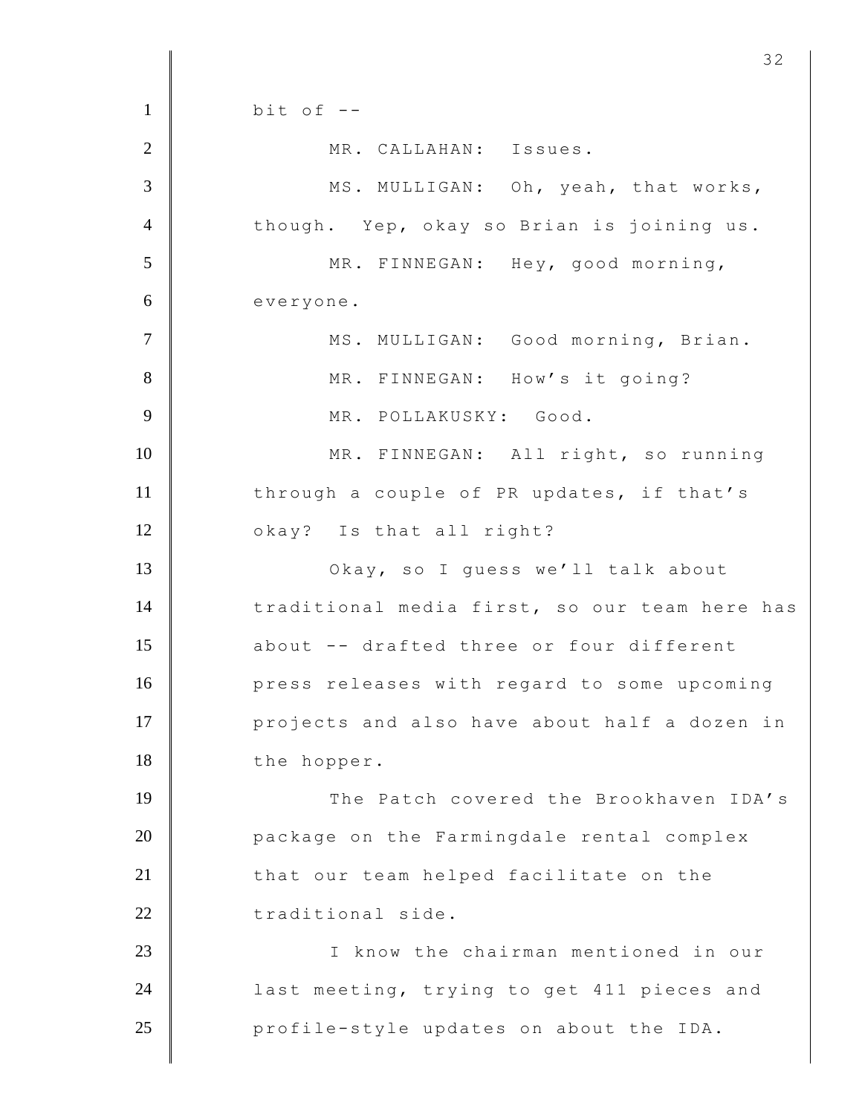$1 \parallel$  bit of  $-$ 2 MR. CALLAHAN: Issues. 3 MS. MULLIGAN: Oh, yeah, that works, 4 though. Yep, okay so Brian is joining us. 5 MR. FINNEGAN: Hey, good morning, 6 everyone. 7 | MS. MULLIGAN: Good morning, Brian. 8 MR. FINNEGAN: How's it going? 9 MR. POLLAKUSKY: Good. 10 | MR. FINNEGAN: All right, so running 11 through a couple of PR updates, if that's 12 okay? Is that all right? 13 | Okay, so I guess we'll talk about 14 traditional media first, so our team here has 15 about -- drafted three or four different 16 **press releases with regard to some upcoming** 17 **projects and also have about half a dozen in** 18 the hopper. 19 The Patch covered the Brookhaven IDA's 20 **package on the Farmingdale rental complex** 21 that our team helped facilitate on the 22 traditional side. 23 I know the chairman mentioned in our 24 **| last meeting, trying to get 411 pieces and** 25 **profile-style updates on about the IDA.**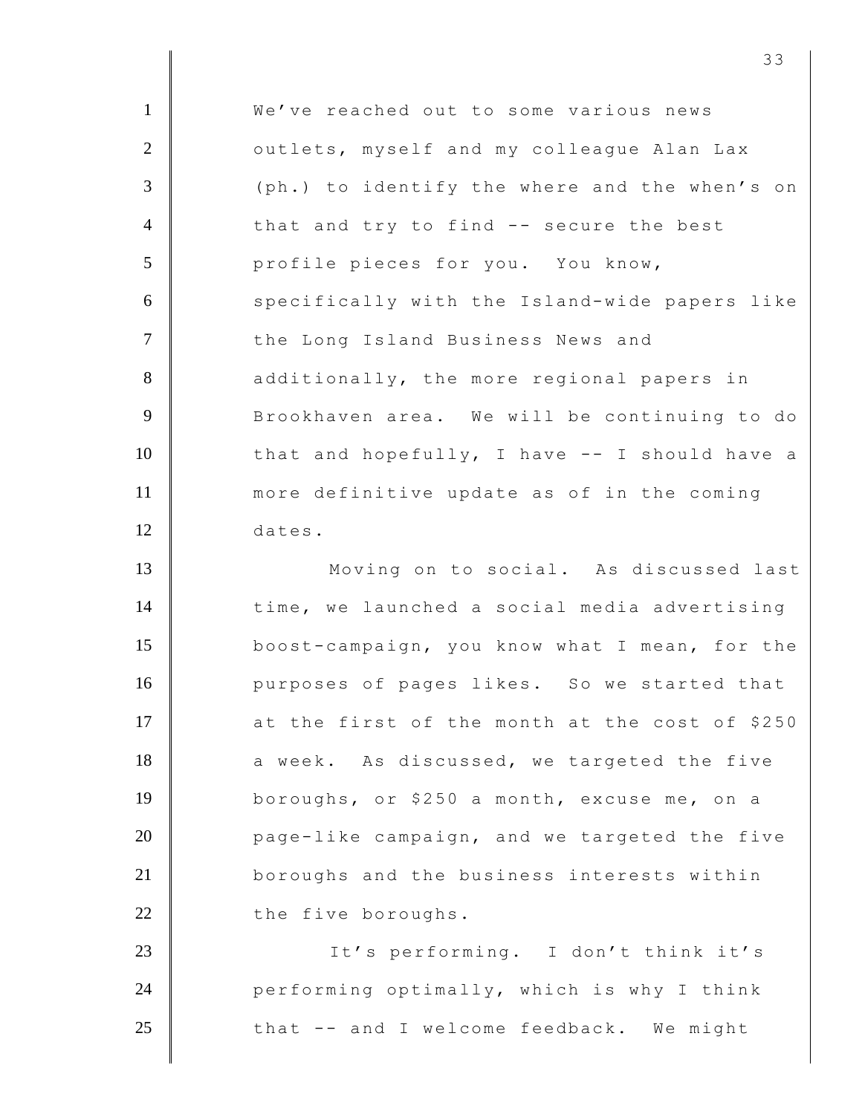| $\mathbf{1}$   | We've reached out to some various news         |
|----------------|------------------------------------------------|
| $\mathbf{2}$   | outlets, myself and my colleague Alan Lax      |
| 3              | (ph.) to identify the where and the when's on  |
| $\overline{4}$ | that and try to find -- secure the best        |
| 5              | profile pieces for you. You know,              |
| 6              | specifically with the Island-wide papers like  |
| $\overline{7}$ | the Long Island Business News and              |
| $8\,$          | additionally, the more regional papers in      |
| 9              | Brookhaven area. We will be continuing to do   |
| 10             | that and hopefully, I have -- I should have a  |
| 11             | more definitive update as of in the coming     |
| 12             | dates.                                         |
| 13             | Moving on to social. As discussed last         |
| 14             | time, we launched a social media advertising   |
| 15             | boost-campaign, you know what I mean, for the  |
| 16             | purposes of pages likes. So we started that    |
| 17             | at the first of the month at the cost of \$250 |
| 18             | a week. As discussed, we targeted the five     |
| 19             | boroughs, or \$250 a month, excuse me, on a    |
| 20             | page-like campaign, and we targeted the five   |
| 21             | boroughs and the business interests within     |
| 22             | the five boroughs.                             |
| 23             | It's performing. I don't think it's            |
| 24             | performing optimally, which is why I think     |
| 25             | that -- and I welcome feedback. We might       |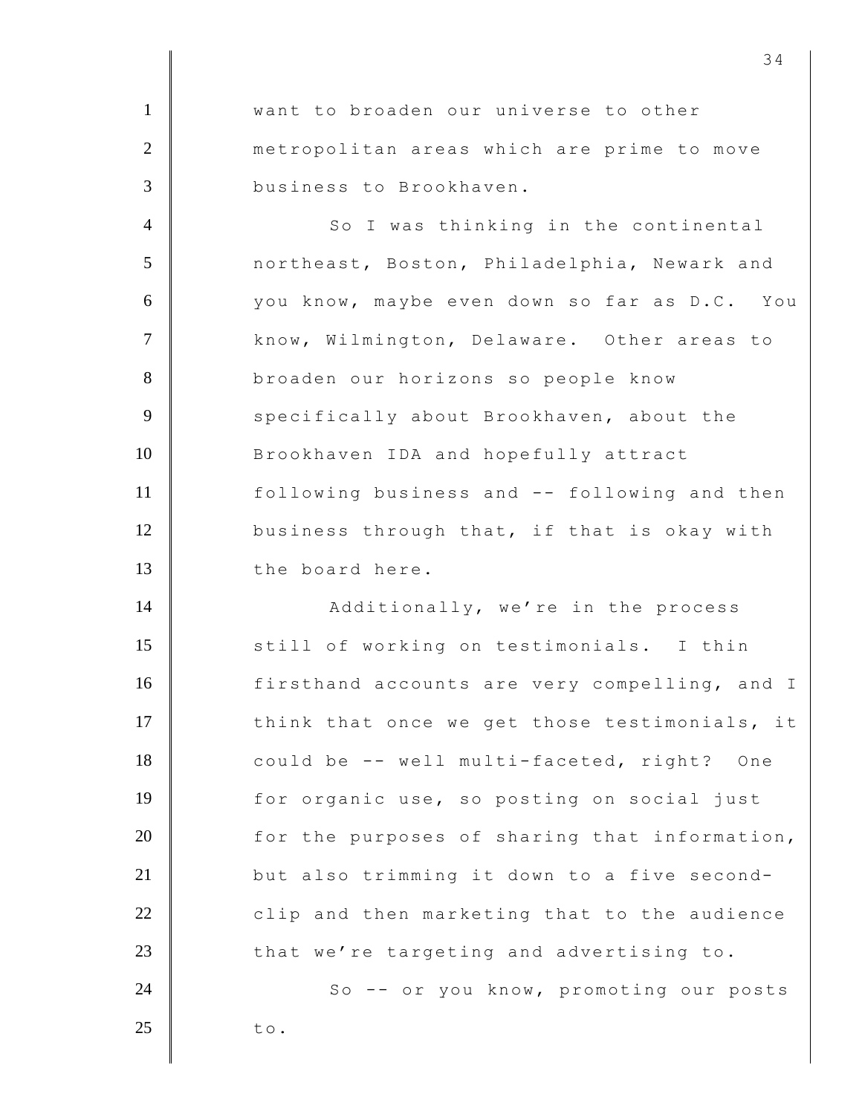**Want to broaden our universe to other metropolitan areas which are prime to move**  business to Brookhaven. 4 So I was thinking in the continental

5 northeast, Boston, Philadelphia, Newark and 6 you know, maybe even down so far as D.C. You 7 | know, Wilmington, Delaware. Other areas to 8 broaden our horizons so people know 9 Specifically about Brookhaven, about the 10 Brookhaven IDA and hopefully attract 11 following business and -- following and then 12 business through that, if that is okay with 13 the board here.

14 | Additionally, we're in the process 15 Still of working on testimonials. I thin 16 firsthand accounts are very compelling, and I 17 think that once we get those testimonials, it 18 could be -- well multi-faceted, right? One 19 for organic use, so posting on social just  $20$   $\parallel$  for the purposes of sharing that information, 21 but also trimming it down to a five second- $22$   $\parallel$  clip and then marketing that to the audience 23 that we're targeting and advertising to. 24 | So -- or you know, promoting our posts

 $25$  to.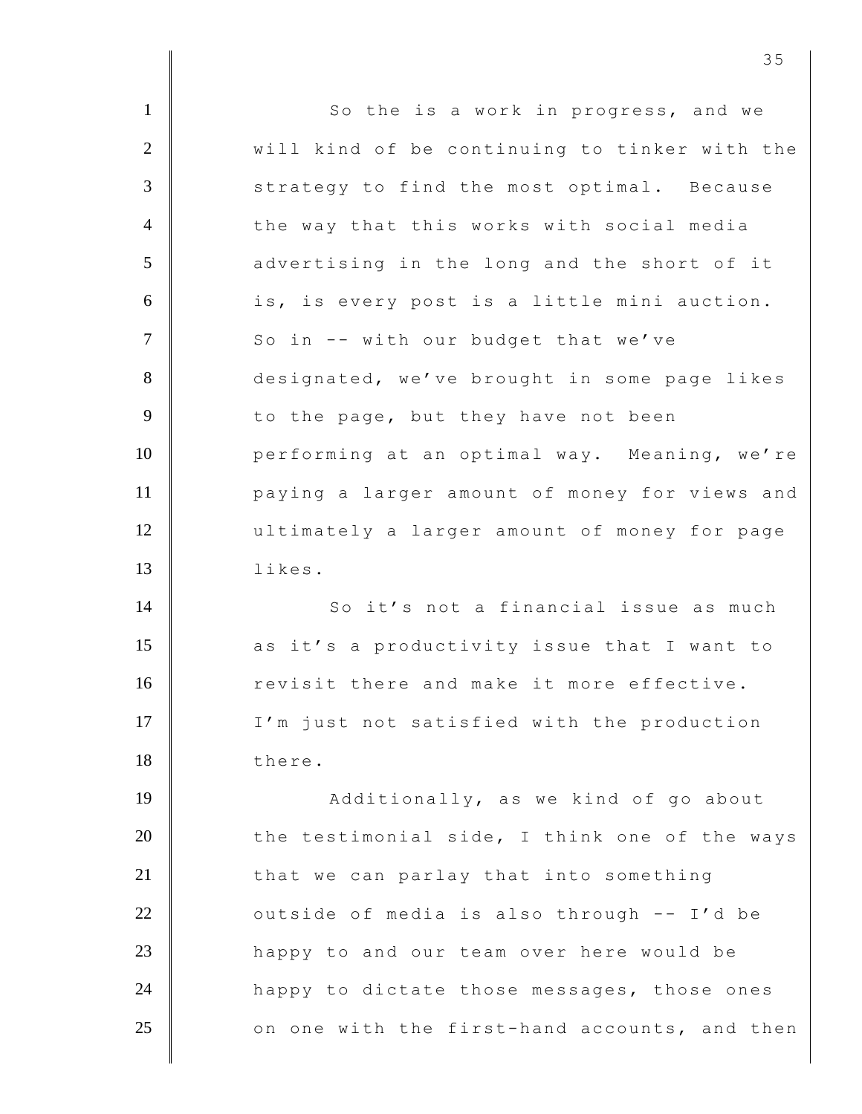| $\mathbf{1}$   | So the is a work in progress, and we          |
|----------------|-----------------------------------------------|
| $\overline{2}$ | will kind of be continuing to tinker with the |
| 3              | strategy to find the most optimal. Because    |
| $\overline{4}$ | the way that this works with social media     |
| 5              | advertising in the long and the short of it   |
| 6              | is, is every post is a little mini auction.   |
| $\overline{7}$ | So in -- with our budget that we've           |
| 8              | designated, we've brought in some page likes  |
| 9              | to the page, but they have not been           |
| 10             | performing at an optimal way. Meaning, we're  |
| 11             | paying a larger amount of money for views and |
| 12             | ultimately a larger amount of money for page  |
| 13             | likes.                                        |
| 14             | So it's not a financial issue as much         |
| 15             | as it's a productivity issue that I want to   |
| 16             | revisit there and make it more effective.     |
| 17             | I'm just not satisfied with the production    |
| 18             | there.                                        |
| 19             | Additionally, as we kind of go about          |
| 20             | the testimonial side, I think one of the ways |
| 21             | that we can parlay that into something        |
| 22             | outside of media is also through -- I'd be    |
| 23             | happy to and our team over here would be      |
| 24             | happy to dictate those messages, those ones   |
| 25             | on one with the first-hand accounts, and then |
|                |                                               |

<u>35</u>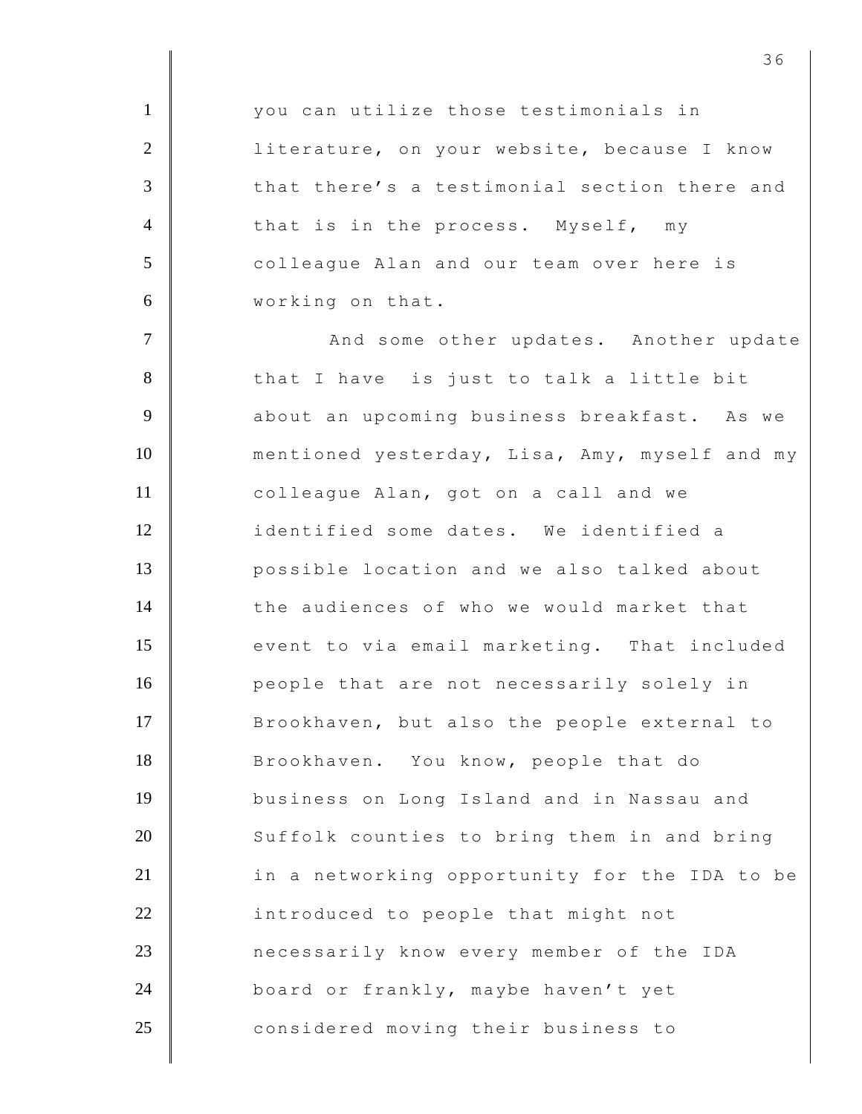1 **Vou can utilize those testimonials in** 2 | literature, on your website, because I know 3 that there's a testimonial section there and 4 that is in the process. Myself, my 5 colleague Alan and our team over here is 6 working on that. 7 | And some other updates. Another update 8 that I have is just to talk a little bit 9 | about an upcoming business breakfast. As we 10 mentioned yesterday, Lisa, Amy, myself and my 11 **colleague Alan, got on a call and we** 12 identified some dates. We identified a 13 possible location and we also talked about 14 the audiences of who we would market that 15 event to via email marketing. That included 16 people that are not necessarily solely in 17 Brookhaven, but also the people external to 18 Brookhaven. You know, people that do 19 business on Long Island and in Nassau and 20 Suffolk counties to bring them in and bring 21 **in a networking opportunity for the IDA to be** 22 **introduced to people that might not** 23 **necessarily know every member of the IDA** 24 board or frankly, maybe haven't yet 25 considered moving their business to

<u>36</u>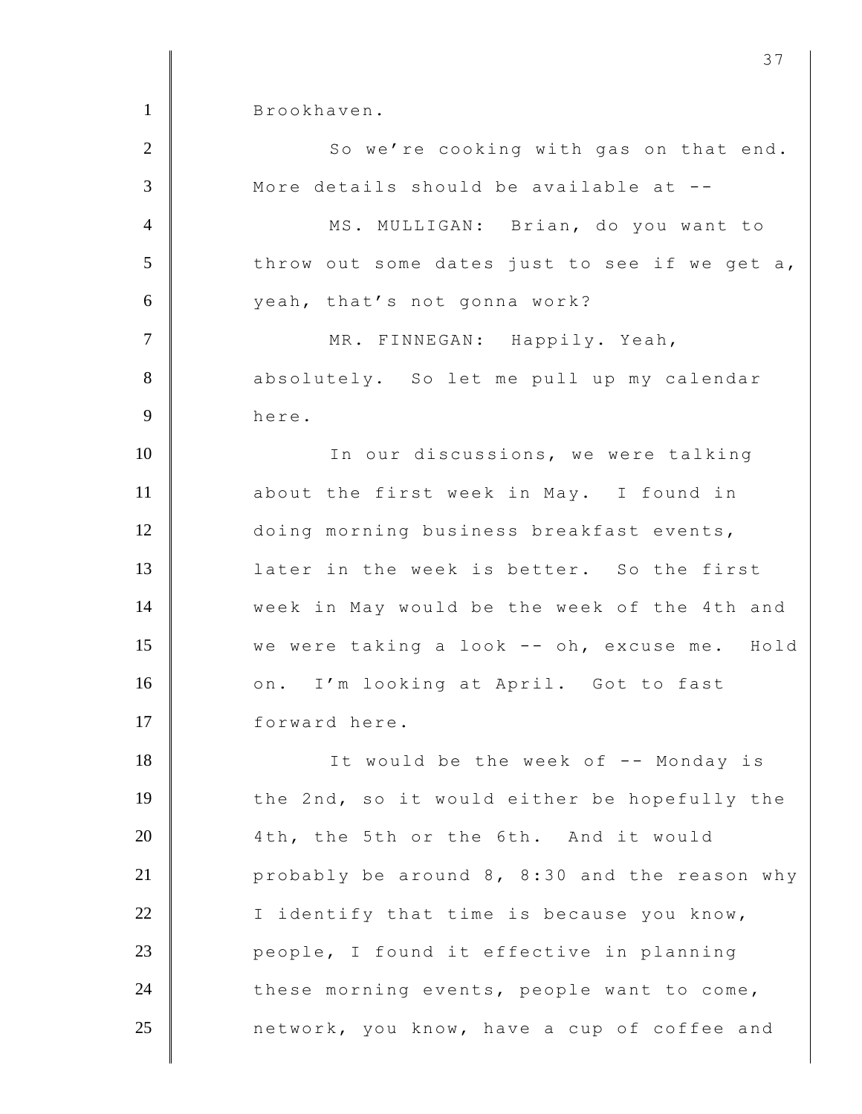1 Brookhaven. 2 | So we're cooking with gas on that end. 3 More details should be available at --4 | MS. MULLIGAN: Brian, do you want to 5 throw out some dates just to see if we get a, 6 yeah, that's not gonna work? 7 | MR. FINNEGAN: Happily. Yeah, 8 absolutely. So let me pull up my calendar 9 here. 10 In our discussions, we were talking 11 about the first week in May. I found in 12 doing morning business breakfast events, 13 later in the week is better. So the first 14 **Week in May would be the week of the 4th and** 15 we were taking a look -- oh, excuse me. Hold 16 on. I'm looking at April. Got to fast 17 forward here. 18 It would be the week of -- Monday is 19 the 2nd, so it would either be hopefully the 20 4th, the 5th or the 6th. And it would 21 **probably be around 8, 8:30 and the reason why** 22  $\parallel$  I identify that time is because you know, 23 **people,** I found it effective in planning 24 these morning events, people want to come, 25 **n** network, you know, have a cup of coffee and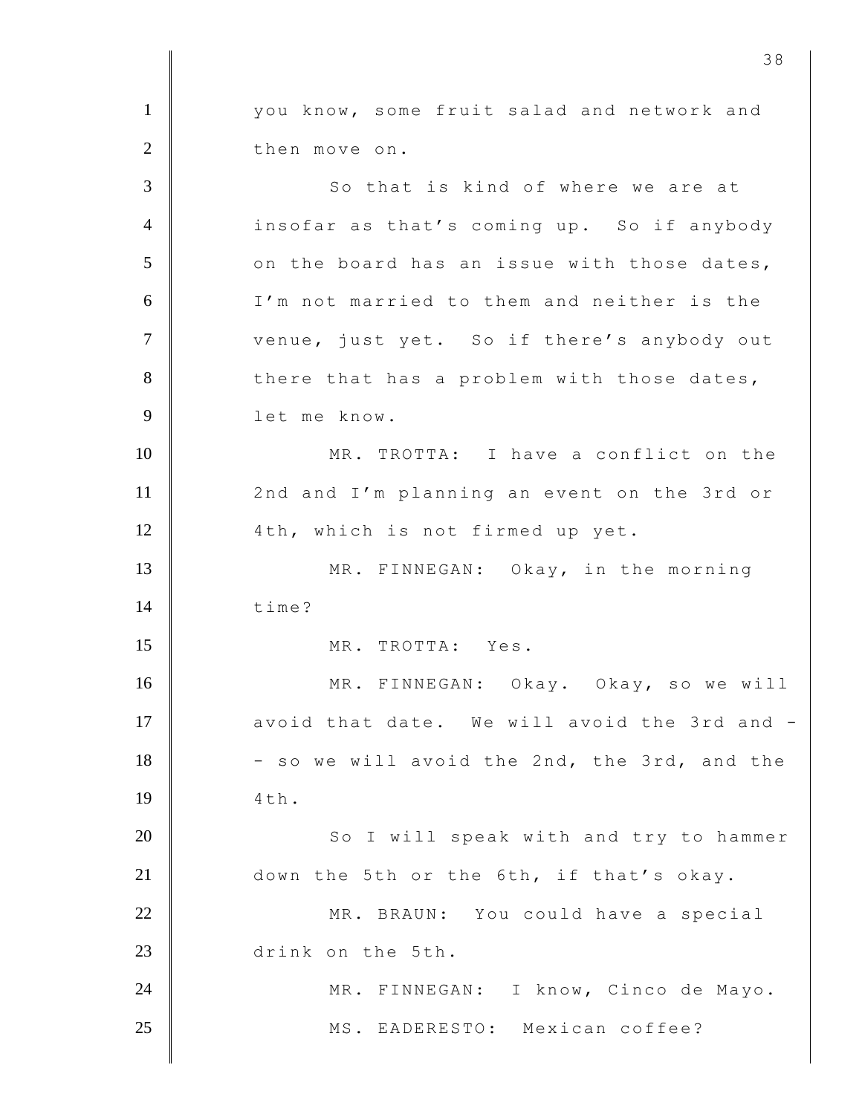1 | vou know, some fruit salad and network and 2 then move on. 3 So that is kind of where we are at 4 insofar as that's coming up. So if anybody  $5$   $\parallel$  on the board has an issue with those dates, 6 I'm not married to them and neither is the 7 venue, just yet. So if there's anybody out 8 there that has a problem with those dates, 9 let me know. 10 MR. TROTTA: I have a conflict on the 11 | 2nd and I'm planning an event on the 3rd or 12 | 4th, which is not firmed up yet. 13 MR. FINNEGAN: Okay, in the morning  $14 \parallel$  time? 15 MR. TROTTA: Yes. 16 MR. FINNEGAN: Okay. Okay, so we will 17 avoid that date. We will avoid the 3rd and - $18$   $-$  so we will avoid the 2nd, the 3rd, and the  $19 \parallel$   $4 \text{th}$ . 20 | So I will speak with and try to hammer 21 down the 5th or the 6th, if that's okay. 22 | MR. BRAUN: You could have a special 23 drink on the 5th. 24 | MR. FINNEGAN: I know, Cinco de Mayo. 25 | MS. EADERESTO: Mexican coffee?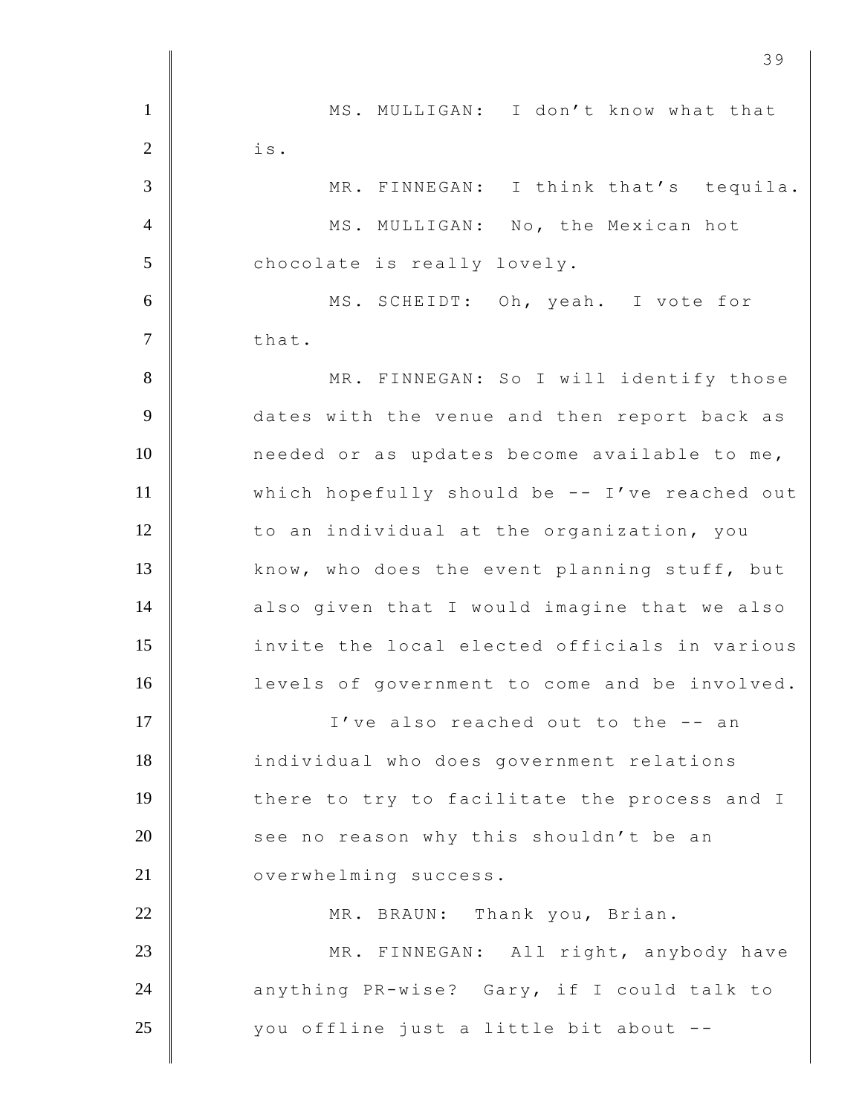1 MS. MULLIGAN: I don't know what that  $2 \parallel$  is. 3 MR. FINNEGAN: I think that's tequila. 4 MS. MULLIGAN: No, the Mexican hot 5 chocolate is really lovely. 6 MS. SCHEIDT: Oh, yeah. I vote for  $7 \parallel$  that. 8 | MR. FINNEGAN: So I will identify those 9 dates with the venue and then report back as 10 needed or as updates become available to me, 11 which hopefully should be -- I've reached out 12 to an individual at the organization, you 13 know, who does the event planning stuff, but 14 also given that I would imagine that we also 15 **invite the local elected officials in various** 16 **levels** of government to come and be involved. 17 I ve also reached out to the -- an 18 individual who does government relations 19 there to try to facilitate the process and I 20 see no reason why this shouldn't be an 21 **Julie 21 Study 21 Study 21 Study 21 Study 20 Study 20 Study 20 Study 20 Study 20 Study 20 Study 20 Study 20 Study 20 Study 20 Study 20 Study 20 Study 20 Study 20 Study 20 Study 20 Study 20 Study 20 Study 20 Study 20 St** 22 MR. BRAUN: Thank you, Brian. 23 MR. FINNEGAN: All right, anybody have 24 anything PR-wise? Gary, if I could talk to 25 you offline just a little bit about --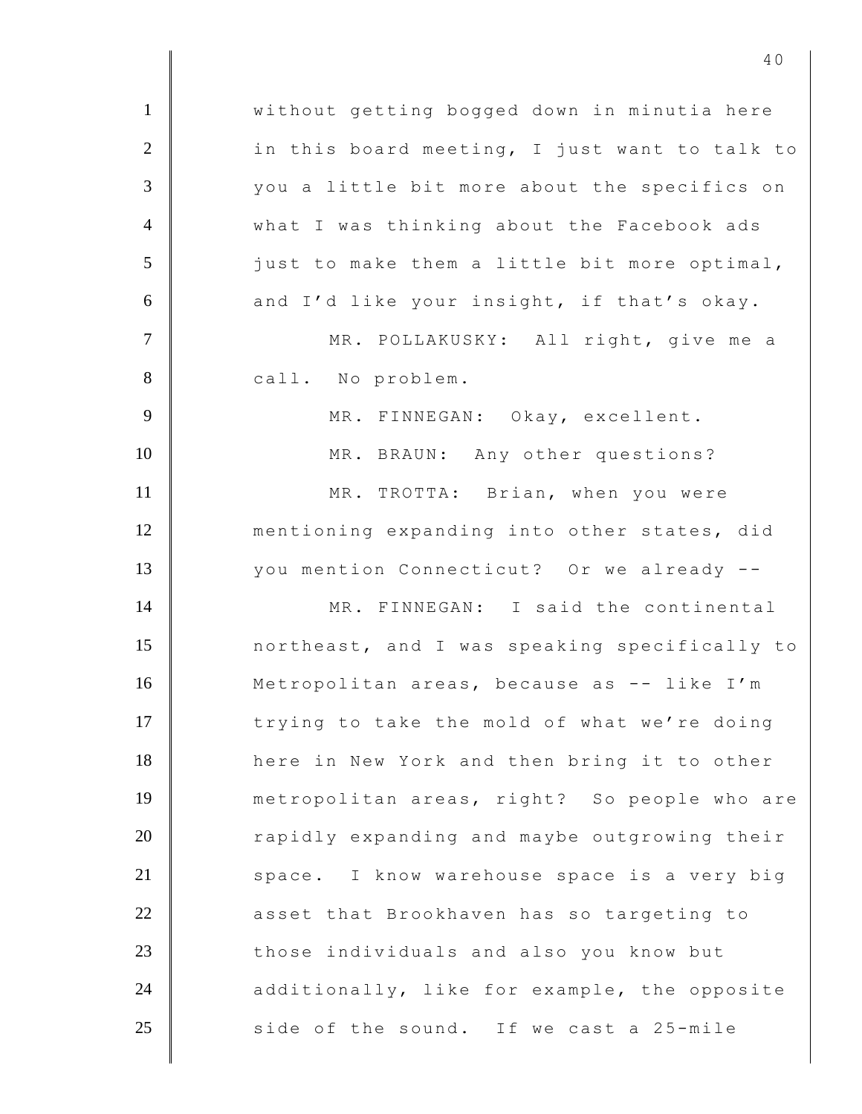1 | without getting bogged down in minutia here  $2$   $\parallel$  in this board meeting, I just want to talk to 3 you a little bit more about the specifics on 4 What I was thinking about the Facebook ads 5 just to make them a little bit more optimal,  $6$  and I'd like your insight, if that's okay. 7 | MR. POLLAKUSKY: All right, give me a 8 call. No problem. 9 MR. FINNEGAN: Okay, excellent. 10 MR. BRAUN: Any other questions? 11 MR. TROTTA: Brian, when you were 12 mentioning expanding into other states, did 13 you mention Connecticut? Or we already --14 MR. FINNEGAN: I said the continental 15 northeast, and I was speaking specifically to 16 Metropolitan areas, because as -- like I'm 17 trying to take the mold of what we're doing 18 here in New York and then bring it to other 19 metropolitan areas, right? So people who are 20 Tapidly expanding and maybe outgrowing their 21 Space. I know warehouse space is a very big 22 asset that Brookhaven has so targeting to 23 those individuals and also you know but 24  $\parallel$  additionally, like for example, the opposite  $25$  side of the sound. If we cast a 25-mile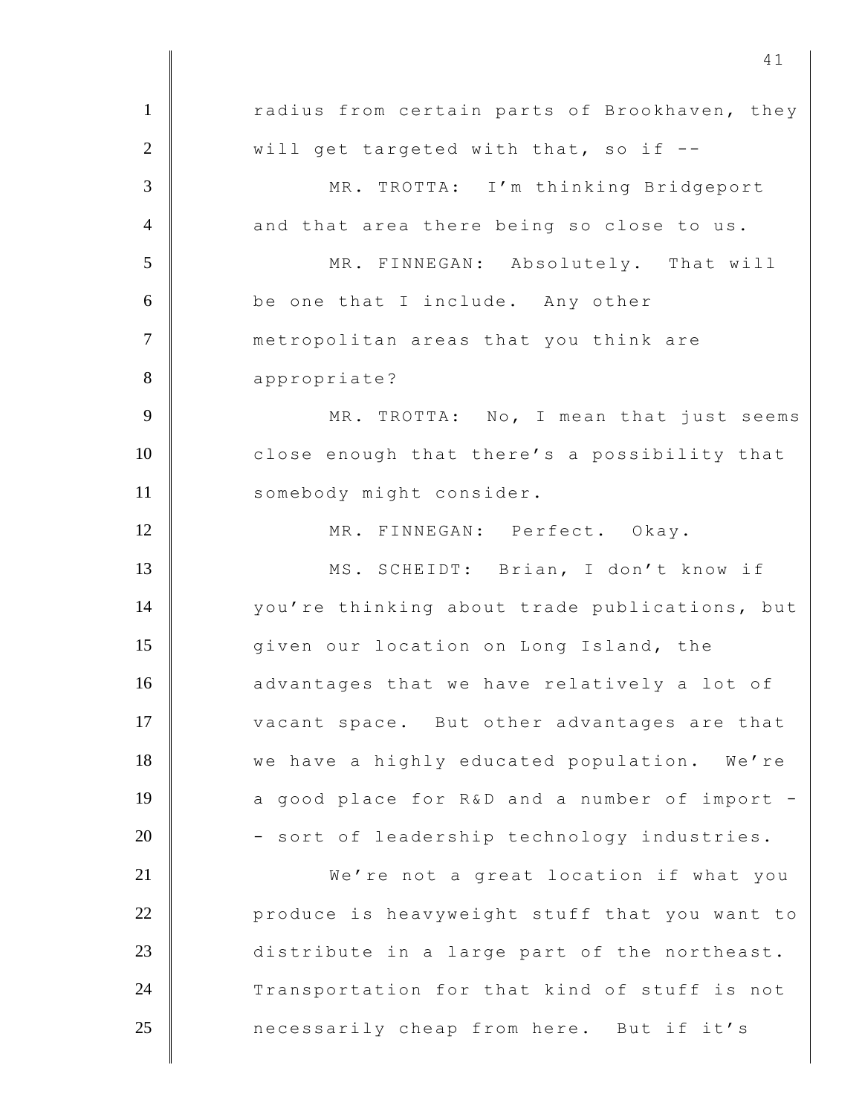| $\mathbf{1}$   | radius from certain parts of Brookhaven, they |
|----------------|-----------------------------------------------|
| $\overline{2}$ | will get targeted with that, so if --         |
| 3              | MR. TROTTA: I'm thinking Bridgeport           |
| $\overline{4}$ | and that area there being so close to us.     |
| 5              | MR. FINNEGAN: Absolutely. That will           |
| 6              | be one that I include. Any other              |
| $\overline{7}$ | metropolitan areas that you think are         |
| 8              | appropriate?                                  |
| 9              | MR. TROTTA: No, I mean that just seems        |
| 10             | close enough that there's a possibility that  |
| 11             | somebody might consider.                      |
| 12             | MR. FINNEGAN: Perfect. Okay.                  |
| 13             | MS. SCHEIDT: Brian, I don't know if           |
| 14             | you're thinking about trade publications, but |
| 15             | given our location on Long Island, the        |
| 16             | advantages that we have relatively a lot of   |
| 17             | vacant space. But other advantages are that   |
| 18             | we have a highly educated population. We're   |
| 19             | a good place for R&D and a number of import - |
| 20             | - sort of leadership technology industries.   |
| 21             | We're not a great location if what you        |
| 22             | produce is heavyweight stuff that you want to |
| 23             | distribute in a large part of the northeast.  |
| 24             | Transportation for that kind of stuff is not  |
| 25             | necessarily cheap from here. But if it's      |
|                |                                               |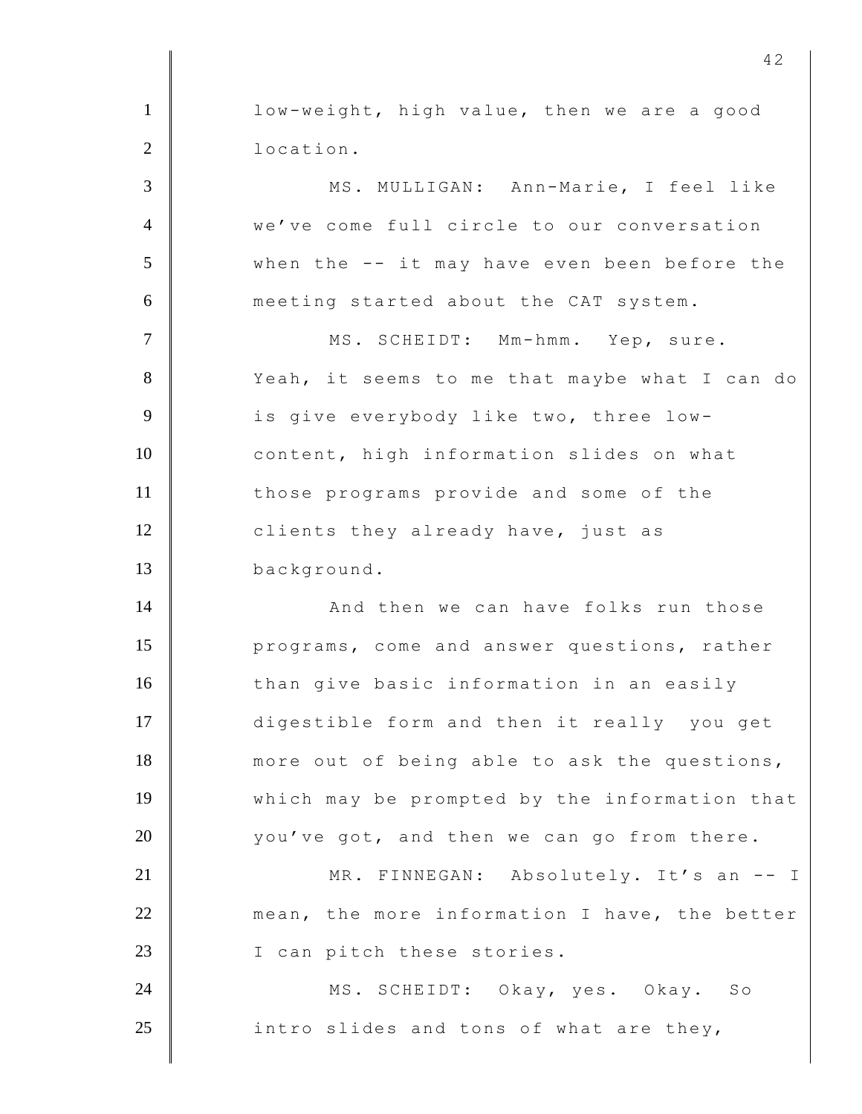1 **l** low-weight, high value, then we are a good 2 **l** location. 3 MS. MULLIGAN: Ann-Marie, I feel like 4 we've come full circle to our conversation 5 when the -- it may have even been before the 6 meeting started about the CAT system. 7 || MS. SCHEIDT: Mm-hmm. Yep, sure. 8 Yeah, it seems to me that maybe what I can do 9 is give everybody like two, three low-10 content, high information slides on what 11 those programs provide and some of the 12 clients they already have, just as 13 background. 14 **And then we can have folks run those** 15 **programs, come and answer questions, rather** 16 than give basic information in an easily 17 digestible form and then it really you get 18 more out of being able to ask the questions, 19 which may be prompted by the information that  $20$   $\parallel$  you've got, and then we can go from there. 21 | MR. FINNEGAN: Absolutely. It's an -- I 22 mean, the more information I have, the better 23 I can pitch these stories. 24 MS. SCHEIDT: Okay, yes. Okay. So  $25$  | intro slides and tons of what are they,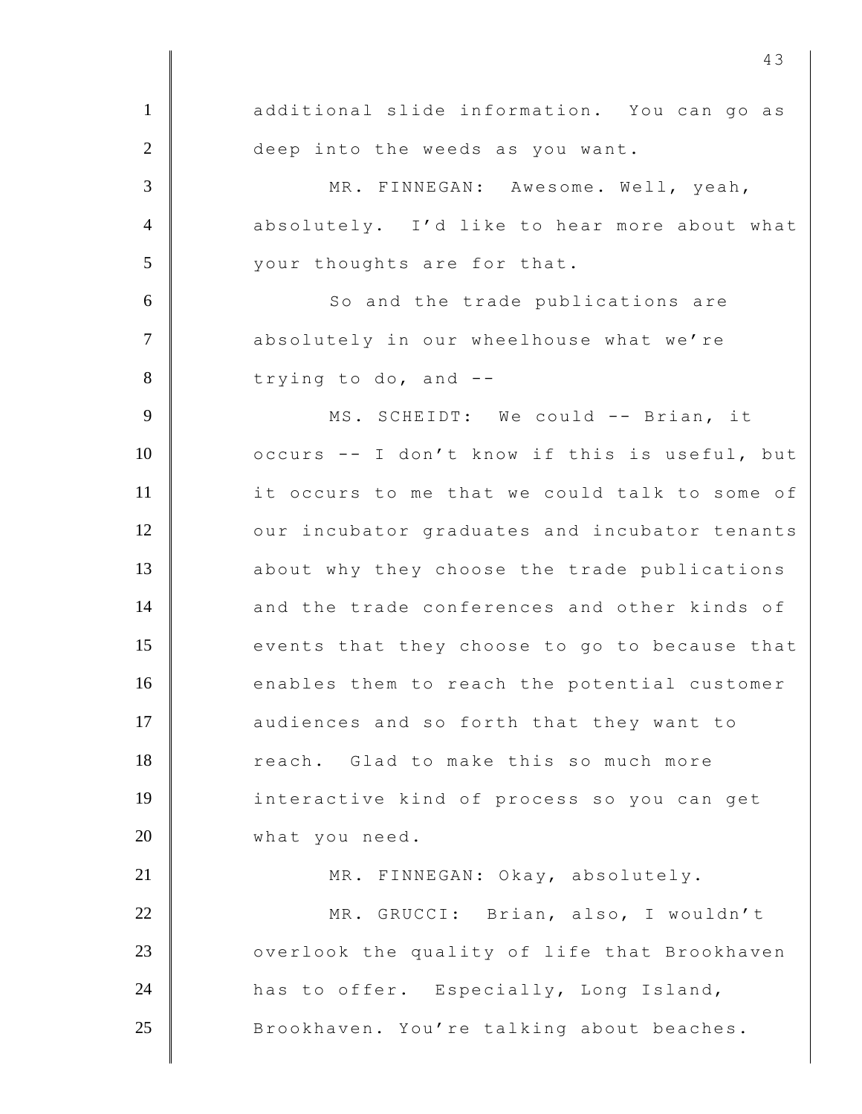1 additional slide information. You can go as 2 deep into the weeds as you want. 3 MR. FINNEGAN: Awesome. Well, yeah, 4 absolutely. I'd like to hear more about what 5 your thoughts are for that. 6 | So and the trade publications are 7 | absolutely in our wheelhouse what we're  $8 \parallel$  trying to do, and  $-$ 9 | MS. SCHEIDT: We could -- Brian, it 10 | occurs -- I don't know if this is useful, but 11 it occurs to me that we could talk to some of 12 | our incubator graduates and incubator tenants 13 about why they choose the trade publications 14 and the trade conferences and other kinds of 15 events that they choose to go to because that 16 enables them to reach the potential customer 17 audiences and so forth that they want to 18 reach. Glad to make this so much more 19 interactive kind of process so you can get 20 what you need. 21 | MR. FINNEGAN: Okay, absolutely. 22 MR. GRUCCI: Brian, also, I wouldn't 23 **O** overlook the quality of life that Brookhaven 24 has to offer. Especially, Long Island, 25 Brookhaven. You're talking about beaches.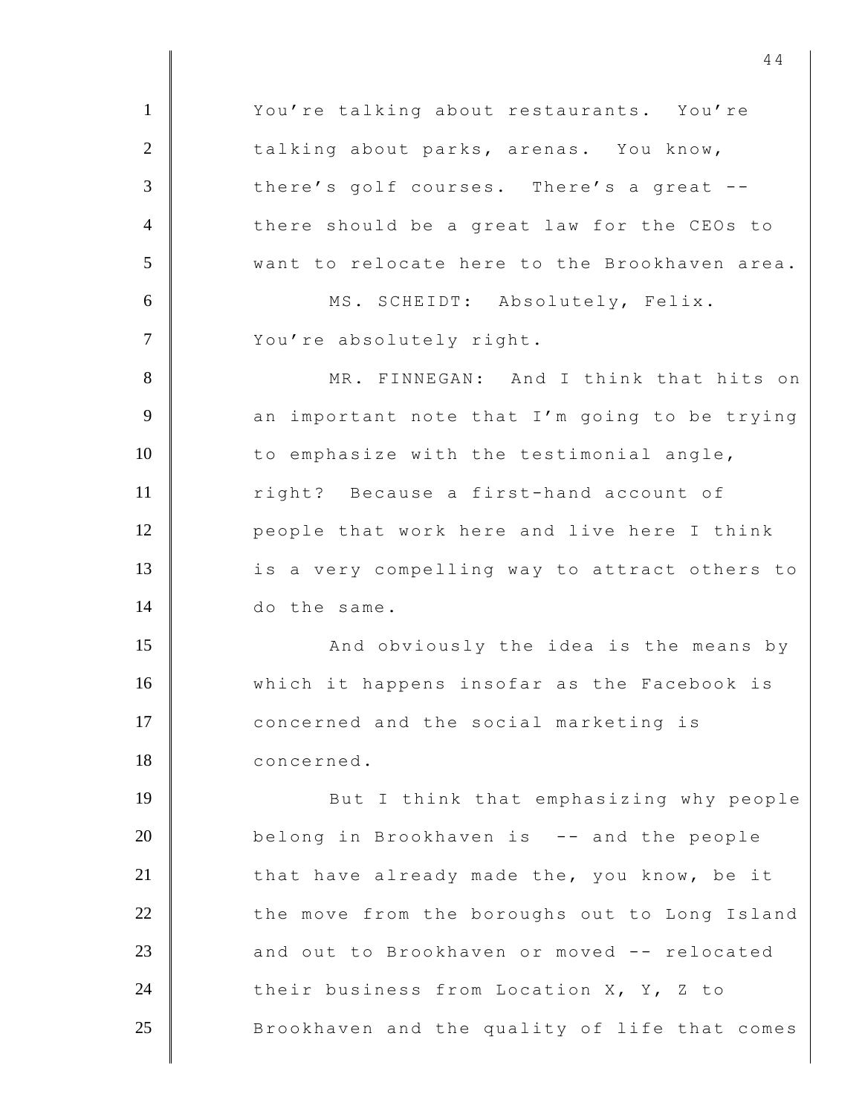1 | You're talking about restaurants. You're 2 talking about parks, arenas. You know, 3 there's golf courses. There's a great --4 there should be a great law for the CEOs to 5 want to relocate here to the Brookhaven area. 6 | MS. SCHEIDT: Absolutely, Felix. 7 You're absolutely right. 8 MR. FINNEGAN: And I think that hits on  $9 \parallel$  an important note that I'm going to be trying 10 to emphasize with the testimonial angle, 11 Tight? Because a first-hand account of 12 **people that work here and live here I think** 13 | is a very compelling way to attract others to 14 do the same. 15 | And obviously the idea is the means by 16 which it happens insofar as the Facebook is 17 concerned and the social marketing is 18 concerned. 19 **But I** think that emphasizing why people 20 belong in Brookhaven is -- and the people  $21$  | that have already made the, you know, be it 22 the move from the boroughs out to Long Island 23 and out to Brookhaven or moved -- relocated 24 their business from Location X, Y, Z to 25 Brookhaven and the quality of life that comes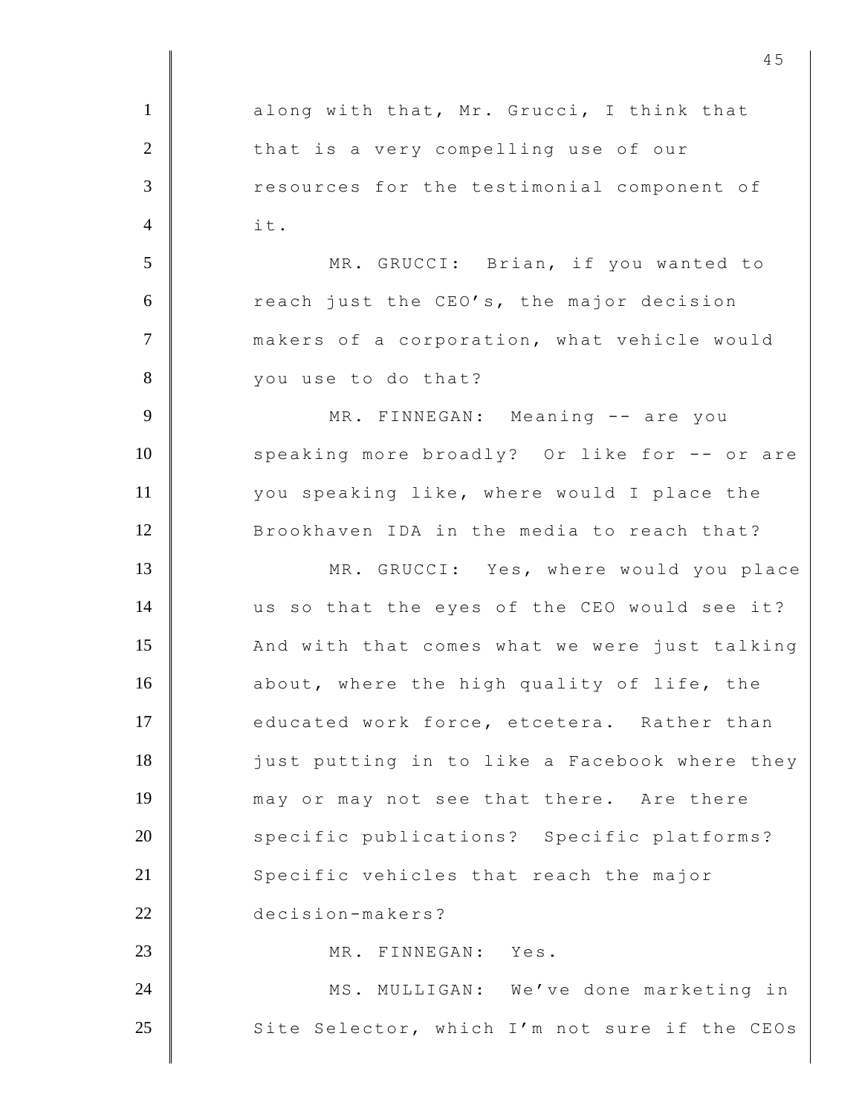1 along with that, Mr. Grucci, I think that 2 that is a very compelling use of our 3 **The Subset Seaps** resources for the testimonial component of  $4 \parallel$  it. 5 MR. GRUCCI: Brian, if you wanted to 6 cach just the CEO's, the major decision 7 | makers of a corporation, what vehicle would 8 vou use to do that? 9 | MR. FINNEGAN: Meaning -- are you 10 | speaking more broadly? Or like for -- or are 11 you speaking like, where would I place the 12 Brookhaven IDA in the media to reach that? 13 MR. GRUCCI: Yes, where would you place 14 us so that the eyes of the CEO would see it? 15 And with that comes what we were just talking 16 about, where the high quality of life, the 17 educated work force, etcetera. Rather than 18 just putting in to like a Facebook where they 19 may or may not see that there. Are there 20 specific publications? Specific platforms? 21 Specific vehicles that reach the major 22 decision-makers? 23 | MR. FINNEGAN: Yes. 24 MS. MULLIGAN: We've done marketing in 25 Site Selector, which I'm not sure if the CEOs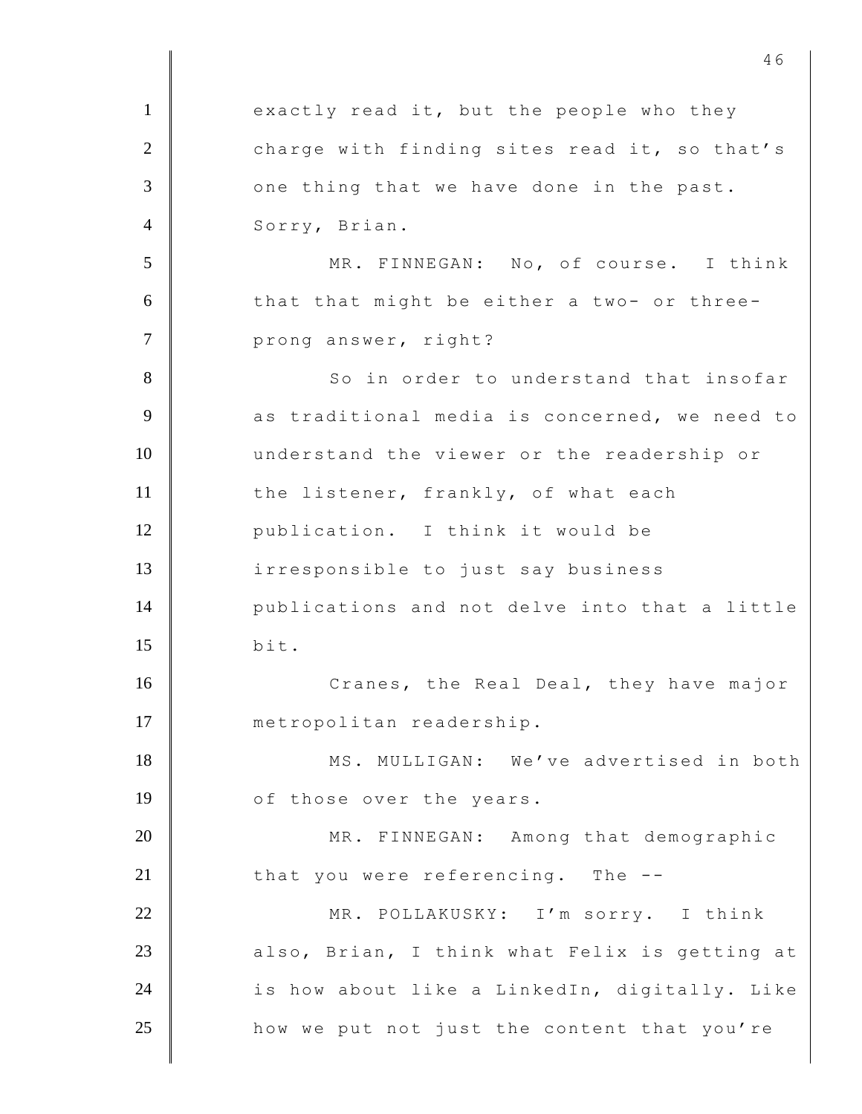$1$  exactly read it, but the people who they 2 charge with finding sites read it, so that's  $3$  |  $\Box$  one thing that we have done in the past. 4 Sorry, Brian. 5 MR. FINNEGAN: No, of course. I think  $6$  | that that might be either a two- or three-7 prong answer, right? 8 So in order to understand that insofar 9 as traditional media is concerned, we need to 10 understand the viewer or the readership or 11 the listener, frankly, of what each 12 publication. I think it would be 13 irresponsible to just say business 14 publications and not delve into that a little  $15$  bit. 16 Cranes, the Real Deal, they have major 17 | metropolitan readership. 18 MS. MULLIGAN: We've advertised in both 19 of those over the years. 20 MR. FINNEGAN: Among that demographic 21  $\parallel$  that you were referencing. The  $-$ -22 MR. POLLAKUSKY: I'm sorry. I think 23 also, Brian, I think what Felix is getting at 24  $\parallel$  is how about like a LinkedIn, digitally. Like 25 **how we put not just the content that you're**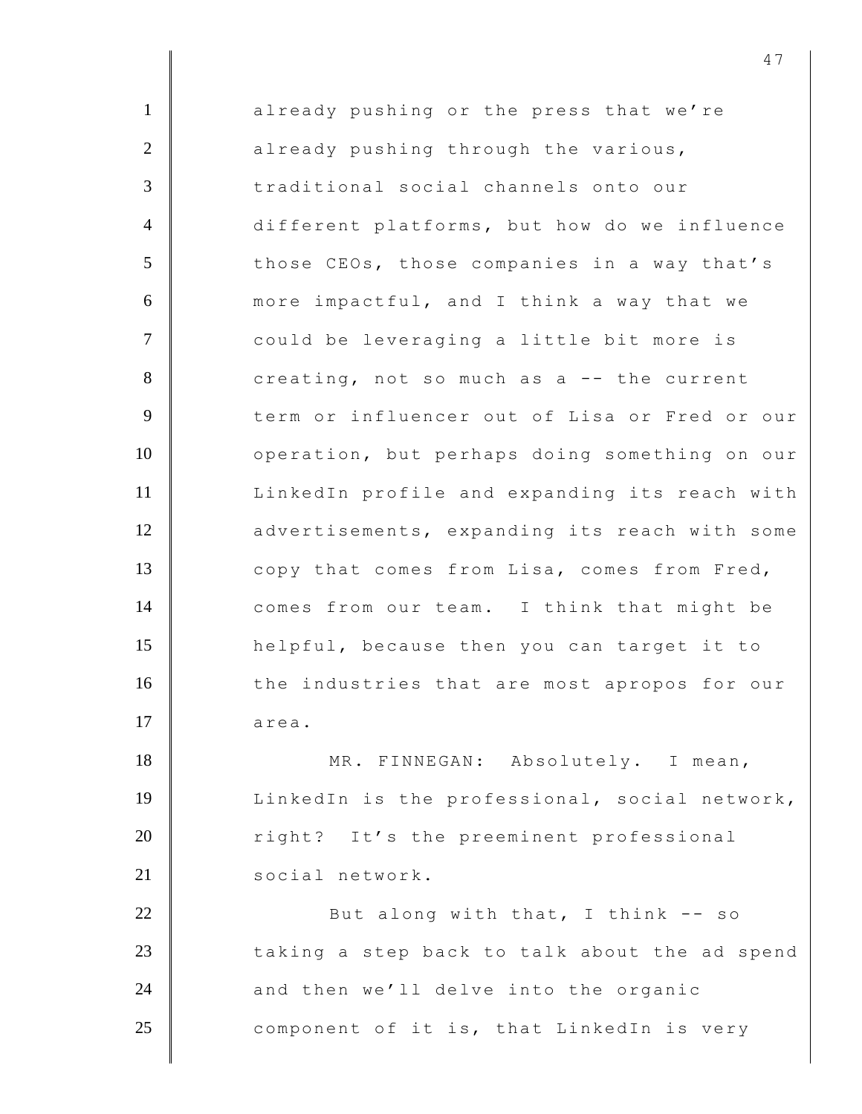1 already pushing or the press that we're 2 already pushing through the various, 3 traditional social channels onto our 4 different platforms, but how do we influence 5 those CEOs, those companies in a way that's 6 more impactful, and I think a way that we 7 | could be leveraging a little bit more is 8 creating, not so much as a -- the current 9 term or influencer out of Lisa or Fred or our 10 | operation, but perhaps doing something on our 11 LinkedIn profile and expanding its reach with 12 advertisements, expanding its reach with some 13 copy that comes from Lisa, comes from Fred, 14 comes from our team. I think that might be 15 helpful, because then you can target it to 16 the industries that are most apropos for our  $17$  area. 18 MR. FINNEGAN: Absolutely. I mean, 19 | LinkedIn is the professional, social network, 20 Tight? It's the preeminent professional 21 social network. 22 But along with that, I think -- so  $23$   $\parallel$  taking a step back to talk about the ad spend 24  $\parallel$  and then we'll delve into the organic 25 component of it is, that LinkedIn is very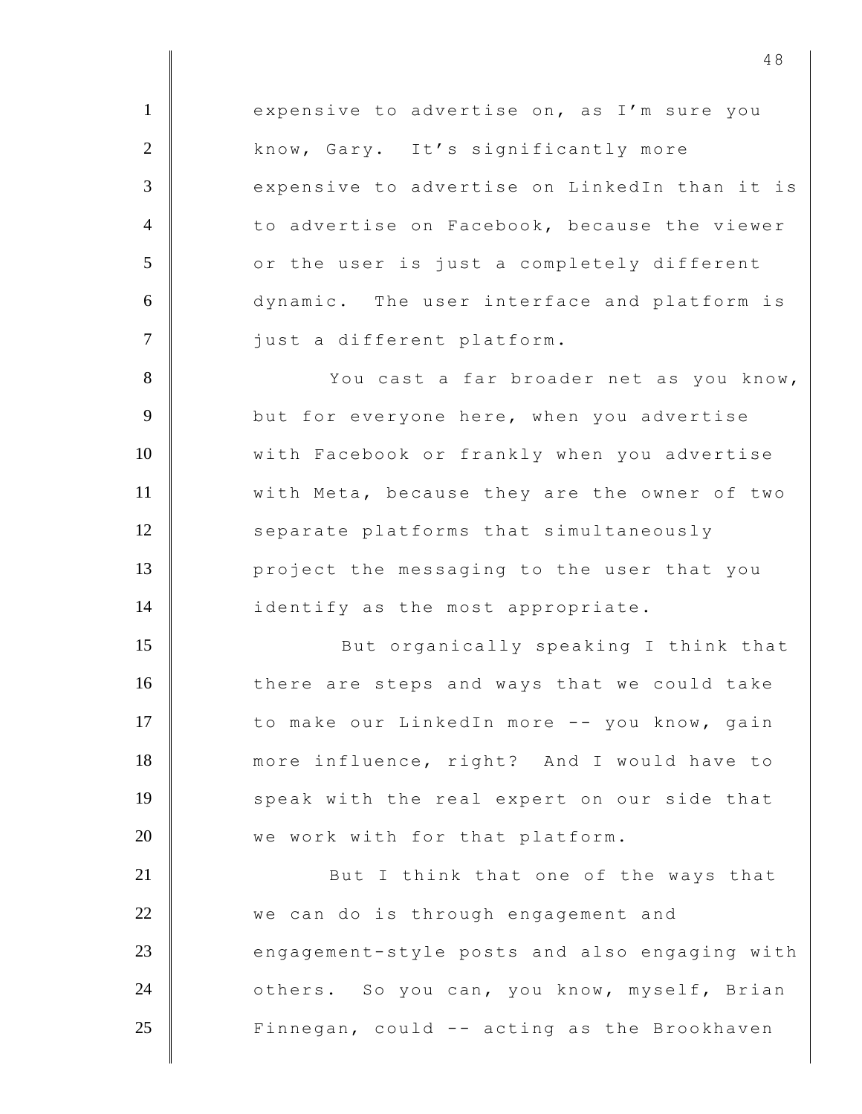1 expensive to advertise on, as I'm sure you 2 know, Gary. It's significantly more 3 expensive to advertise on LinkedIn than it is 4 to advertise on Facebook, because the viewer 5 | or the user is just a completely different 6 dynamic. The user interface and platform is 7 | just a different platform. 8 You cast a far broader net as you know, 9 **but for everyone here, when you advertise** 10 With Facebook or frankly when you advertise 11 | with Meta, because they are the owner of two 12 Separate platforms that simultaneously 13 **project** the messaging to the user that you 14 identify as the most appropriate. 15 | But organically speaking I think that 16 there are steps and ways that we could take 17 to make our LinkedIn more -- you know, gain

18 more influence, right? And I would have to 19 speak with the real expert on our side that 20 We work with for that platform.

21 **But I** think that one of the ways that 22 we can do is through engagement and 23 engagement-style posts and also engaging with 24 **June 24** others. So you can, you know, myself, Brian 25 | Finnegan, could -- acting as the Brookhaven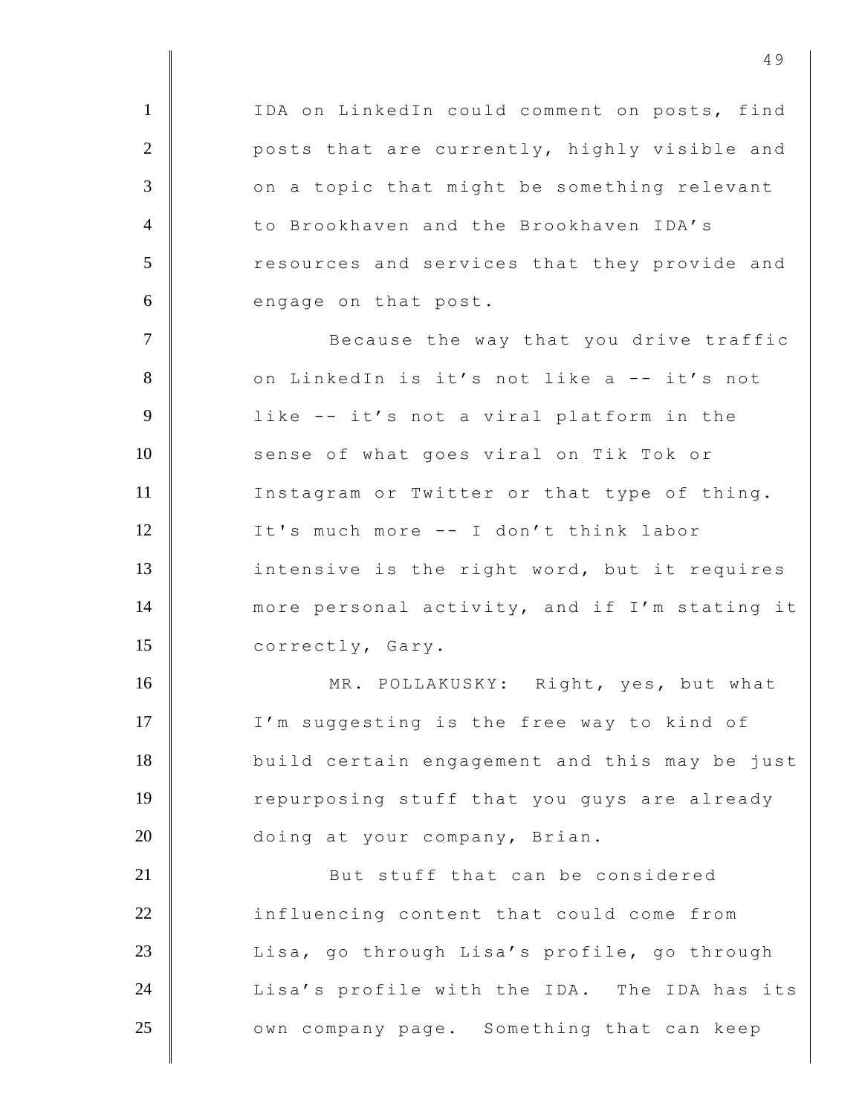1 | IDA on LinkedIn could comment on posts, find 2 **posts that are currently, highly visible and** 3 on a topic that might be something relevant 4 to Brookhaven and the Brookhaven IDA's 5 T resources and services that they provide and 6 engage on that post. 7 | Because the way that you drive traffic 8 on LinkedIn is it's not like a -- it's not 9 | like -- it's not a viral platform in the 10 Sense of what goes viral on Tik Tok or 11 Instagram or Twitter or that type of thing. 12 It's much more -- I don't think labor 13 intensive is the right word, but it requires 14 more personal activity, and if I'm stating it 15 correctly, Gary. 16 MR. POLLAKUSKY: Right, yes, but what 17 | I'm suggesting is the free way to kind of 18 build certain engagement and this may be just 19 Tepurposing stuff that you guys are already 20 doing at your company, Brian. 21 **But stuff that can be considered** 22 influencing content that could come from 23 | Lisa, go through Lisa's profile, go through 24 Lisa's profile with the IDA. The IDA has its 25 | Own company page. Something that can keep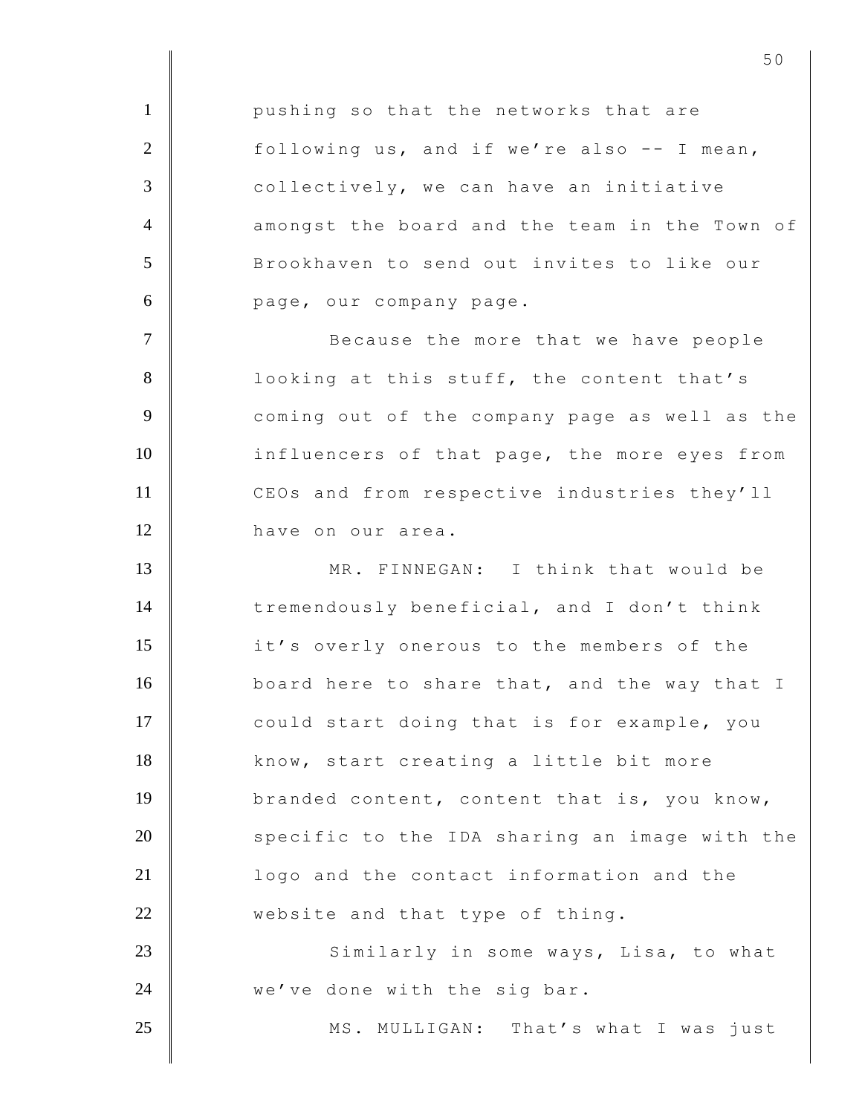1 **pushing so that the networks that are**  $2$  | following us, and if we're also -- I mean, 3 collectively, we can have an initiative 4 amongst the board and the team in the Town of 5 Brookhaven to send out invites to like our 6 page, our company page. 7 | Because the more that we have people 8 **| Cooking at this stuff, the content that's** 9 **9** coming out of the company page as well as the 10 influencers of that page, the more eyes from 11 CEOs and from respective industries they'll 12 have on our area. 13 MR. FINNEGAN: I think that would be 14 tremendously beneficial, and I don't think 15 it's overly onerous to the members of the 16 board here to share that, and the way that I 17 | could start doing that is for example, you 18 know, start creating a little bit more 19 branded content, content that is, you know,  $20$  specific to the IDA sharing an image with the 21 **I** logo and the contact information and the 22 website and that type of thing. 23 | Similarly in some ways, Lisa, to what 24 we've done with the sig bar. 25 | MS. MULLIGAN: That's what I was just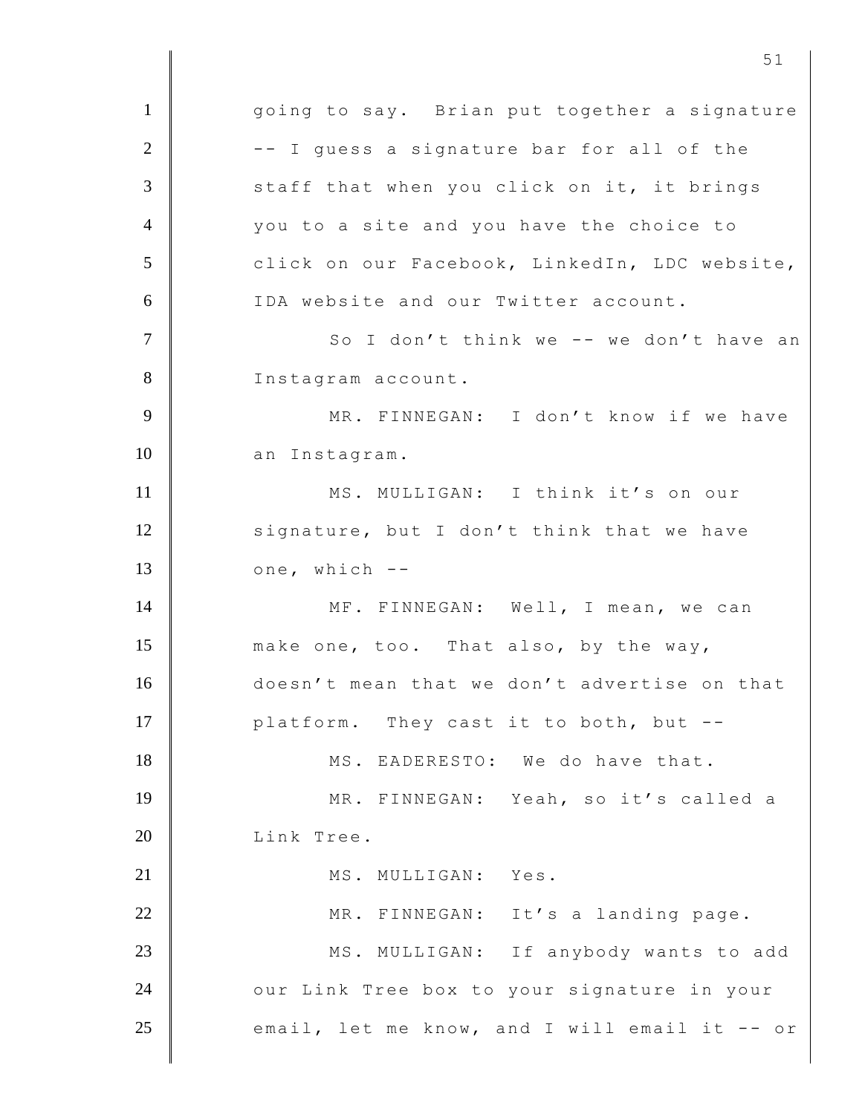1 | qoing to say. Brian put together a signature  $2$  |  $-$  -- I guess a signature bar for all of the 3 staff that when you click on it, it brings 4 you to a site and you have the choice to 5 click on our Facebook, LinkedIn, LDC website, 6 IDA website and our Twitter account. 7 | So I don't think we -- we don't have an 8 Instagram account. 9 | MR. FINNEGAN: I don't know if we have 10 an Instagram. 11 MS. MULLIGAN: I think it's on our 12 signature, but I don't think that we have  $13$   $\blacksquare$  one, which  $-$ 14 ME. FINNEGAN: Well, I mean, we can 15 make one, too. That also, by the way, 16 doesn't mean that we don't advertise on that 17 **platform.** They cast it to both, but --18 MS. EADERESTO: We do have that. 19 MR. FINNEGAN: Yeah, so it's called a 20 Link Tree. 21 MS. MULLIGAN: Yes. 22 MR. FINNEGAN: It's a landing page. 23 MS. MULLIGAN: If anybody wants to add 24 **OURTA** OURTHE TREE box to your signature in your  $25$   $\parallel$  email, let me know, and I will email it -- or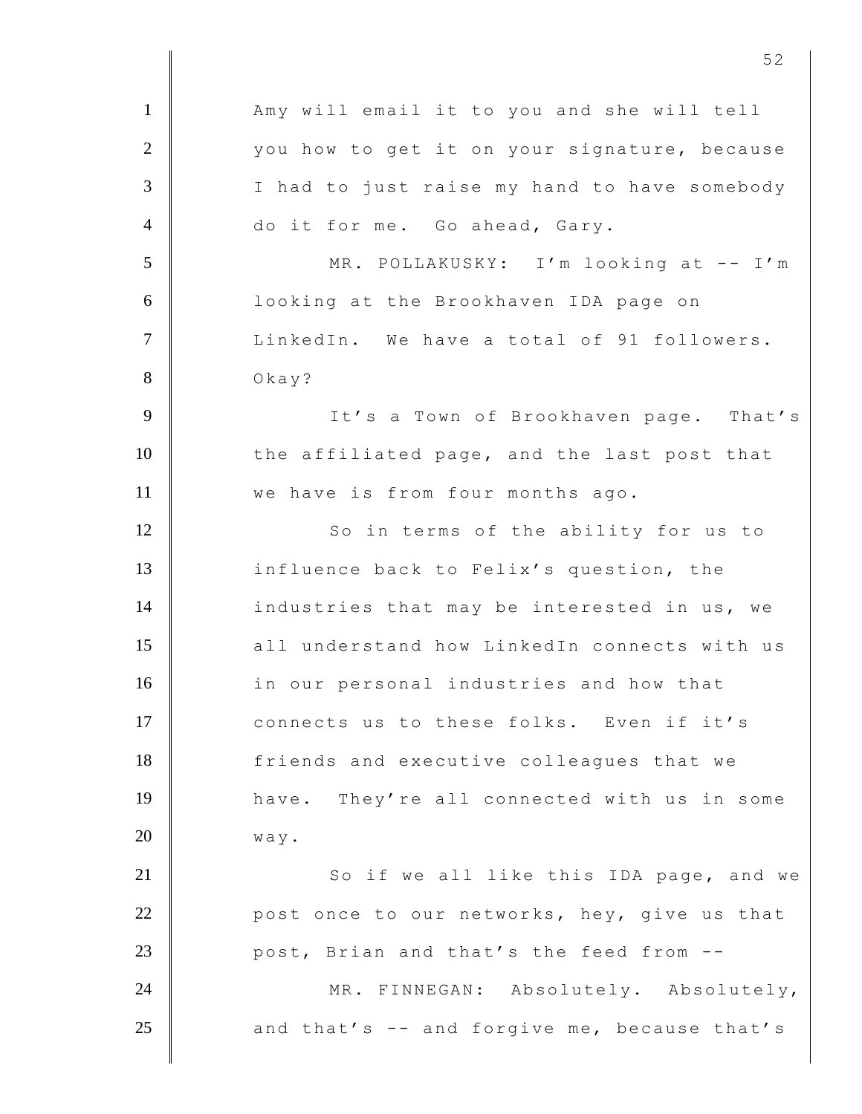1 | Amy will email it to you and she will tell 2 you how to get it on your signature, because 3 | I had to just raise my hand to have somebody 4 do it for me. Go ahead, Gary. 5 MR. POLLAKUSKY: I'm looking at -- I'm 6 looking at the Brookhaven IDA page on 7 Union LinkedIn. We have a total of 91 followers. 8 | Okay? 9 | It's a Town of Brookhaven page. That's 10 the affiliated page, and the last post that 11 **We have is from four months ago.** 12 So in terms of the ability for us to 13 influence back to Felix's question, the 14 industries that may be interested in us, we 15 all understand how LinkedIn connects with us 16 in our personal industries and how that 17 connects us to these folks. Even if it's 18 friends and executive colleagues that we 19 have. They're all connected with us in some  $20$  way. 21 | So if we all like this IDA page, and we 22 **post once to our networks, hey, give us that** 23 **post, Brian and that's the feed from --**24 MR. FINNEGAN: Absolutely. Absolutely, 25  $\parallel$  and that's -- and forgive me, because that's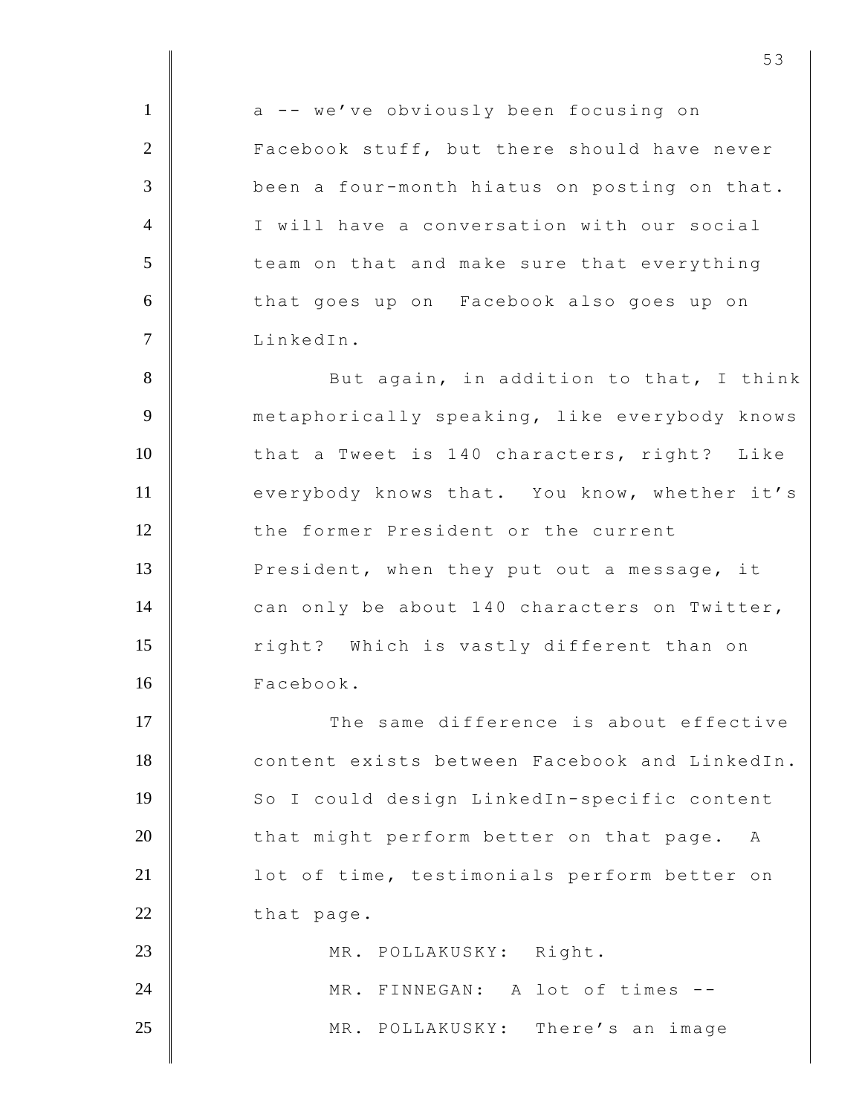1 a -- we've obviously been focusing on 2 **Facebook stuff, but there should have never** 3 been a four-month hiatus on posting on that. 4 I will have a conversation with our social  $5$   $\parallel$  team on that and make sure that everything 6 that goes up on Facebook also goes up on 7 LinkedIn. 8 But again, in addition to that, I think 9 metaphorically speaking, like everybody knows 10 that a Tweet is 140 characters, right? Like 11 everybody knows that. You know, whether it's 12 the former President or the current 13 **President, when they put out a message, it** 14 can only be about 140 characters on Twitter, 15 Tight? Which is vastly different than on 16 Facebook. 17 The same difference is about effective 18 content exists between Facebook and LinkedIn. 19 So I could design LinkedIn-specific content  $20$   $\parallel$  that might perform better on that page. A 21 | lot of time, testimonials perform better on 22 that page. 23 MR. POLLAKUSKY: Right. 24 MR. FINNEGAN: A lot of times --25 MR. POLLAKUSKY: There's an image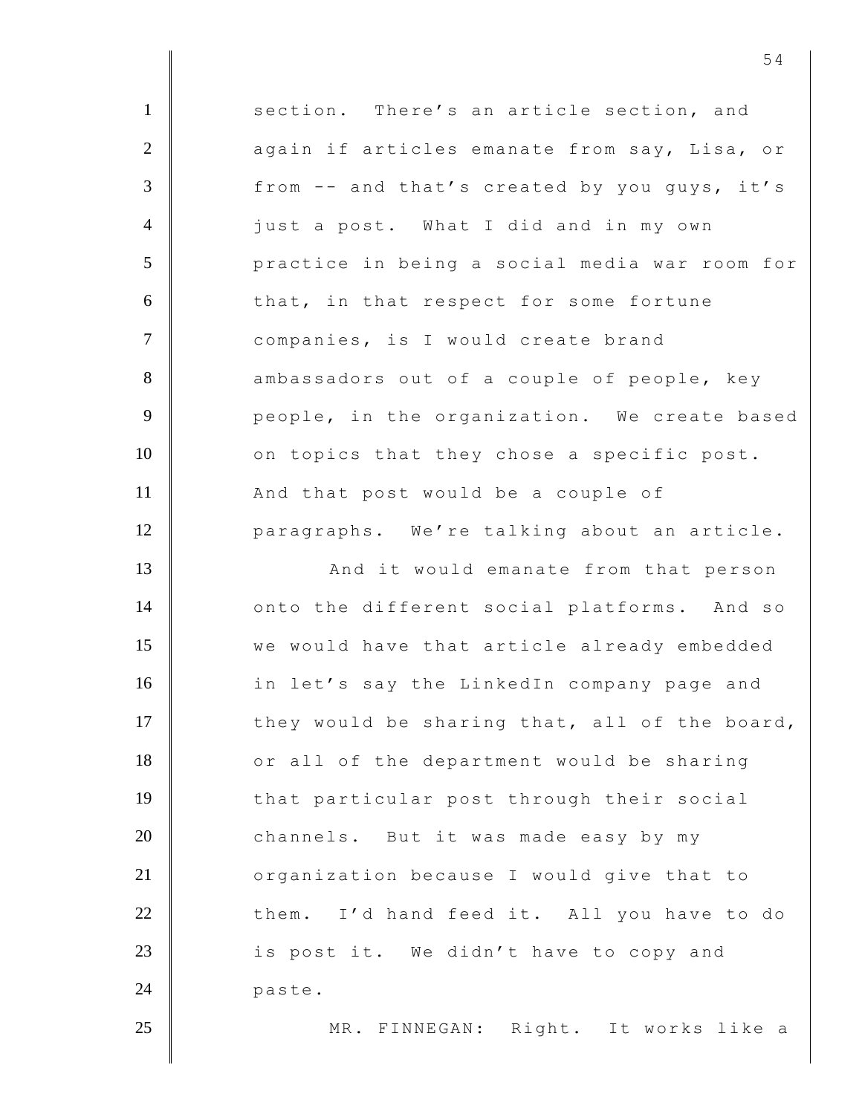1 **Section.** There's an article section, and 2 again if articles emanate from say, Lisa, or 3 from -- and that's created by you quys, it's 4 just a post. What I did and in my own 5 practice in being a social media war room for 6 that, in that respect for some fortune 7 companies, is I would create brand 8 ambassadors out of a couple of people, key 9 **Parame Exercise 1** people, in the organization. We create based 10 on topics that they chose a specific post. 11 | And that post would be a couple of 12 paragraphs. We're talking about an article. 13 | And it would emanate from that person 14 onto the different social platforms. And so 15 **we** would have that article already embedded 16 in let's say the LinkedIn company page and 17  $\parallel$  they would be sharing that, all of the board, 18 or all of the department would be sharing 19 that particular post through their social 20 channels. But it was made easy by my 21 | organization because I would give that to 22 them. I'd hand feed it. All you have to do 23 **is post it.** We didn't have to copy and 24 paste. 25 | MR. FINNEGAN: Right. It works like a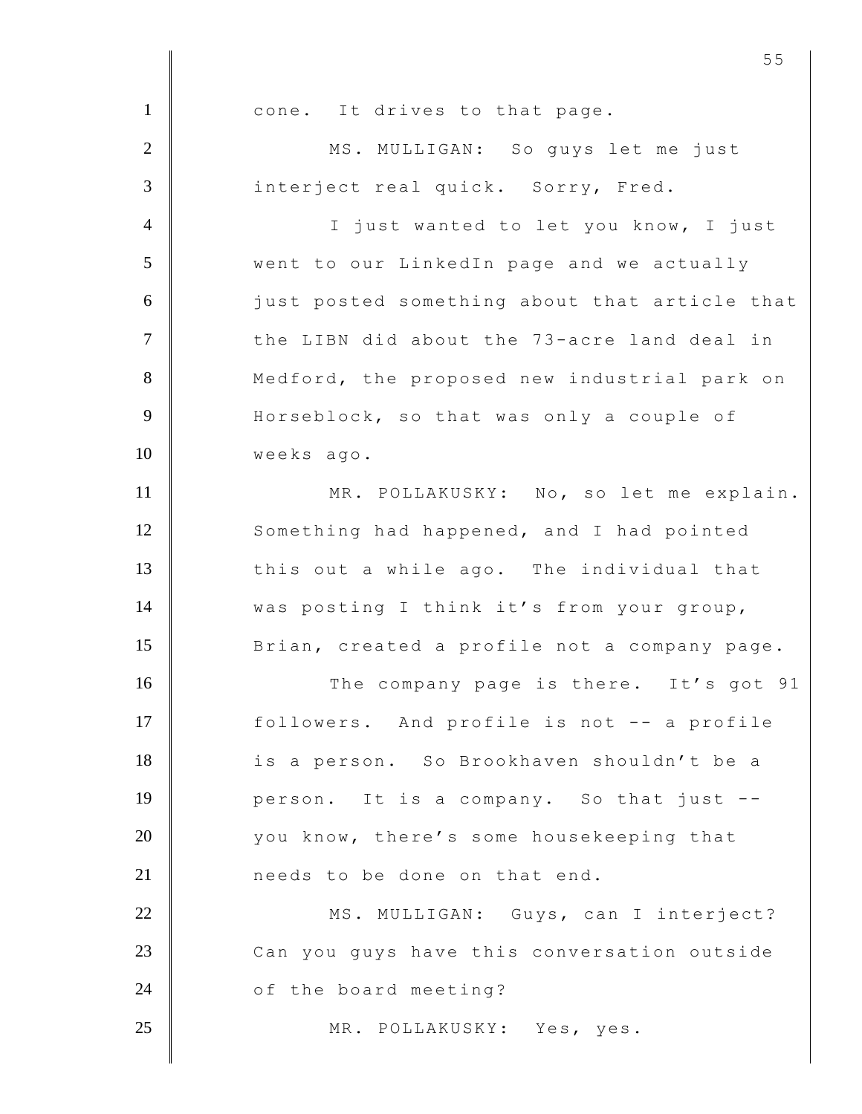1 cone. It drives to that page. 2 MS. MULLIGAN: So guys let me just 3 interject real quick. Sorry, Fred. 4 | I just wanted to let you know, I just 5 went to our LinkedIn page and we actually 6 **just posted something about that article that** 7 The LIBN did about the 73-acre land deal in 8 Medford, the proposed new industrial park on 9 Horseblock, so that was only a couple of 10 | weeks ago. 11 MR. POLLAKUSKY: No, so let me explain. 12 Something had happened, and I had pointed 13 this out a while ago. The individual that 14 **was posting I think it's from your group,** 15 Brian, created a profile not a company page. 16 The company page is there. It's got 91 17 followers. And profile is not -- a profile 18 is a person. So Brookhaven shouldn't be a 19 person. It is a company. So that just --20 vou know, there's some housekeeping that 21 **needs** to be done on that end. 22 | MS. MULLIGAN: Guys, can I interject? 23 Can you guys have this conversation outside 24 of the board meeting? 25 MR. POLLAKUSKY: Yes, yes.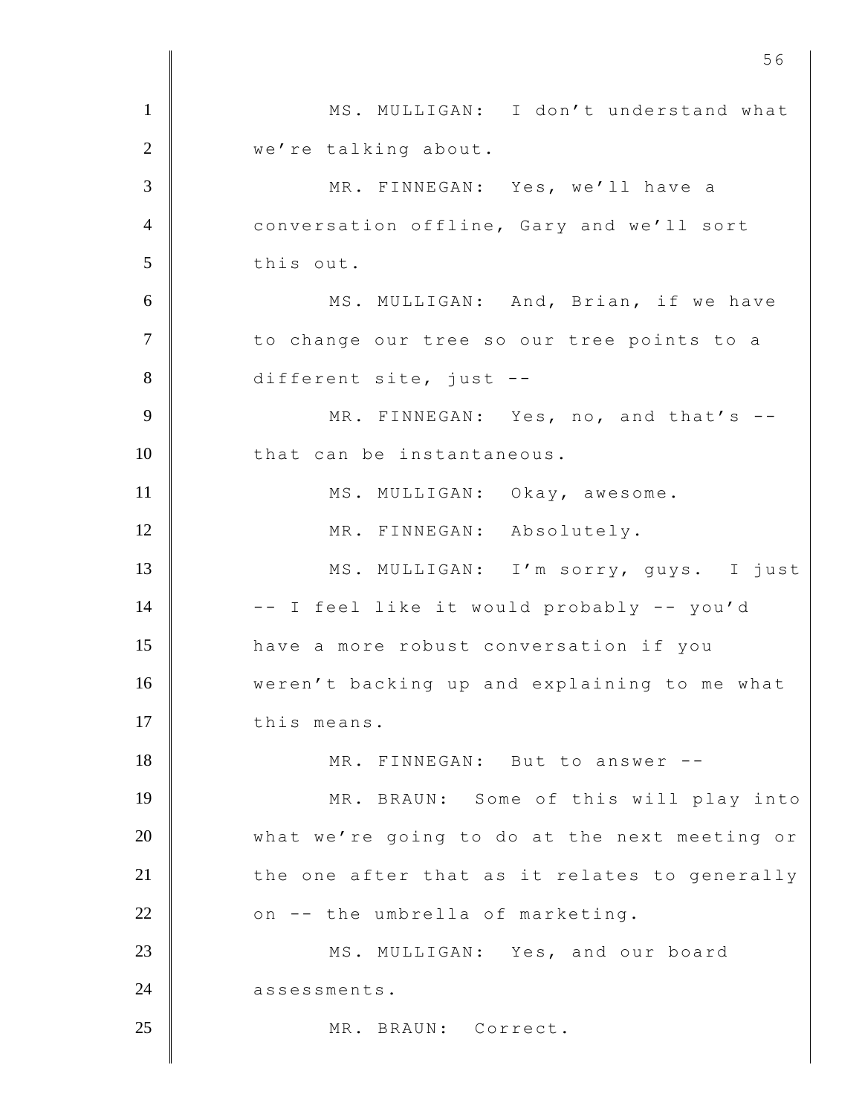1 MS. MULLIGAN: I don't understand what 2 | we're talking about. 3 MR. FINNEGAN: Yes, we'll have a 4 Conversation offline, Gary and we'll sort 5 this out. 6 | MS. MULLIGAN: And, Brian, if we have 7 | to change our tree so our tree points to a 8 different site, just --9 MR. FINNEGAN: Yes, no, and that's --10 that can be instantaneous. 11 MS. MULLIGAN: Okay, awesome. 12 MR. FINNEGAN: Absolutely. 13 | MS. MULLIGAN: I'm sorry, guys. I just 14 | -- I feel like it would probably -- you'd 15 **have a more robust conversation if you** 16 weren't backing up and explaining to me what 17 this means. 18 MR. FINNEGAN: But to answer --19 MR. BRAUN: Some of this will play into 20 what we're going to do at the next meeting or  $21$   $\parallel$  the one after that as it relates to generally 22 on -- the umbrella of marketing. 23 MS. MULLIGAN: Yes, and our board 24 assessments. 25 MR. BRAUN: Correct.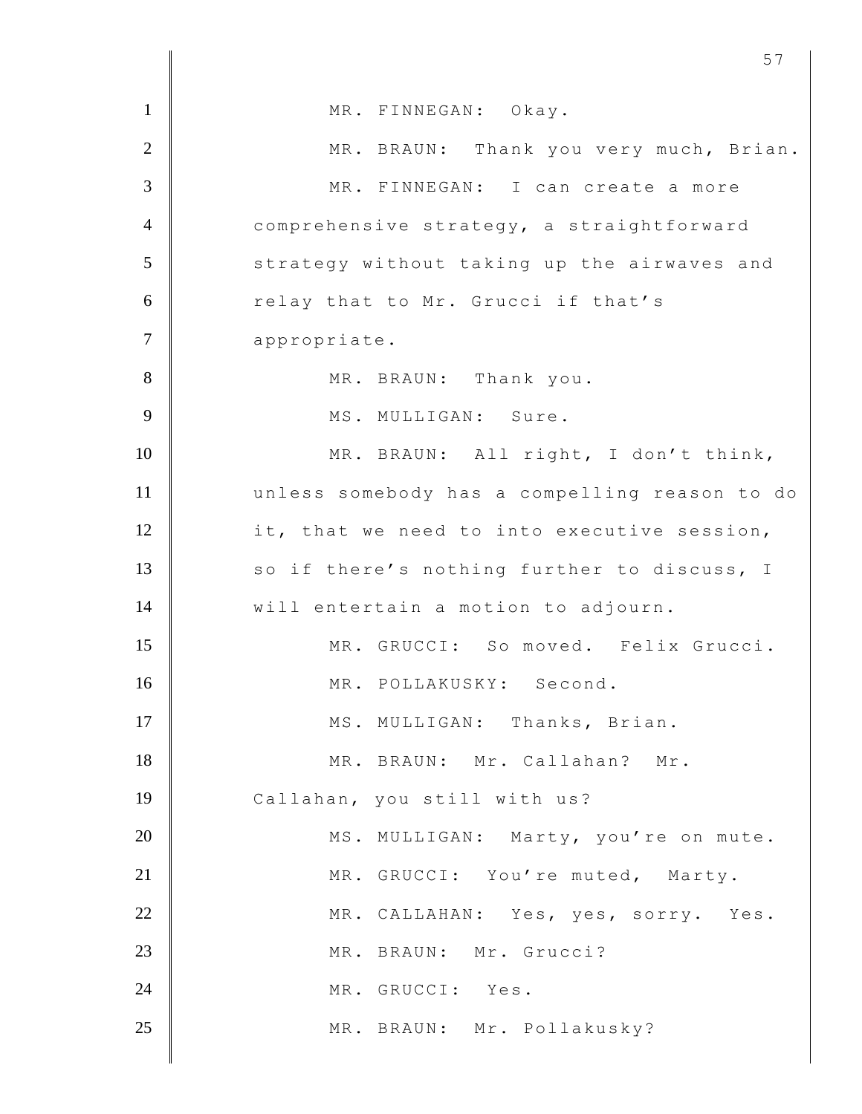| $\mathbf{1}$   | MR. FINNEGAN: Okay.                           |
|----------------|-----------------------------------------------|
| $\overline{2}$ | MR. BRAUN: Thank you very much, Brian.        |
| 3              | MR. FINNEGAN: I can create a more             |
| $\overline{4}$ | comprehensive strategy, a straightforward     |
| 5              | strategy without taking up the airwaves and   |
| 6              | relay that to Mr. Grucci if that's            |
| $\overline{7}$ | appropriate.                                  |
| 8              | MR. BRAUN: Thank you.                         |
| 9              | MS. MULLIGAN: Sure.                           |
| 10             | MR. BRAUN: All right, I don't think,          |
| 11             | unless somebody has a compelling reason to do |
| 12             | it, that we need to into executive session,   |
| 13             | so if there's nothing further to discuss, I   |
| 14             | will entertain a motion to adjourn.           |
| 15             | MR. GRUCCI: So moved. Felix Grucci.           |
| 16             | MR. POLLAKUSKY: Second.                       |
| 17             | MS. MULLIGAN: Thanks, Brian.                  |
| 18             | MR. BRAUN: Mr. Callahan? Mr.                  |
| 19             | Callahan, you still with us?                  |
| 20             | MS. MULLIGAN: Marty, you're on mute.          |
| 21             | MR. GRUCCI: You're muted, Marty.              |
| 22             | MR. CALLAHAN: Yes, yes, sorry. Yes.           |
| 23             | MR. BRAUN: Mr. Grucci?                        |
| 24             | MR. GRUCCI: Yes.                              |
| 25             | MR. BRAUN: Mr. Pollakusky?                    |
|                |                                               |

<u>57</u>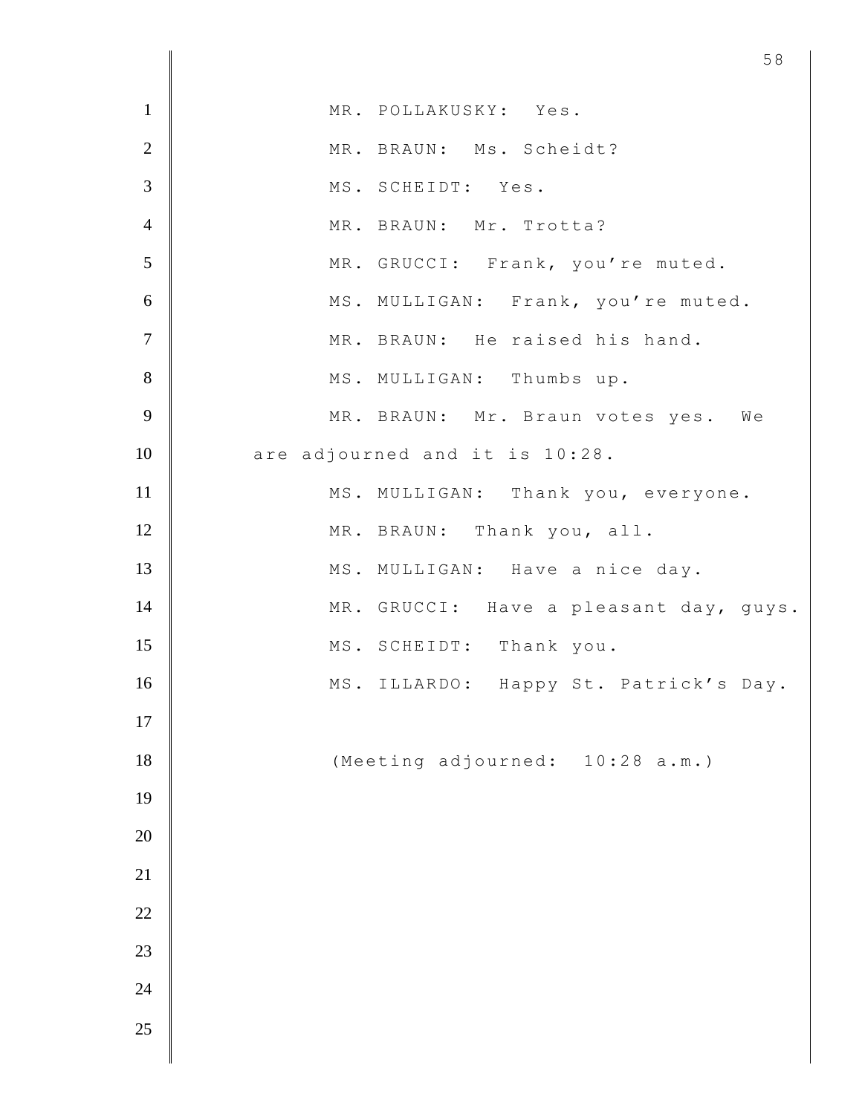| $\mathbf{1}$    | MR. POLLAKUSKY: Yes.                   |
|-----------------|----------------------------------------|
| $\overline{2}$  | MR. BRAUN: Ms. Scheidt?                |
| $\overline{3}$  | MS. SCHEIDT: Yes.                      |
| $\overline{4}$  | MR. BRAUN: Mr. Trotta?                 |
| $5\overline{)}$ | MR. GRUCCI: Frank, you're muted.       |
| 6               | MS. MULLIGAN: Frank, you're muted.     |
| $\overline{7}$  | MR. BRAUN: He raised his hand.         |
| 8               | MS. MULLIGAN: Thumbs up.               |
| 9               | MR. BRAUN: Mr. Braun votes yes. We     |
| 10              | are adjourned and it is 10:28.         |
| 11              | MS. MULLIGAN: Thank you, everyone.     |
| 12              | MR. BRAUN: Thank you, all.             |
| 13              | MS. MULLIGAN: Have a nice day.         |
| 14              | MR. GRUCCI: Have a pleasant day, guys. |
| 15              | MS. SCHEIDT: Thank you.                |
| 16              | MS. ILLARDO: Happy St. Patrick's Day.  |
| 17              |                                        |
| 18              | (Meeting adjourned: 10:28 a.m.)        |
| 19              |                                        |
| 20              |                                        |
| 21              |                                        |
| 22              |                                        |
| 23              |                                        |
| 24              |                                        |
| 25              |                                        |
|                 |                                        |

<u>58</u>